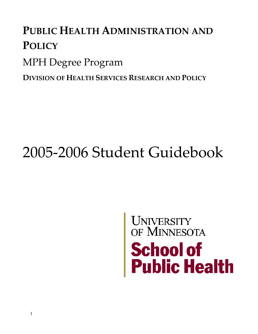# **PUBLIC HEALTH ADMINISTRATION AND POLICY**

MPH Degree Program

**DIVISION OF HEALTH SERVICES RESEARCH AND POLICY**

# 2005‐2006 Student Guidebook

# UNIVERSITY<br>OF MINNESOTA **School of<br>Public Health**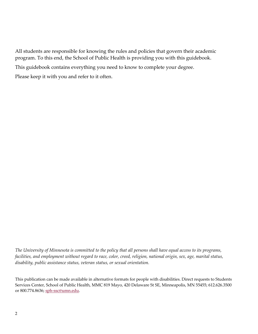All students are responsible for knowing the rules and policies that govern their academic program. To this end, the School of Public Health is providing you with this guidebook.

This guidebook contains everything you need to know to complete your degree.

Please keep it with you and refer to it often.

The University of Minnesota is committed to the policy that all persons shall have equal access to its programs, facilities, and employment without regard to race, color, creed, religion, national origin, sex, age, marital status, *disability, public assistance status, veteran status, or sexual orientation.*

This publication can be made available in alternative formats for people with disabilities. Direct requests to Students Services Center, School of Public Health, MMC 819 Mayo, 420 Delaware St SE, Minneapolis, MN 55455; 612.626.3500 or 800.774.8636; sph‐ssc@umn.edu.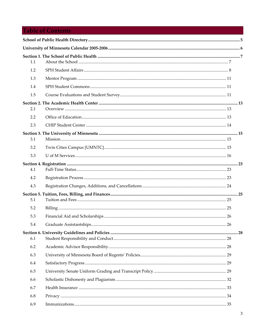# **Table of Contents**

| 1.1<br>1.2<br>1.3<br>1.4<br>1.5<br>2.1<br>2.2<br>2.3<br>3.1<br>3.2<br>3.3<br>4.1<br>4.2<br>4.3<br>5.1<br>5.2<br>5.3<br>5.4<br>6.1<br>6.2<br>6.3 |  |  |
|-------------------------------------------------------------------------------------------------------------------------------------------------|--|--|
|                                                                                                                                                 |  |  |
|                                                                                                                                                 |  |  |
|                                                                                                                                                 |  |  |
|                                                                                                                                                 |  |  |
|                                                                                                                                                 |  |  |
|                                                                                                                                                 |  |  |
|                                                                                                                                                 |  |  |
|                                                                                                                                                 |  |  |
|                                                                                                                                                 |  |  |
|                                                                                                                                                 |  |  |
|                                                                                                                                                 |  |  |
|                                                                                                                                                 |  |  |
|                                                                                                                                                 |  |  |
|                                                                                                                                                 |  |  |
|                                                                                                                                                 |  |  |
|                                                                                                                                                 |  |  |
|                                                                                                                                                 |  |  |
|                                                                                                                                                 |  |  |
|                                                                                                                                                 |  |  |
|                                                                                                                                                 |  |  |
|                                                                                                                                                 |  |  |
|                                                                                                                                                 |  |  |
|                                                                                                                                                 |  |  |
|                                                                                                                                                 |  |  |
|                                                                                                                                                 |  |  |
|                                                                                                                                                 |  |  |
|                                                                                                                                                 |  |  |
| 6.4                                                                                                                                             |  |  |
| 6.5                                                                                                                                             |  |  |
| 6.6                                                                                                                                             |  |  |
| 6.7                                                                                                                                             |  |  |
| 6.8                                                                                                                                             |  |  |
| 6.9                                                                                                                                             |  |  |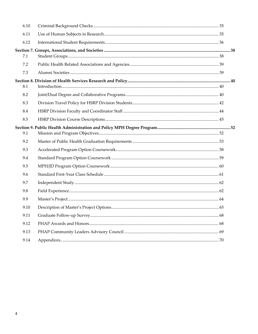| 6.10 |  |
|------|--|
| 6.11 |  |
| 6.12 |  |
|      |  |
| 7.1  |  |
| 7.2  |  |
| 7.3  |  |
| 8.1  |  |
| 8.2  |  |
| 8.3  |  |
| 8.4  |  |
| 8.5  |  |
|      |  |
| 9.1  |  |
| 9.2  |  |
| 9.3  |  |
| 9.4  |  |
| 9.5  |  |
| 9.6  |  |
| 9.7  |  |
| 9.8  |  |
| 9.9  |  |
| 9.10 |  |
| 9.11 |  |
| 9.12 |  |
| 9.13 |  |
| 9.14 |  |
|      |  |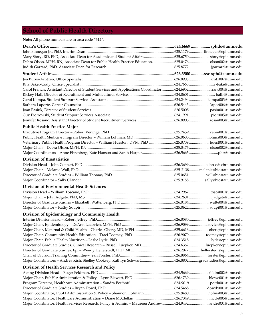## **School of Public Health Directory**

**Note:** All phone numbers are in area code "612".

| Mary Story, RD, PhD, Associate Dean for Academic and Student Affairs  625.6750  story@epi.umn.edu             |  |
|---------------------------------------------------------------------------------------------------------------|--|
| Debra Olson, MPH, RN, Associate Dean for Public Health Practice Education.  625.0476  olson002@umn.edu        |  |
|                                                                                                               |  |
|                                                                                                               |  |
|                                                                                                               |  |
|                                                                                                               |  |
| Carol Francis, Assistant Director of Student Services and Applications Coordinator  624.6952 franc004@umn.edu |  |
|                                                                                                               |  |
|                                                                                                               |  |
|                                                                                                               |  |
|                                                                                                               |  |
|                                                                                                               |  |
|                                                                                                               |  |
| Public Health Practice Major                                                                                  |  |
|                                                                                                               |  |
|                                                                                                               |  |
| Veterinary Public Health Program Director - William Hueston, DVM, PhD  625.8709  huest001@umn.edu             |  |
|                                                                                                               |  |
|                                                                                                               |  |
| <b>Division of Biostatistics</b>                                                                              |  |
|                                                                                                               |  |
|                                                                                                               |  |
|                                                                                                               |  |
|                                                                                                               |  |
| <b>Division of Environmental Health Sciences</b>                                                              |  |
|                                                                                                               |  |
|                                                                                                               |  |
|                                                                                                               |  |
|                                                                                                               |  |
| Division of Epidemiology and Community Health                                                                 |  |
|                                                                                                               |  |
|                                                                                                               |  |
|                                                                                                               |  |
|                                                                                                               |  |
|                                                                                                               |  |
| Director of Graduate Studies, Clinical Research - Russell Luepker, MD 624.6362luepker@epi.umn.edu             |  |
|                                                                                                               |  |
|                                                                                                               |  |
| Major Coordinators - Andrea Kish, Shelley Cooksey, Kathryn Schwartz 626.8802gradstudies@epi.umn.edu           |  |
| Division of Health Services Research and Policy                                                               |  |
|                                                                                                               |  |
|                                                                                                               |  |
|                                                                                                               |  |
|                                                                                                               |  |
| Major Coordinator, PubH Administration & Policy - Shannon Hofmann 625.9480 hofma003@umn.edu                   |  |
|                                                                                                               |  |
| Major Coordinator, Health Services Research, Policy & Admin. - Maureen Andrew 624.9432andre031@umn.edu        |  |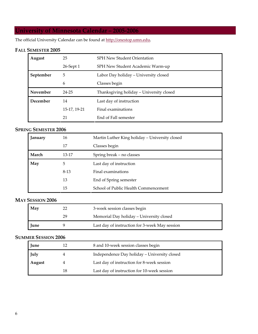### **University of Minnesota Calendar – 2005‐2006**

The official University Calendar can be found at http://onestop.umn.edu*.*

### **FALL SEMESTER 2005**

| August    | 25             | <b>SPH New Student Orientation</b>       |  |
|-----------|----------------|------------------------------------------|--|
|           | $26$ -Sept $1$ | SPH New Student Academic Warm-up         |  |
| September | 5              | Labor Day holiday - University closed    |  |
|           | 6              | Classes begin                            |  |
|           |                |                                          |  |
| November  | 24-25          | Thanksgiving holiday - University closed |  |
| December  | 14             | Last day of instruction                  |  |
|           | 15-17, 19-21   | Final examinations                       |  |

### **SPRING SEMESTER 2006**

| January | 16    | Martin Luther King holiday - University closed |  |
|---------|-------|------------------------------------------------|--|
|         | 17    | Classes begin                                  |  |
| March   | 13-17 | Spring break – no classes                      |  |
| May     | 5     | Last day of instruction                        |  |
|         | 8-13  | Final examinations                             |  |
|         | 13    | End of Spring semester                         |  |
|         | 15    | School of Public Health Commencement           |  |

### **MAY SESSION 2006**

| May  | າາ | 3-week session classes begin                   |  |
|------|----|------------------------------------------------|--|
|      | 29 | Memorial Day holiday - University closed       |  |
| June |    | Last day of instruction for 3-week May session |  |

### **SUMMER SESSION 2006**

| June   | 12 | 8 and 10-week session classes begin          |
|--------|----|----------------------------------------------|
| July   |    | Independence Day holiday - University closed |
| August |    | Last day of instruction for 8-week session   |
|        | 18 | Last day of instruction for 10-week session  |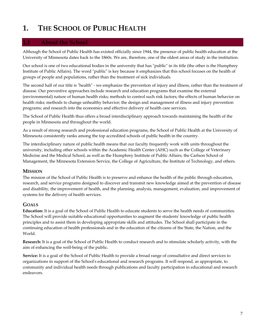# **1. THE SCHOOL OF PUBLIC HEALTH**

### **1.1 About the School**

Although the School of Public Health has existed officially since 1944, the presence of public health education at the University of Minnesota dates back to the 1860s. We are, therefore, one of the oldest areas of study in the institution.

Our school is one of two educational bodies in the university that has "public" in its title (the other is the Humphrey Institute of Public Affairs). The word "public" is key because it emphasizes that this school focuses on the health of groups of people and populations, rather than the treatment of sick individuals.

The second half of our title is "health" - we emphasize the prevention of injury and illness, rather than the treatment of disease. Our preventive approaches include research and education programs that examine the external (environmental) nature of human health risks; methods to control such risk factors; the effects of human behavior on health risks; methods to change unhealthy behavior; the design and management of illness and injury prevention programs; and research into the economics and effective delivery of health care services.

The School of Public Health thus offers a broad interdisciplinary approach towards maintaining the health of the people in Minnesota and throughout the world.

As a result of strong research and professional education programs, the School of Public Health at the University of Minnesota consistently ranks among the top accredited schools of public health in the country.

The interdisciplinary nature of public health means that our faculty frequently work with units throughout the university, including other schools within the Academic Health Center (AHC) such as the College of Veterinary Medicine and the Medical School, as well as the Humphrey Institute of Public Affairs, the Carlson School of Management, the Minnesota Extension Service, the College of Agriculture, the Institute of Technology, and others.

### **MISSION**

The mission of the School of Public Health is to preserve and enhance the health of the public through education, research, and service programs designed to discover and transmit new knowledge aimed at the prevention of disease and disability, the improvement of health, and the planning, analysis, management, evaluation, and improvement of systems for the delivery of health services.

### **GOALS**

**Education:** It is a goal of the School of Public Health to educate students to serve the health needs of communities. The School will provide suitable educational opportunities to augment the studentsʹ knowledge of public health principles and to assist them in developing appropriate skills and attitudes. The School shall participate in the continuing education of health professionals and in the education of the citizens of the State, the Nation, and the World.

**Research:** It is a goal of the School of Public Health to conduct research and to stimulate scholarly activity, with the aim of enhancing the well‐being of the public.

**Service:** It is a goal of the School of Public Health to provide a broad range of consultative and direct services to organizations in support of the Schoolʹs educational and research programs. It will respond, as appropriate, to community and individual health needs through publications and faculty participation in educational and research endeavors.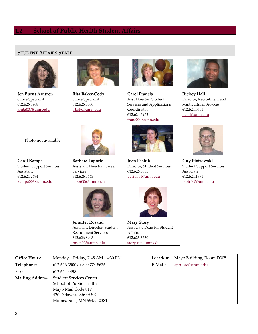### **STUDENT AFFAIRS STAFF**



**Jen Burns Arntzen** Office Specialist 612.626.8908 arntz007@umn.edu



**Rita Baker‐Cody** Office Specialist 612.626.3500 r‐bake@umn.edu



**Carol Francis** Asst Director, Student Services and Applications Coordinator 612.624.6952 franc004@umn.edu



**Rickey Hall** Director, Recruitment and Multicultural Services 612.624.0601 hallrl@umn.edu

**Guy Piotrowski** Student Support Services

Associate 612.624.1991 piotr005@umn.edu

Photo not available





**Barbara Laporte** Assistant Director, Career Services 612.626.5443 lapor006@umn.edu

**Jennifer Rosand**

612.626.8903 rosan003@umn.edu

Assistant Director, Student Recruitment Services



**Joan Pasiuk** Director, Student Services 612.626.5005 pasiu001@umn.edu



**Mary Story** Associate Dean for Student Affairs 612.625.6750 story@epi.umn.edu

| <b>Office Hours:</b>    | Monday - Friday, 7:45 AM - 4:30 PM | Location: | Mayo Building, Room D305 |
|-------------------------|------------------------------------|-----------|--------------------------|
| Telephone:              | 612.626.3500 or 800.774.8636       | E-Mail:   | sph-ssc@umn.edu          |
| Fax:                    | 612.624.4498                       |           |                          |
| <b>Mailing Address:</b> | <b>Student Services Center</b>     |           |                          |
|                         | School of Public Health            |           |                          |
|                         | Mayo Mail Code 819                 |           |                          |
|                         | 420 Delaware Street SE             |           |                          |
|                         | Minneapolis, MN 55455-0381         |           |                          |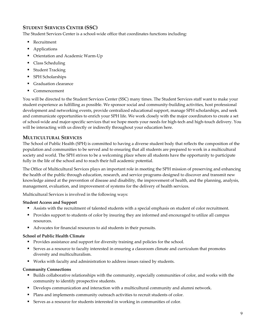### **STUDENT SERVICES CENTER (SSC)**

The Student Services Center is a school‐wide office that coordinates functions including:

- **Recruitment**
- **•** Applications
- Orientation and Academic Warm-Up
- Class Scheduling
- Student Tracking
- SPH Scholarships
- **Graduation clearance**
- Commencement

You will be directed to the Student Services Center (SSC) many times. The Student Services staff want to make your student experience as fulfilling as possible. We sponsor social and community‐building activities, host professional development and networking events, provide centralized educational support, manage SPH scholarships, and seek and communicate opportunities to enrich your SPH life. We work closely with the major coordinators to create a set of school‐wide and major‐specific services that we hope meets your needs for high‐tech and high‐touch delivery. You will be interacting with us directly or indirectly throughout your education here.

### **MULTICULTURAL SERVICES**

The School of Public Health (SPH) is committed to having a diverse student body that reflects the composition of the population and communities to be served and to ensuring that all students are prepared to work in a multicultural society and world. The SPH strives to be a welcoming place where all students have the opportunity to participate fully in the life of the school and to reach their full academic potential.

The Office of Multicultural Services plays an important role in meeting the SPH mission of preserving and enhancing the health of the public through education, research, and service programs designed to discover and transmit new knowledge aimed at the prevention of disease and disability, the improvement of health, and the planning, analysis, management, evaluation, and improvement of systems for the delivery of health services.

Multicultural Services is involved in the following ways:

### **Student Access and Support**

- Assists with the recruitment of talented students with a special emphasis on student of color recruitment.
- **Provides support to students of color by insuring they are informed and encouraged to utilize all campus** resources.
- Advocates for financial resources to aid students in their pursuits.

### **School of Public Health Climate**

- **Provides assistance and support for diversity training and policies for the school.**
- Serves as a resource to faculty interested in ensuring a classroom climate and curriculum that promotes diversity and multiculturalism.
- Works with faculty and administration to address issues raised by students.

### **Community Connections**

- Builds collaborative relationships with the community, especially communities of color, and works with the community to identify prospective students.
- **Develops communication and interaction with a multicultural community and alumni network.**
- **Plans and implements community outreach activities to recruit students of color.**
- Serves as a resource for students interested in working in communities of color.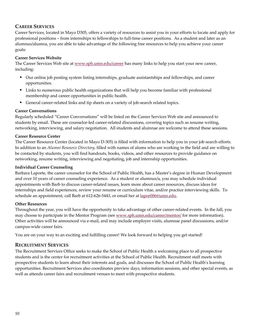### **CAREER SERVICES**

Career Services, located in Mayo D305, offers a variety of resources to assist you in your efforts to locate and apply for professional positions – from internships to fellowships to full‐time career positions. As a student and later as an alumnus/alumna, you are able to take advantage of the following free resources to help you achieve your career goals:

### **Career Services Website**

The Career Services Web site at www.sph.umn.edu/career has many links to help you start your new career, including:

- Our online job posting system listing internships, graduate assistantships and fellowships, and career opportunities.
- Links to numerous public health organizations that will help you become familiar with professional membership and career opportunities in public health.
- General career-related links and tip sheets on a variety of job-search related topics.

### **Career Conversations**

Regularly scheduled "Career Conversations" will be listed on the Career Services Web site and announced to students by email. These are counselor-led career-related discussions, covering topics such as resume writing, networking, interviewing, and salary negotiation. All students and alumnae are welcome to attend these sessions.

### **Career Resource Center**

The Career Resource Center (located in Mayo D‐305) is filled with information to help you in your job search efforts. In addition to an *Alumni Resource Directory,* filled with names of alums who are working in the field and are willing to be contacted by students, you will find handouts, books, videos, and other resources to provide guidance on networking, resume writing, interviewing and negotiating, job and internship opportunities.

### **Individual Career Counseling**

Barbara Laporte, the career counselor for the School of Public Health, has a Master's degree in Human Development and over 10 years of career counseling experience. As a student or alumnus/a, you may schedule individual appointments with Barb to discuss career‐related issues, learn more about career resources, discuss ideas for internships and field experiences, review your resume or curriculum vitae, and/or practice interviewing skills. To schedule an appointment, call Barb at 612-626-5443, or email her at lapor006@umn.edu.

### **Other Resources**

Throughout the year, you will have the opportunity to take advantage of other career-related events. In the fall, you may choose to participate in the Mentor Program (see www.sph.umn.edu/career/mentor/ for more information). Other activities will be announced via e‐mail, and may include employer visits, alumnae panel discussions, and/or campus‐wide career fairs.

You are on your way to an exciting and fulfilling career! We look forward to helping you get started!

### **RECRUITMENT SERVICES**

The Recruitment Services Office seeks to make the School of Public Health a welcoming place to all prospective students and is the center for recruitment activities at the School of Public Health. Recruitment staff meets with prospective students to learn about their interests and goals, and discusses the School of Public Healthʹs learning opportunities. Recruitment Services also coordinates preview days, information sessions, and other special events, as well as attends career fairs and recruitment venues to meet with prospective students.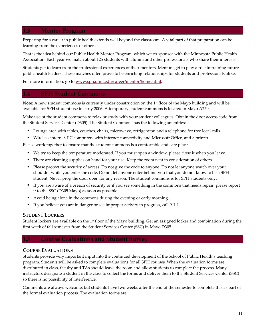### **1.3 Mentor Program**

Preparing for a career in public health extends well beyond the classroom. A vital part of that preparation can be learning from the experiences of others.

That is the idea behind our Public Health Mentor Program, which we co‐sponsor with the Minnesota Public Health Association. Each year we match about 125 students with alumni and other professionals who share their interests.

Students get to learn from the professional experiences of their mentors. Mentors get to play a role in training future public health leaders. These matches often prove to be enriching relationships for students and professionals alike.

For more information, go to www.sph.umn.edu/career/mentor/home.html.

### **1.4 SPH Student Commons**

**Note:** A new student commons is currently under construction on the 1st floor of the Mayo building and will be available for SPH student use in early 2006. A temporary student commons is located in Mayo A270.

Make use of the student commons to relax or study with your student colleagues. Obtain the door access code from the Student Services Center (D305). The Student Commons has the following amenities:

- **Lounge area with tables, couches, chairs, microwave, refrigerator, and a telephone for free local calls.**
- Wireless internet, PC computers with internet connectivity and Microsoft Office, and a printer.

Please work together to ensure that the student commons is a comfortable and safe place.

- We try to keep the temperature moderated. If you must open a window, please close it when you leave.
- There are cleaning supplies on hand for your use. Keep the room neat in consideration of others.
- Please protect the security of access. Do not give the code to anyone. Do not let anyone watch over your shoulder while you enter the code. Do not let anyone enter behind you that you do not know to be a SPH student. Never prop the door open for any reason. The student commons is for SPH students only.
- If you are aware of a breach of security or if you see something in the commons that needs repair, please report it to the SSC (D305 Mayo) as soon as possible.
- Avoid being alone in the commons during the evening or early morning.
- If you believe you are in danger or see improper activity in progress, call 9‐1‐1.

### **STUDENT LOCKERS**

Student lockers are available on the 1<sup>st</sup> floor of the Mayo building. Get an assigned locker and combination during the first week of fall semester from the Student Services Center (SSC) in Mayo D305.

### **1.5 Course Evaluations and Student Survey**

### **COURSE EVALUATIONS**

Students provide very important input into the continued development of the School of Public Health's teaching program. Students will be asked to complete evaluations for all SPH courses. When the evaluation forms are distributed in class, faculty and TAs should leave the room and allow students to complete the process. Many instructors designate a student in the class to collect the forms and deliver them to the Student Services Center (SSC) so there is no possibility of interference.

Comments are always welcome, but students have two weeks after the end of the semester to complete this as part of the formal evaluation process. The evaluation forms are: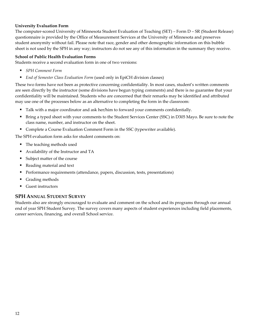### **University Evaluation Form**

The computer‐scored University of Minnesota Student Evaluation of Teaching (SET) – Form D – SR (Student Release) questionnaire is provided by the Office of Measurement Services at the University of Minnesota and preserves student anonymity without fail. Please note that race, gender and other demographic information on this bubble sheet is not used by the SPH in any way; instructors do not see any of this information in the summary they receive.

### **School of Public Health Evaluation Forms**

Students receive a second evaluation form in one of two versions:

- *SPH Comment Form*
- *End of Semester Class Evaluation Form* (used only in EpiCH division classes)

These two forms have not been as protective concerning confidentiality. In most cases, student's written comments are seen directly by the instructor (some divisions have begun typing comments) and there is no guarantee that your confidentiality will be maintained. Students who are concerned that their remarks may be identified and attributed may use one of the processes below as an alternative to completing the form in the classroom:

- Talk with a major coordinator and ask her/him to forward your comments confidentially.
- Bring a typed sheet with your comments to the Student Services Center (SSC) in D305 Mayo. Be sure to note the class name, number, and instructor on the sheet.
- Complete a Course Evaluation Comment Form in the SSC (typewriter available).

The SPH evaluation form asks for student comments on:

- The teaching methods used
- Availability of the Instructor and TA
- Subject matter of the course
- Reading material and text
- **Performance requirements (attendance, papers, discussion, tests, presentations)**
- Grading methods
- Guest instructors

### **SPH ANNUAL STUDENT SURVEY**

Students also are strongly encouraged to evaluate and comment on the school and its programs through our annual end of year SPH Student Survey. The survey covers many aspects of student experiences including field placements, career services, financing, and overall School service.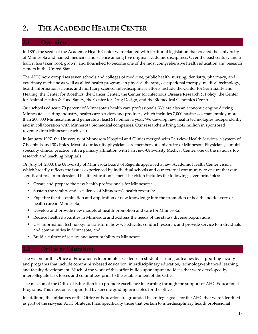# **2. THE ACADEMIC HEALTH CENTER**

### **2.1 Overview**

In 1851, the seeds of the Academic Health Center were planted with territorial legislation that created the University of Minnesota and named medicine and science among five original academic disciplines. Over the past century and a half, it has taken root, grown, and flourished to become one of the most comprehensive health education and research centers in the United States.

The AHC now comprises seven schools and colleges of medicine, public health, nursing, dentistry, pharmacy, and veterinary medicine as well as allied health programs in physical therapy, occupational therapy, medical technology, health information science, and mortuary science. Interdisciplinary efforts include the Center for Spirituality and Healing, the Center for Bioethics, the Cancer Center, the Center for Infectious Disease Research & Policy, the Center for Animal Health & Food Safety, the Center for Drug Design, and the Biomedical Genomics Center.

Our schools educate 70 percent of Minnesota's health care professionals. We are also an economic engine driving Minnesota's leading industry, health care services and products, which includes 7,000 businesses that employ more than 200,000 Minnesotans and generate at least \$15 billion a year. We develop new health technologies independently and in collaboration with Minnesota biomedical companies. Our researchers bring \$242 million in sponsored revenues into Minnesota each year.

In January 1997, the University of Minnesota Hospital and Clinics merged with Fairview Health Services, a system of 7 hospitals and 30 clinics. Most of our faculty physicians are members of University of Minnesota Physicians, a multi‐ specialty clinical practice with a primary affiliation with Fairview-University Medical Center, one of the nation's top research and teaching hospitals.

On July 14, 2000, the University of Minnesota Board of Regents approved a new Academic Health Center vision, which broadly reflects the issues experienced by individual schools and our external community to ensure that our significant role in professional health education is met. The vision includes the following seven principles:

- Create and prepare the new health professionals for Minnesota;
- Sustain the vitality and excellence of Minnesota's health research;
- Expedite the dissemination and application of new knowledge into the promotion of health and delivery of health care in Minnesota;
- Develop and provide new models of health promotion and care for Minnesota;
- Reduce health disparities in Minnesota and address the needs of the state's diverse populations;
- Use information technology to transform how we educate, conduct research, and provide service to individuals and communities in Minnesota; and
- Build a culture of service and accountability to Minnesota.

### **2.2 Office of Education**

The vision for the Office of Education is to promote excellence in student learning outcomes by supporting faculty and programs that include community‐based education, interdisciplinary education, technology‐enhanced learning, and faculty development. Much of the work of this office builds upon input and ideas that were developed by intercollegiate task forces and committees prior to the establishment of the Office.

The mission of the Office of Education is to promote excellence in learning through the support of AHC Educational Programs. This mission is supported by specific guiding principles for the office.

In addition, the initiatives of the Office of Education are grounded in strategic goals for the AHC that were identified as part of the six‐year AHC Strategic Plan, specifically those that pertain to interdisciplinary health professional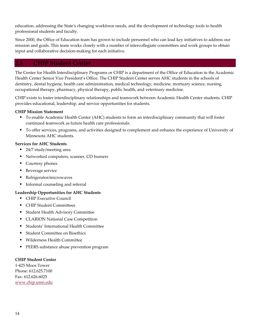education, addressing the Stateʹs changing workforce needs, and the development of technology tools to health professional students and faculty.

Since 2000, the Office of Education team has grown to include personnel who can lead key initiatives to address our mission and goals. This team works closely with a number of intercollegiate committees and work groups to obtain input and collaborative decision‐making for each initiative.

### **2.3 CHIP Student Center**

The Center for Health Interdisciplinary Programs or CHIP is a department of the Office of Education in the Academic Health Center Senior Vice President's Office. The CHIP Student Center serves AHC students in the schools of dentistry, dental hygiene, health care administration, medical technology, medicine, mortuary science, nursing, occupational therapy, pharmacy, physical therapy, public health, and veterinary medicine.

CHIP exists to foster interdisciplinary relationships and teamwork between Academic Health Center students. CHIP provides educational, leadership, and service opportunities for students.

### **CHIP Mission Statement**

- To enable Academic Health Center (AHC) students to form an interdisciplinary community that will foster continued teamwork as future health care professionals.
- To offer services, programs, and activities designed to complement and enhance the experience of University of Minnesota AHC students.

### **Services for AHC Students**

- 24/7 study/meeting area
- Networked computers, scanner, CD burners
- Courtesy phones
- Beverage service
- **Refrigerator/microwaves**
- Informal counseling and referral

### **Leadership Opportunities for AHC Students**

- CHIP Executive Council
- CHIP Student Committees
- Student Health Advisory Committee
- **CLARION National Case Competition**
- Students' International Health Committee
- **Student Committee on Bioethics**
- Wilderness Health Committee
- **PEERS** substance abuse prevention program

### **CHIP Student Center**

1‐425 Moos Tower Phone: 612.625.7100 Fax: 612.626.6025 www.chip.umn.edu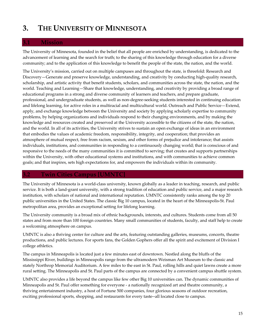# **3. THE UNIVERSITY OF MINNESOTA**

### **3.1 Mission**

The University of Minnesota, founded in the belief that all people are enriched by understanding, is dedicated to the advancement of learning and the search for truth; to the sharing of this knowledge through education for a diverse community; and to the application of this knowledge to benefit the people of the state, the nation, and the world.

The University's mission, carried out on multiple campuses and throughout the state, is threefold: Research and Discovery—Generate and preserve knowledge, understanding, and creativity by conducting high-quality research, scholarship, and artistic activity that benefit students, scholars, and communities across the state, the nation, and the world. Teaching and Learning—Share that knowledge, understanding, and creativity by providing a broad range of educational programs in a strong and diverse community of learners and teachers, and prepare graduate, professional, and undergraduate students, as well as non‐degree‐seeking students interested in continuing education and lifelong learning, for active roles in a multiracial and multicultural world. Outreach and Public Service—Extend, apply, and exchange knowledge between the University and society by applying scholarly expertise to community problems, by helping organizations and individuals respond to their changing environments, and by making the knowledge and resources created and preserved at the University accessible to the citizens of the state, the nation, and the world. In all of its activities, the University strives to sustain an open exchange of ideas in an environment that embodies the values of academic freedom, responsibility, integrity, and cooperation; that provides an atmosphere of mutual respect, free from racism, sexism, and other forms of prejudice and intolerance; that assists individuals, institutions, and communities in responding to a continuously changing world; that is conscious of and responsive to the needs of the many communities it is committed to serving; that creates and supports partnerships within the University, with other educational systems and institutions, and with communities to achieve common goals; and that inspires, sets high expectations for, and empowers the individuals within its community.

### **3.2 Twin Cities Campus [UMNTC]**

The University of Minnesota is a world‐class university, known globally as a leader in teaching, research, and public service. It is both a land-grant university, with a strong tradition of education and public service, and a major research institution, with scholars of national and international reputation. UMNTC consistently ranks among the top 20 public universities in the United States. The classic Big 10 campus, located in the heart of the Minneapolis‐St. Paul metropolitan area, provides an exceptional setting for lifelong learning.

The University community is a broad mix of ethnic backgrounds, interests, and cultures. Students come from all 50 states and from more than 100 foreign countries. Many small communities of students, faculty, and staff help to create a welcoming atmosphere on campus.

UMNTC is also a thriving center for culture and the arts, featuring outstanding galleries, museums, concerts, theatre productions, and public lectures. For sports fans, the Golden Gophers offer all the spirit and excitement of Division I college athletics.

The campus in Minneapolis is located just a few minutes east of downtown. Nestled along the bluffs of the Mississippi River, buildings in Minneapolis range from the ultramodern Weisman Art Museum to the classic and stately Northrop Memorial Auditorium. A few miles to the east in St. Paul, rolling hills and quiet lawns create a more rural setting. The Minneapolis and St. Paul parts of the campus are connected by a convenient campus shuttle system.

UMNTC also provides a life beyond the campus like few other Big 10 universities can. The dynamic communities of Minneapolis and St. Paul offer something for everyone ‐ a nationally recognized art and theatre community, a thriving entertainment industry, a host of Fortune 500 companies, four glorious seasons of outdoor recreation, exciting professional sports, shopping, and restaurants for every taste‐‐all located close to campus.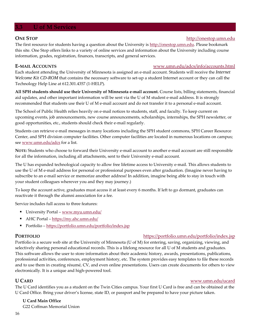### **3.3 U of M Services**

### **ONE STOP** http://onestop.umn.edu

### The first resource for students having a question about the University is http://onestop.umn.edu. Please bookmark this site. One Stop offers links to a variety of online services and information about the University including course information, grades, registration, finances, transcripts, and general services.

### **E‐MAIL ACCOUNTS** www.umn.edu/adcs/info/accounts.html

Each student attending the University of Minnesota is assigned an e‐mail account. Students will receive the *Internet Welcome Kit CD-ROM* that contains the necessary software to set-up a student Internet account or they can call the Technology Help Line at 612.301.4357 (1‐HELP).

**All SPH students should use their University of Minnesota e‐mail account.** Course lists, billing statements, financial aid updates, and other important information will be sent via the U of M student e-mail address. It is strongly recommended that students use their U of M e-mail account and do not transfer it to a personal e-mail account.

The School of Public Health relies heavily on e‐mail notices to students, staff, and faculty. To keep current on upcoming events, job announcements, new course announcements, scholarships, internships, the SPH newsletter, or good opportunities, etc., students should check their e‐mail regularly.

Students can retrieve e‐mail messages in many locations including the SPH student commons, SPH Career Resource Center, and SPH division computer facilities. Other computer facilities are located in numerous locations on campus; see www.umn.edu/adcs for a list.

**NOTE:** Students who choose to forward their University e‐mail account to another e‐mail account are still responsible for all the information, including all attachments, sent to their University e-mail account.

The U has expanded technological capacity to allow free lifetime access to University e-mail. This allows students to use the U of M e-mail address for personal or professional purposes even after graduation. (Imagine never having to subscribe to an e-mail service or memorize another address! In addition, imagine being able to stay in touch with your student colleagues wherever you and they may journey.)

To keep the account active, graduates must access it at least every 6 months. If left to go dormant, graduates can reactivate it through the alumni association for a fee.

Service includes full access to three features:

- University Portal www.myu.umn.edu/
- AHC Portal https://my.ahc.umn.edu/
- Portfolio https://portfolio.umn.edu/portfolio/index.jsp

### **PORTFOLIO** https://portfolio.umn.edu/portfolio/index.jsp

Portfolio is a secure web site at the University of Minnesota (U of M) for entering, saving, organizing, viewing, and selectively sharing personal educational records. This is a lifelong resource for all U of M students and graduates. This software allows the user to store information about their academic history, awards, presentations, publications, professional activities, conferences, employment history, etc. The system provides easy templates to file these records and to use them in creating résumé, CV, and even online presentations. Users can create documents for others to view electronically. It is a unique and high‐powered tool.

### **U CARD** www.umn.edu/ucard

The U Card identifies you as a student on the Twin Cities campus. Your first U Card is free and can be obtained at the U Card Office. Bring your driver's license, state ID, or passport and be prepared to have your picture taken.

### **U Card Main Office**

G22 Coffman Memorial Union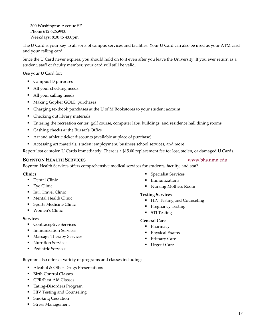300 Washington Avenue SE Phone 612.626.9900 Weekdays: 8:30 to 4:00pm

The U Card is your key to all sorts of campus services and facilities. Your U Card can also be used as your ATM card and your calling card.

Since the U Card never expires, you should hold on to it even after you leave the University. If you ever return as a student, staff or faculty member, your card will still be valid.

Use your U Card for:

- Campus ID purposes
- All your checking needs
- All your calling needs
- **Making Gopher GOLD purchases**
- Charging textbook purchases at the U of M Bookstores to your student account
- Checking out library materials
- Entering the recreation center, golf course, computer labs, buildings, and residence hall dining rooms
- Cashing checks at the Bursar's Office
- Art and athletic ticket discounts (available at place of purchase)
- Accessing art materials, student employment, business school services, and more

Report lost or stolen U Cards immediately. There is a \$15.00 replacement fee for lost, stolen, or damaged U Cards.

### **BOYNTON HEALTH SERVICES** www.bhs.umn.edu

Boynton Health Services offers comprehensive medical services for students, faculty, and staff.

### **Clinics**

- Dental Clinic
- **Eye Clinic**
- **Int'l Travel Clinic**
- **Mental Health Clinic**
- **Sports Medicine Clinic**
- Women's Clinic

### **Services**

- **Contraceptive Services**
- **Immunization Services**
- **Massage Therapy Services**
- **Nutrition Services**
- Pediatric Services
- **Specialist Services**
- **Immunizations**
- Nursing Mothers Room

### **Testing Services**

- HIV Testing and Counseling
- **Pregnancy Testing**
- **STI Testing**

### **General Care**

- Pharmacy
- **Physical Exams**
- **Primary Care**
- Urgent Care

Boynton also offers a variety of programs and classes including:

- Alcohol & Other Drugs Presentations
- Birth Control Classes
- **CPR/First Aid Classes**
- Eating-Disorders Program
- **HIV Testing and Counseling**
- **Smoking Cessation**
- Stress Management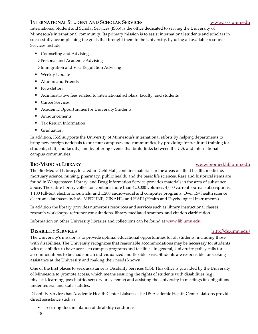### **INTERNATIONAL STUDENT AND SCHOLAR SERVICES** www.isss.umn.edu

International Student and Scholar Services (ISSS) is the office dedicated to serving the University of Minnesotaʹs international community. Its primary mission is to assist international students and scholars in successfully accomplishing the goals that brought them to the University, by using all available resources. Services include:

- Counseling and Advising
	- ¾Personal and Academic Advising
- ¾Immigration and Visa Regulation Advising
- **Weekly Update**
- Alumni and Friends
- Newsletters
- Administrative fees related to international scholars, faculty, and students
- **Career Services**
- Academic Opportunities for University Students
- **Announcements**
- Tax Return Information
- **Graduation**

In addition, ISSS supports the University of Minnesota's international efforts by helping departments to bring new foreign nationals to our four campuses and communities, by providing intercultural training for students, staff, and faculty, and by offering events that build links between the U.S. and international campus communities.

### **BIO‐MEDICAL LIBRARY** www.biomed.lib.umn.edu

The Bio‐Medical Library, located in Diehl Hall, contains materials in the areas of allied health, medicine, mortuary science, nursing, pharmacy, public health, and the basic life sciences. Rare and historical items are found in Wangensteen Library, and Drug Information Service provides materials in the area of substance abuse. The entire library collection contains more than 420,000 volumes, 4,000 current journal subscriptions, 1,100 full‐text electronic journals, and 1,200 audio‐visual and computer programs. Over 15+ health science electronic databases include MEDLINE, CINAHL, and HAPI (Health and Psychological Instruments).

In addition the library provides numerous resources and services such as library instructional classes, research workshops, reference consultations, library mediated searches, and citation clarification.

Information on other University libraries and collections can be found at www.lib.umn.edu.

### **DISABILITY SERVICES** http://ds.umn.edu/

The University's mission is to provide optimal educational opportunities for all students, including those with disabilities. The University recognizes that reasonable accommodations may be necessary for students with disabilities to have access to campus programs and facilities. In general, University policy calls for accommodations to be made on an individualized and flexible basis. Students are responsible for seeking assistance at the University and making their needs known.

One of the first places to seek assistance is Disability Services (DS). This office is provided by the University of Minnesota to promote access, which means ensuring the rights of students with disabilities (e.g., physical, learning, psychiatric, sensory or systemic) and assisting the University in meetings its obligations under federal and state statutes.

Disability Services has Academic Health Center Liaisons. The DS Academic Health Center Liaisons provide direct assistance such as

securing documentation of disability conditions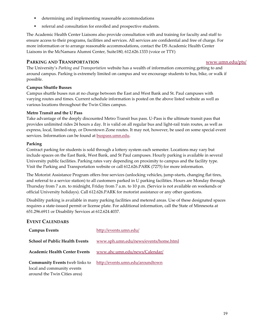- determining and implementing reasonable accommodations
- referral and consultation for enrolled and prospective students.

The Academic Health Center Liaisons also provide consultation with and training for faculty and staff to ensure access to their programs, facilities and services. All services are confidential and free of charge. For more information or to arrange reasonable accommodations, contact the DS Academic Health Center Liaisons in the McNamara Alumni Center, Suite180, 612.626.1333 (voice or TTY)

### **PARKING AND TRANSPORTATION CONSUMING** *AND* **TRANSPORTATION** *WWW.umn.edu/pts/*

The University's *Parking and Transportation* website has a wealth of information concerning getting to and around campus. Parking is extremely limited on campus and we encourage students to bus, bike, or walk if possible.

### **Campus Shuttle Busses**

Campus shuttle buses run at no charge between the East and West Bank and St. Paul campuses with varying routes and times. Current schedule information is posted on the above listed website as well as various locations throughout the Twin Cities campus.

### **Metro Transit and the U Pass**

Take advantage of the deeply discounted Metro Transit bus pass. U‐Pass is the ultimate transit pass that provides unlimited rides 24 hours a day. It is valid on all regular bus and light‐rail train routes, as well as express, local, limited‐stop, or Downtown Zone routes. It may not, however, be used on some special event services. Information can be found at **buspass.umn.edu**.

### **Parking**

Contract parking for students is sold through a lottery system each semester. Locations may vary but include spaces on the East Bank, West Bank, and St Paul campuses. Hourly parking is available in several University public facilities. Parking rates vary depending on proximity to campus and the facility type. Visit the Parking and Transportation website or call 612.626.PARK (7275) for more information.

The Motorist Assistance Program offers free services (unlocking vehicles, jump-starts, changing flat tires, and referral to a service station) to all customers parked in U parking facilities. Hours are Monday through Thursday from 7 a.m. to midnight, Friday from 7 a.m. to 10 p.m. (Service is not available on weekends or official University holidays). Call 612.626.PARK for motorist assistance or any other questions.

Disability parking is available in many parking facilities and metered areas. Use of these designated spaces requires a state‐issued permit or license plate. For additional information, call the State of Minnesota at 651.296.6911 or Disability Services at 612.624.4037.

### **EVENT CALENDARS**

| <b>Campus Events</b>                                                                                | http://events.umn.edu/                |
|-----------------------------------------------------------------------------------------------------|---------------------------------------|
| <b>School of Public Health Events</b>                                                               | www.sph.umn.edu/news/events/home.html |
| <b>Academic Health Center Events</b>                                                                | www.ahc.umn.edu/news/Calendar/        |
| <b>Community Events (web links to</b><br>local and community events<br>around the Twin Cities area) | http://events.umn.edu/aroundtown      |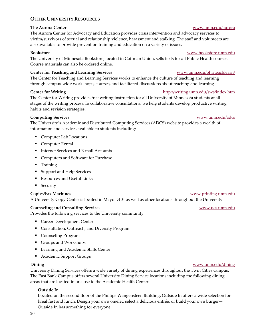### **OTHER UNIVERSITY RESOURCES**

The Aurora Center for Advocacy and Education provides crisis intervention and advocacy services to victim/survivors of sexual and relationship violence, harassment and stalking. The staff and volunteers are also available to provide prevention training and education on a variety of issues.

### **Bookstore** www.bookstore.umn.edu

The University of Minnesota Bookstore, located in Coffman Union, sells texts for all Public Health courses. Course materials can also be ordered online.

### **Center for Teaching and Learning Services** www.umn.edu/ohr/teachlearn/

The Center for Teaching and Learning Services works to enhance the culture of teaching and learning through campus‐wide workshops, courses, and facilitated discussions about teaching and learning.

The Center for Writing provides free writing instruction for all University of Minnesota students at all stages of the writing process. In collaborative consultations, we help students develop productive writing habits and revision strategies.

### **Computing Services** www.umn.edu/adcs

The University's Academic and Distributed Computing Services (ADCS) website provides a wealth of information and services available to students including:

- **Computer Lab Locations**
- **Computer Rental**
- Internet Services and E-mail Accounts
- Computers and Software for Purchase
- **Training**
- Support and Help Services
- Resources and Useful Links
- **Security**

### **Copies/Fax Machines** www.printing.umn.edu

A University Copy Center is located in Mayo D104 as well as other locations throughout the University.

### **Counseling and Consulting Services** www.ucs.umn.edu

Provides the following services to the University community:

- **Career Development Center**
- Consultation, Outreach, and Diversity Program
- Counseling Program
- Groups and Workshops
- **Learning and Academic Skills Center**
- Academic Support Groups

### **Dining** www.umn.edu/dining

University Dining Services offers a wide variety of dining experiences throughout the Twin Cities campus. The East Bank Campus offers several University Dining Service locations including the following dining areas that are located in or close to the Academic Health Center:

### **Outside In**

Located on the second floor of the Phillips Wangensteen Building, Outside In offers a wide selection for breakfast and lunch. Design your own omelet, select a delicious entrée, or build your own burger— Outside In has something for everyone.

### **The Aurora Center Center Center Center Center Center Center Center Center Center Center Center Center Center Center Center Center Center Center Center Center Center Center Cen**

### **Center for Writing Center for Writing http://writing.umn.edu/sws/index.htm**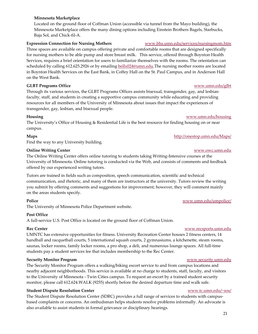### **Minnesota Marketplace**

Located on the ground floor of Coffman Union (accessible via tunnel from the Mayo building), the Minnesota Marketplace offers the many dining options including Einstein Brothers Bagels, Starbucks, Baja Sol, and Chick‐fil‐A.

Three spaces are available on campus offering private and comfortable rooms that are designed specifically for nursing mothers to be able pump and store breast milk. This service, offered through Boynton Health Services, requires a brief orientation for users to familiarize themselves with the rooms. The orientation can scheduled by calling 612.625.2926 or by emailing **bellx024@umn.edu.**The nursing mother rooms are located in Boynton Health Services on the East Bank, in Coffey Hall on the St. Paul Campus, and in Anderson Hall on the West Bank.

### **GLBT Programs Office** www.umn.edu/glbt

Through its various services, the GLBT Programs Offices assists bisexual, transgender, gay, and lesbian faculty, staff, and students in creating a supportive campus community while educating and providing resources for all members of the University of Minnesota about issues that impact the experiences of transgender, gay, lesbian, and bisexual people.

The University's Office of Housing & Residential Life is the best resource for finding housing on or near campus.

Find the way to any University building.

### **Online Writing Center** www.owc.umn.edu

The Online Writing Center offers online tutoring to students taking Writing-Intensive courses at the University of Minnesota. Online tutoring is conducted via the Web, and consists of comments and feedback offered by our experienced writing tutors.

Tutors are trained in fields such as composition, speech communication, scientific and technical communication, and rhetoric, and many of them are instructors at the university. Tutors review the writing you submit by offering comments and suggestions for improvement; however, they will comment mainly on the areas students specify.

### **Police** www.umn.edu/umpolice/

The University of Minnesota Police Department website.

### **Post Office**

A full‐service U.S. Post Office is located on the ground floor of Coffman Union.

### **Rec Center** www.recsports.umn.edu

UMNTC has extensive opportunities for fitness. University Recreation Center houses 2 fitness centers, 14 handball and racquetball courts, 5 international squash courts, 2 gymnasiums, a kitchenette, steam rooms, saunas, locker rooms, family locker rooms, a pro shop, a deli, and numerous lounge spaces. All full‐time students pay a student services fee that includes membership to the Rec Center.

### **Security Monitor Program** www.security.umn.edu

The Security Monitor Program offers a walking/biking escort service to and from campus locations and nearby adjacent neighborhoods. This service is available at no charge to students, staff, faculty, and visitors to the University of Minnesota ‐ Twin Cities campus. To request an escort by a trained student security monitor, please call 612.624.WALK (9255) shortly before the desired departure time and walk safe.

### **Student Dispute Resolution Center** www.tc.umn.edu/~sos/

The Student Dispute Resolution Center (SDRC) provides a full range of services to students with campus‐ based complaints or concerns. An ombudsman helps students resolve problems informally. An advocate is also available to assist students in formal grievance or disciplinary hearings.

### **Expression Connection for Nursing Mothers** www.bhs.umn.edu/services/nursingmom.htm

### **Housing** www.umn.edu/housing

### **Maps** http://onestop.umn.edu/Maps/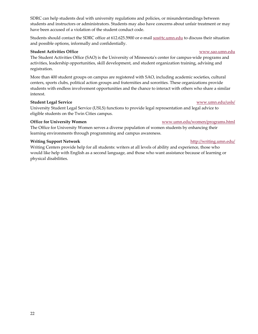SDRC can help students deal with university regulations and policies, or misunderstandings between students and instructors or administrators. Students may also have concerns about unfair treatment or may have been accused of a violation of the student conduct code.

Students should contact the SDRC office at 612.625.5900 or e‐mail sos@tc.umn.edu to discuss their situation and possible options, informally and confidentially.

### **Student Activities Office** www.sao.umn.edu

The Student Activities Office (SAO) is the University of Minnesotaʹs center for campus‐wide programs and activities, leadership opportunities, skill development, and student organization training, advising and registration.

More than 400 student groups on campus are registered with SAO, including academic societies, cultural centers, sports clubs, political action groups and fraternities and sororities. These organizations provide students with endless involvement opportunities and the chance to interact with others who share a similar interest.

### **Student Legal Service** www.umn.edu/usls/

University Student Legal Service (USLS) functions to provide legal representation and legal advice to eligible students on the Twin Cities campus.

### **Office for University Women** www.umn.edu/women/programs.html

The Office for University Women serves a diverse population of women students by enhancing their learning environments through programming and campus awareness.

### **Writing Support Network http://writing.umn.edu/**

Writing Centers provide help for all students: writers at all levels of ability and experience, those who would like help with English as a second language, and those who want assistance because of learning or physical disabilities.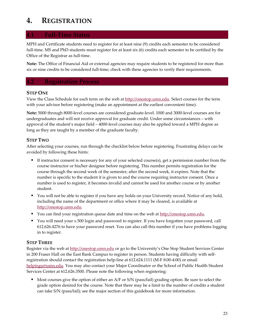# **4. REGISTRATION**

### **4.1 Full‐Time Status**

MPH and Certificate students need to register for at least nine (9) credits each semester to be considered full-time. MS and PhD students must register for at least six (6) credits each semester to be certified by the Office of the Registrar as full‐time.

**Note:** The Office of Financial Aid or external agencies may require students to be registered for more than six or nine credits to be considered full-time; check with these agencies to verify their requirements.

### **4.2 Registration Process**

### **STEP ONE**

View the Class Schedule for each term on the web at http://onestop.umn.edu. Select courses for the term with your advisor before registering (make an appointment at the earliest convenient time).

**Note:** 5000 through 8000‐level courses are considered graduate‐level. 1000 and 3000‐level courses are for undergraduates and will not receive approval for graduate credit. Under some circumstances – with approval of the student's major field – 4000-level courses may also be applied toward a MPH degree as long as they are taught by a member of the graduate faculty.

### **STEP TWO**

After selecting your courses, run through the checklist below before registering. Frustrating delays can be avoided by following these hints:

- If instructor consent is necessary for any of your selected course(s), get a permission number from the course instructor or his/her designee before registering. This number permits registration for the course through the second week of the semester; after the second week, it expires. Note that the number is specific to the student it is given to and the course requiring instructor consent. Once a number is used to register, it becomes invalid and cannot be used for another course or by another student.
- You will not be able to register if you have any holds on your University record. Notice of any hold, including the name of the department or office where it may be cleared, is available at http://onestop.umn.edu.
- You can find your registration queue date and time on the web at http://onestop.umn.edu.
- You will need your x.500 login and password to register. If you have forgotten your password, call 612.626.4276 to have your password reset. You can also call this number if you have problems logging in to register.

### **STEP THREE**

Register via the web at http://onestop.umn.edu or go to the University's One Stop Student Services Center in 200 Fraser Hall on the East Bank Campus to register in person. Students having difficulty with self‐ registration should contact the registration help-line at 612.624.1111 (M-F 8:00-4:00) or email helpingu@umn.edu. You may also contact your Major Coordinator or the School of Public Health Student Services Center at 612.626.3500. Please note the following when registering:

**Most courses give the option of either an A/F or S/N (pass/fail) grading option. Be sure to select the** grade option desired for the course. Note that there may be a limit to the number of credits a student can take S/N (pass/fail); see the major section of this guidebook for more information.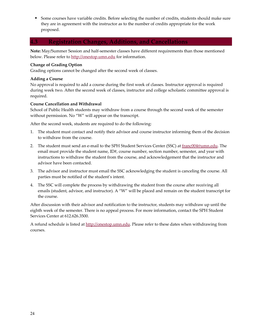Some courses have variable credits. Before selecting the number of credits, students should make sure they are in agreement with the instructor as to the number of credits appropriate for the work proposed.

### **4.3 Registration Changes, Additions, and Cancellations**

**Note:** May/Summer Session and half‐semester classes have different requirements than those mentioned below. Please refer to http://onestop.umn.edu for information.

### **Change of Grading Option**

Grading options cannot be changed after the second week of classes.

### **Adding a Course**

No approval is required to add a course during the first week of classes. Instructor approval is required during week two. After the second week of classes, instructor and college scholastic committee approval is required.

### **Course Cancellation and Withdrawal**

School of Public Health students may withdraw from a course through the second week of the semester without permission. No "W" will appear on the transcript.

After the second week, students are required to do the following:

- 1. The student must contact and notify their advisor and course instructor informing them of the decision to withdraw from the course.
- 2. The student must send an e-mail to the SPH Student Services Center (SSC) at franc004@umn.edu. The email must provide the student name,  $ID^{\#}$ , course number, section number, semester, and year with instructions to withdraw the student from the course, and acknowledgement that the instructor and advisor have been contacted.
- 3. The advisor and instructor must email the SSC acknowledging the student is canceling the course. All parties must be notified of the student's intent.
- 4. The SSC will complete the process by withdrawing the student from the course after receiving all emails (student, advisor, and instructor). A "W" will be placed and remain on the student transcript for the course.

After discussion with their advisor and notification to the instructor, students may withdraw up until the eighth week of the semester. There is no appeal process. For more information, contact the SPH Student Services Center at 612.626.3500.

A refund schedule is listed at http://onestop.umn.edu. Please refer to these dates when withdrawing from courses.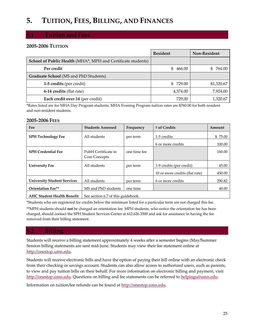# **5. TUITION, FEES, BILLING, AND FINANCES**

### **5.1 Tuition and Fees**

### **2005‐2006 TUITION**

|                                                              | <b>Resident</b> | Non-Resident |
|--------------------------------------------------------------|-----------------|--------------|
| School of Public Health (MHA*, MPH and Certificate students) |                 |              |
| Per credit                                                   | 466.00<br>\$.   | 764.00       |
| <b>Graduate School</b> (MS and PhD Students)                 |                 |              |
| 1-5 credits (per credit)                                     | \$729.00        | \$1,320.67   |
| 6-14 credits (flat rate)                                     | 4,374.00        | 7,924.00     |
| Each credit over 14 (per credit)                             | 729.00          | 1.320.67     |

\*Rates listed are for MHA Day Program students. MHA Evening Program tuition rates are \$760.00 for both resident and non‐resident students.

### **2005‐2006 FEES**

| Fee                                | <b>Students Assessed</b>             | Frequency    | # of Credits                   | Amount  |
|------------------------------------|--------------------------------------|--------------|--------------------------------|---------|
| <b>SPH Technology Fee</b>          | All students                         | per term     | 1-5 credits                    | \$75.00 |
|                                    |                                      |              | 6 or more credits              | 100.00  |
| <b>SPH Credential Fee</b>          | PubH Certificate in<br>Core Concepts | one time fee |                                | 160.00  |
| <b>University Fee</b>              | All students                         | per term     | 1-9 credits (per credit)       | 45.00   |
|                                    |                                      |              | 10 or more credits (flat rate) | 450.00  |
| <b>University Student Services</b> | All students                         | per term     | 6 or more credits              | 290.82  |
| <b>Orientation Fee**</b>           | MS and PhD students                  | one time     |                                | 40.00   |
|                                    |                                      |              |                                |         |

**AHC Student Health Benefit** | See section 6.7 of this guidebook.

\*Students who are registered for credits below the minimum listed for a particular term are not charged this fee.

\*\*MPH students should **not** be charged an orientation fee. MPH students, who notice the orientation fee has been charged, should contact the SPH Student Services Center at 612.626.3500 and ask for assistance in having the fee removed from their billing statement.

### **5.2 Billing**

Students will receive a billing statement approximately 4 weeks after a semester begins (May/Summer Session billing statements are sent mid‐June. Students may view their fee statement online at http://onestop.umn.edu.

Students will receive electronic bills and have the option of paying their bill online with an electronic check from their checking or savings account. Students can also allow access to authorized users, such as parents, to view and pay tuition bills on their behalf. For more information on electronic billing and payment, visit http://onestop.umn.edu. Questions on billing and fee statements can be referred to helpingu@umn.edu.

Information on tuition/fee refunds can be found at http://onestop.umn.edu.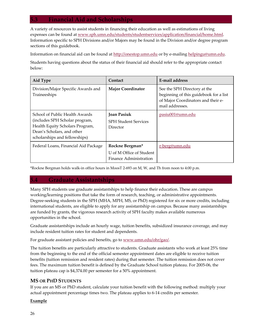### **5.3 Financial Aid and Scholarships**

A variety of resources to assist students in financing their education as well as estimations of living expenses can be found at www.sph.umn.edu/students/studentservices/application/financial/home.html. Information specific to SPH Divisions and/or Majors may be found in the Division and/or degree program sections of this guidebook.

Information on financial aid can be found at http://onestop.umn.edu or by e-mailing helpingu@umn.edu.

Students having questions about the status of their financial aid should refer to the appropriate contact below:

| Aid Type                                                                                                                                                           | Contact                                                               | E-mail address                                                                                                                  |
|--------------------------------------------------------------------------------------------------------------------------------------------------------------------|-----------------------------------------------------------------------|---------------------------------------------------------------------------------------------------------------------------------|
| Division/Major Specific Awards and<br>Traineeships                                                                                                                 | <b>Major Coordinator</b>                                              | See the SPH Directory at the<br>beginning of this guidebook for a list<br>of Major Coordinators and their e-<br>mail addresses. |
| School of Public Health Awards<br>(includes SPH Scholar program,<br>Health Equity Scholars Program,<br>Dean's Scholars, and other<br>scholarships and fellowships) | <b>Joan Pasiuk</b><br><b>SPH Student Services</b><br>Director         | pasiu001@umn.edu                                                                                                                |
| Federal Loans, Financial Aid Package                                                                                                                               | Rockne Bergman*<br>U of M Office of Student<br>Finance Administration | r-berg@umn.edu                                                                                                                  |

\*Rockne Bergman holds walk‐in office hours in MoosT 2‐693 on M, W, and Th from noon to 4:00 p.m.

### **5.4 Graduate Assistantships**

Many SPH students use graduate assistantships to help finance their education. These are campus working/learning positions that take the form of research, teaching, or administrative appointments. Degree-seeking students in the SPH (MHA, MPH, MS, or PhD) registered for six or more credits, including international students, are eligible to apply for any assistantship on campus. Because many assistantships are funded by grants, the vigorous research activity of SPH faculty makes available numerous opportunities in the school.

Graduate assistantships include an hourly wage, tuition benefits, subsidized insurance coverage, and may include resident tuition rates for student and dependents.

For graduate assistant policies and benefits, go to <u>www.umn.edu/ohr/gao/</u>.

The tuition benefits are particularly attractive to students. Graduate assistants who work at least 25% time from the beginning to the end of the official semester appointment dates are eligible to receive tuition benefits (tuition remission and resident rates) during that semester. The tuition remission does not cover fees. The maximum tuition benefit is defined by the Graduate School tuition plateau. For 2005‐06, the tuition plateau cap is \$4,374.00 per semester for a 50% appointment.

### **MS OR PHD STUDENTS**

If you are an MS or PhD student, calculate your tuition benefit with the following method: multiply your actual appointment percentage times two. The plateau applies to 6‐14 credits per semester.

### **Example**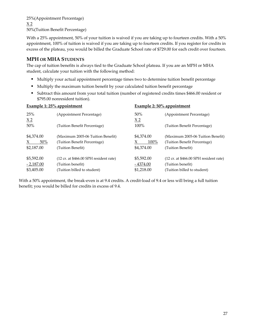25%(Appointment Percentage)  $X<sub>2</sub>$ 50%(Tuition Benefit Percentage)

With a 25% appointment, 50% of your tuition is waived if you are taking up to fourteen credits. With a 50% appointment, 100% of tuition is waived if you are taking up to fourteen credits. If you register for credits in excess of the plateau, you would be billed the Graduate School rate of \$729.00 for each credit over fourteen.

### **MPH OR MHA STUDENTS**

The cap of tuition benefits is always tied to the Graduate School plateau. If you are an MPH or MHA student, calculate your tuition with the following method:

- **Multiply your actual appointment percentage times two to determine tuition benefit percentage**
- **Multiply the maximum tuition benefit by your calculated tuition benefit percentage**
- Subtract this amount from your total tuition (number of registered credits times \$466.00 resident or \$795.00 nonresident tuition).

| Example 1: 25% appointment |                                                          | Example 2: 50% appointment |                                                          |
|----------------------------|----------------------------------------------------------|----------------------------|----------------------------------------------------------|
| 25%<br>X <sub>2</sub>      | (Appointment Percentage)                                 | 50%<br>X <sub>2</sub>      | (Appointment Percentage)                                 |
| 50%                        | (Tuition Benefit Percentage)                             | 100%                       | (Tuition Benefit Percentage)                             |
| \$4,374.00                 | (Maximum 2005-06 Tuition Benefit)                        | \$4,374.00                 | (Maximum 2005-06 Tuition Benefit)                        |
| 50%                        | (Tuition Benefit Percentage)                             | 100%                       | (Tuition Benefit Percentage)                             |
| \$2,187.00                 | Tuition Benefit)                                         | \$4,374.00                 | (Tuition Benefit)                                        |
| \$5,592.00                 | $(12 \text{ cr. at } $466.00 \text{ SPH}$ resident rate) | \$5,592.00                 | $(12 \text{ cr. at } $466.00 \text{ SPH}$ resident rate) |
| $-2,187.00$                | (Tuition benefit)                                        | - 4374.00                  | (Tuition benefit)                                        |
| \$3,405.00                 | Tuition billed to student)                               | \$1,218.00                 | (Tuition billed to student)                              |

With a 50% appointment, the break-even is at 9.4 credits. A credit-load of 9.4 or less will bring a full tuition benefit; you would be billed for credits in excess of 9.4.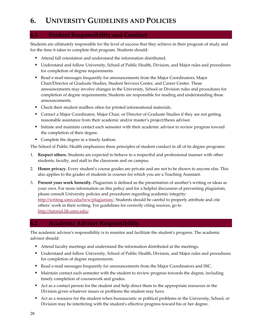# **6. UNIVERSITY GUIDELINES AND POLICIES**

### **6.1 Student Responsibility and Conduct**

Students are ultimately responsible for the level of success that they achieve in their program of study and for the time it takes to complete that program. Students should:

- Attend fall orientation and understand the information distributed.
- Understand and follow University, School of Public Health, Division, and Major rules and procedures for completion of degree requirements.
- Read e-mail messages frequently for announcements from the Major Coordinators, Major Chair/Director of Graduate Studies, Student Services Center, and Career Center. These announcements may involve changes in the University, School or Division rules and procedures for completion of degree requirements; Students are responsible for reading and understanding these announcements.
- Check their student mailbox often for printed informational materials.
- Contact a Major Coordinator, Major Chair, or Director of Graduate Studies if they are not getting reasonable assistance from their academic and/or master's project/thesis advisor.
- Initiate and maintain contact each semester with their academic advisor to review progress toward the completion of their degree.
- Complete the degree in a timely fashion.

The School of Public Health emphasizes three principles of student conduct in all of its degree programs:

- 1. **Respect others.** Students are expected to behave in a respectful and professional manner with other students, faculty, and staff in the classroom and on campus.
- 2. **Honor privacy.** Every student's course grades are private and are not to be shown to anyone else. This also applies to the grades of students in courses for which you are a Teaching Assistant.
- 3. **Present your work honestly.** Plagiarism is defined as the presentation of anotherʹs writing or ideas as your own. For more information on this policy and for a helpful discussion of preventing plagiarism, please consult University policies and procedures regarding academic integrity: http://writing.umn.edu/tww/plagiarism/. Students should be careful to properly attribute and cite othersʹ work in their writing. For guidelines for correctly citing sources, go to http://tutorial.lib.umn.edu/.

### **6.2 Academic Advisor Responsibility**

The academic advisor's responsibility is to monitor and facilitate the student's progress. The academic advisor should:

- Attend faculty meetings and understand the information distributed at the meetings.
- Understand and follow University, School of Public Health, Division, and Major rules and procedures for completion of degree requirements.
- Read e-mail messages frequently for announcements from the Major Coordinators and SSC.
- **Maintain contact each semester with the student to review progress towards the degree, including** timely completion of coursework and grades.
- Act as a contact person for the student and help direct them to the appropriate resources in the Division given whatever issues or problems the student may have.
- Act as a resource for the student when bureaucratic or political problems in the University, School, or Division may be interfering with the studentʹs effective progress toward his or her degree.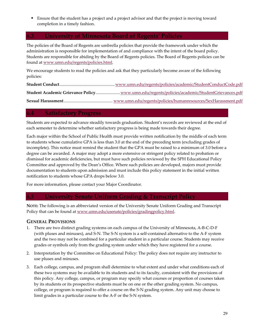Ensure that the student has a project and a project advisor and that the project is moving toward completion in a timely fashion.

### **6.3 University of Minnesota Board of Regents' Policies**

The policies of the Board of Regents are umbrella policies that provide the framework under which the administration is responsible for implementation of and compliance with the intent of the board policy. Students are responsible for abiding by the Board of Regents policies. The Board of Regents policies can be found at www.umn.edu/regents/policies.html.

We encourage students to read the policies and ask that they particularly become aware of the following policies:

### **6.4 Satisfactory Progress**

Students are expected to advance steadily towards graduation. Student's records are reviewed at the end of each semester to determine whether satisfactory progress is being made towards their degree.

Each major within the School of Public Health must provide written notification by the middle of each term to students whose cumulative GPA is less than 3.0 at the end of the preceding term (excluding grades of incomplete). This notice must remind the student that the GPA must be raised to a minimum of 3.0 before a degree can be awarded. A major may adopt a more extensive or stringent policy related to probation or dismissal for academic deficiencies, but must have such policies reviewed by the SPH Educational Policy Committee and approved by the Dean's Office. Where such policies are developed, majors must provide documentation to students upon admission and must include this policy statement in the initial written notification to students whose GPA drops below 3.0.

For more information, please contact your Major Coordinator.

### **6.5 University Senate Uniform Grading & Transcript Policy**

**NOTE:** The following is an abbreviated version of the University Senate Uniform Grading and Transcript Policy that can be found at www.umn.edu/usenate/policies/gradingpolicy.html.

### **GENERAL PROVISIONS**

- 1. There are two distinct grading systems on each campus of the University of Minnesota, A‐B‐C‐D‐F (with pluses and minuses), and S‐N. The S‐N system is a self‐contained alternative to the A‐F system and the two may not be combined for a particular student in a particular course. Students may receive grades or symbols only from the grading system under which they have registered for a course.
- 2. Interpretation by the Committee on Educational Policy: The policy does not require any instructor to use pluses and minuses.
- 3. Each college, campus, and program shall determine to what extent and under what conditions each of these two systems may be available to its students and to its faculty, consistent with the provisions of this policy. Any college, campus, or program may specify what courses or proportion of courses taken by its students or its prospective students must be on one or the other grading system. No campus, college, or program is required to offer a course on the S‐N grading system. Any unit may choose to limit grades in a particular course to the A‐F or the S‐N system.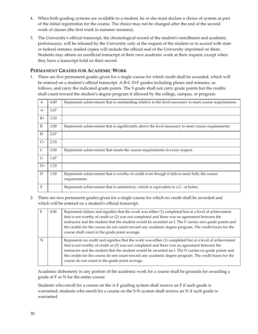- 4. When both grading systems are available to a student, he or she must declare a choice of system as part of the initial registration for the course. The choice may not be changed after the end of the second week of classes (the first week in summer sessions).
- 5. The Universityʹs official transcript, the chronological record of the studentʹs enrollment and academic performance, will be released by the University only at the request of the student or in accord with state or federal statutes; mailed copies will include the official seal of the University imprinted on them. Students may obtain an unofficial transcript of their own academic work at their request, except when they have a transcript hold on their record.

### **PERMANENT GRADES FOR ACADEMIC WORK**

1. There are five permanent grades given for a single course for which credit shall be awarded, which will be entered on a student's official transcript. A-B-C-D-F grades including pluses and minuses, as follows, and carry the indicated grade points. The S grade shall not carry grade points but the credits shall count toward the student's degree program if allowed by the college, campus, or program.

| $\mathbf{A}$  | 4.00 | Represents achievement that is outstanding relative to the level necessary to meet course requirements.        |
|---------------|------|----------------------------------------------------------------------------------------------------------------|
| $A-$          | 3.67 |                                                                                                                |
| $B+$          | 3.33 |                                                                                                                |
| B             | 3.00 | Represents achievement that is significantly above the level necessary to meet course requirements.            |
| $B-$          | 2.67 |                                                                                                                |
| $C+$          | 2.33 |                                                                                                                |
| $\mathcal{C}$ | 2.00 | Represents achievement that meets the course requirements in every respect.                                    |
| $C-$          | 1.67 |                                                                                                                |
| $D+$          | 1.33 |                                                                                                                |
| D             | 1.00 | Represents achievement that is worthy of credit even though it fails to meet fully the course<br>requirements. |
| S             |      | Represents achievement that is satisfactory, which is equivalent to a C- or better.                            |

2. There are two permanent grades given for a single course for which no credit shall be awarded and which will be entered on a student's official transcript.

| F | 0.00 | Represents failure and signifies that the work was either (1) completed but at a level of achievement<br>that is not worthy of credit or (2) was not completed and there was no agreement between the<br>instructor and the student that the student would be awarded an I. The F carries zero grade points and<br>the credits for the course do not count toward any academic degree program. The credit hours for the<br>course shall count in the grade point average.  |
|---|------|----------------------------------------------------------------------------------------------------------------------------------------------------------------------------------------------------------------------------------------------------------------------------------------------------------------------------------------------------------------------------------------------------------------------------------------------------------------------------|
| N |      | Represents no credit and signifies that the work was either (1) completed but at a level of achievement<br>that is not worthy of credit or (2) was not completed and there was no agreement between the<br>instructor and the student that the student would be awarded an I. The N carries no grade points and<br>the credits for the course do not count toward any academic degree program. The credit hours for the<br>course do not count in the grade point average. |

Academic dishonesty in any portion of the academic work for a course shall be grounds for awarding a grade of F or N for the entire course.

Students who enroll for a course on the A-F grading system shall receive an F if such grade is warranted; students who enroll for a course on the S-N system shall receive an N if such grade is warranted.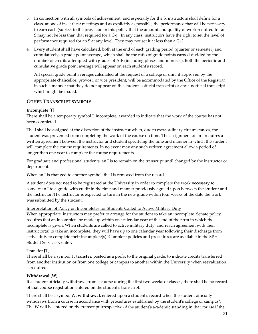- 3. In connection with all symbols of achievement, and especially for the S, instructors shall define for a class, at one of its earliest meetings and as explicitly as possible, the performance that will be necessary to earn each (subject to the provision in this policy that the amount and quality of work required for an S may not be less than that required for a C‐). [In any class, instructors have the right to set the level of performance required for an S at any level. They may not set it at less than a C‐.]
- 4. Every student shall have calculated, both at the end of each grading period (quarter or semester) and cumulatively, a grade point average, which shall be the ratio of grade points earned divided by the number of credits attempted with grades of A‐F (including pluses and minuses). Both the periodic and cumulative grade point average will appear on each studentʹs record.

All special grade point averages calculated at the request of a college or unit, if approved by the appropriate chancellor, provost, or vice president, will be accommodated by the Office of the Registrar in such a manner that they do not appear on the studentʹs official transcript or any unofficial transcript which might be issued.

### **OTHER TRANSCRIPT SYMBOLS**

### **Incomplete [I]**

There shall be a temporary symbol I, incomplete, awarded to indicate that the work of the course has not been completed.

The I shall be assigned at the discretion of the instructor when, due to extraordinary circumstances, the student was prevented from completing the work of the course on time. The assignment of an I requires a written agreement between the instructor and student specifying the time and manner in which the student will complete the course requirements. In no event may any such written agreement allow a period of longer than one year to complete the course requirements.

For graduate and professional students, an I is to remain on the transcript until changed by the instructor or department.

When an I is changed to another symbol, the I is removed from the record.

A student does not need to be registered at the University in order to complete the work necessary to convert an I to a grade with credit in the time and manner previously agreed upon between the student and the instructor.The instructor is expected to turn in the new grade within four weeks of the date the work was submitted by the student.

### Interpretation of Policy on Incompletes for Students Called to Active Military Duty

When appropriate, instructors may prefer to arrange for the student to take an incomplete. Senate policy requires that an incomplete be made up within one calendar year of the end of the term in which the incomplete is given. When students are called to active military duty, and reach agreement with their instructor(s) to take an incomplete, they will have up to one calendar year following their discharge from active duty to complete their incomplete(s). Complete policies and procedures are available in the SPH Student Services Center.

### **Transfer [T]**

There shall be a symbol T, **transfer**, posted as a prefix to the original grade, to indicate credits transferred from another institution or from one college or campus to another within the University when reevaluation is required.

### **Withdrawal [W]**

If a student officially withdraws from a course during the first two weeks of classes, there shall be no record of that course registration entered on the studentʹs transcript.

There shall be a symbol W, **withdrawal**, entered upon a studentʹs record when the student officially withdraws from a course in accordance with procedures established by the student's college or campus\*. The W will be entered on the transcript irrespective of the student's academic standing in that course if the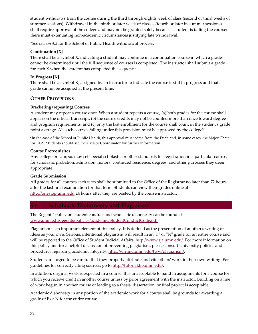student withdraws from the course during the third through eighth week of class (second or third weeks of summer sessions). Withdrawal in the ninth or later week of classes (fourth or later in summer sessions) shall require approval of the college and may not be granted solely because a student is failing the course; there must extenuating non‐academic circumstances justifying late withdrawal.

\*See *section 4.3* for the School of Public Health withdrawal process.

### **Continuation [X]**

There shall be a symbol X, indicating a student may continue in a continuation course in which a grade cannot be determined until the full sequence of courses is completed. The instructor shall submit a grade for each X when the student has completed the sequence.

### **In Progress [K]**

There shall be a symbol K, assigned by an instructor to indicate the course is still in progress and that a grade cannot be assigned at the present time.

### **OTHER PROVISIONS**

### **Bracketing (repeating) Courses**

A student may repeat a course once. When a student repeats a course, (a) both grades for the course shall appear on the official transcript, (b) the course credits may not be counted more than once toward degree and program requirements, and (c) only the last enrollment for the course shall count in the student's grade point average. All such courses falling under this provision must be approved by the college\*.

\*In the case of the School of Public Health, this approval must come from the Dean and, in some cases, the Major Chair or DGS. Students should see their Major Coordinator for further information.

### **Course Prerequisites**

Any college or campus may set special scholastic or other standards for registration in a particular course, for scholastic probation, admission, honors, continued residence, degrees, and other purposes they deem appropriate.

### **Grade Submission**

All grades for all courses each term shall be submitted to the Office of the Registrar no later than 72 hours after the last final examination for that term. Students can view their grades online at http://onestop.umn.edu 24 hours after they are posted by the course instructor.

### **6.6 Scholastic Dishonesty and Plagiarism**

The Regents' policy on student conduct and scholastic dishonesty can be found at www.umn.edu/regents/policies/academic/StudentConductCode.pdf.

Plagiarism is an important element of this policy. It is defined as the presentation of another's writing or ideas as your own. Serious, intentional plagiarism will result in an "F" or "N" grade for an entire course and will be reported to the Office of Student Judicial Affairs: http://www.sja.umn.edu/. For more information on this policy and for a helpful discussion of preventing plagiarism, please consult University policies and procedures regarding academic integrity: http://writing.umn.edu/tww/plagiarism/.

Students are urged to be careful that they properly attribute and cite othersʹ work in their own writing. For guidelines for correctly citing sources, go to http://tutorial.lib.umn.edu/.

In addition, original work is expected in a course. It is unacceptable to hand in assignments for a course for which you receive credit in another course unless by prior agreement with the instructor. Building on a line of work begun in another course or leading to a thesis, dissertation, or final project is acceptable.

Academic dishonesty in any portion of the academic work for a course shall be grounds for awarding a grade of F or N for the entire course.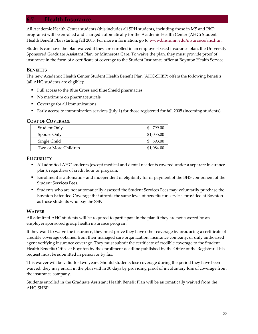### **6.7 Health Insurance**

All Academic Health Center students (this includes all SPH students, including those in MS and PhD programs) will be enrolled and charged automatically for the Academic Health Center (AHC) Student Health Benefit Plan starting fall 2005. For more information, go to www.bhs.umn.edu/insurance/ahc.htm.

Students can have the plan waived if they are enrolled in an employer-based insurance plan, the University Sponsored Graduate Assistant Plan, or Minnesota Care. To waive the plan, they must provide proof of insurance in the form of a certificate of coverage to the Student Insurance office at Boynton Health Service.

### **BENEFITS**

The new Academic Health Center Student Health Benefit Plan (AHC‐SHBP) offers the following benefits (all AHC students are eligible):

- Full access to the Blue Cross and Blue Shield pharmacies
- No maximum on pharmaceuticals
- Coverage for all immunizations
- Early access to immunization services (July 1) for those registered for fall 2005 (incoming students)

### **COST OF COVERAGE**

| Student Only         | \$799.00   |
|----------------------|------------|
| Spouse Only          | \$1,055.00 |
| Single Child         | \$ 893.00  |
| Two or More Children | \$1,084.00 |

### **ELIGIBILITY**

- All admitted AHC students (except medical and dental residents covered under a separate insurance plan), regardless of credit hour or program.
- Enrollment is automatic and independent of eligibility for or payment of the BHS component of the Student Services Fees.
- Students who are not automatically assessed the Student Services Fees may voluntarily purchase the Boynton Extended Coverage that affords the same level of benefits for services provided at Boynton as those students who pay the SSF.

### **WAIVER**

All admitted AHC students will be required to participate in the plan if they are not covered by an employer sponsored group health insurance program.

If they want to waive the insurance, they must prove they have other coverage by producing a certificate of credible coverage obtained from their managed care organization, insurance company, or duly authorized agent verifying insurance coverage. They must submit the certificate of credible coverage to the Student Health Benefits Office at Boynton by the enrollment deadline published by the Office of the Registrar. This request must be submitted in person or by fax.

This waiver will be valid for two years. Should students lose coverage during the period they have been waived, they may enroll in the plan within 30 days by providing proof of involuntary loss of coverage from the insurance company.

Students enrolled in the Graduate Assistant Health Benefit Plan will be automatically waived from the AHC‐SHBP.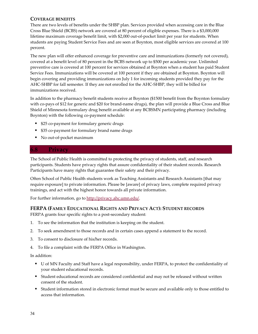### **COVERAGE BENEFITS**

There are two levels of benefits under the SHBP plan. Services provided when accessing care in the Blue Cross Blue Shield (BCBS) network are covered at 80 percent of eligible expenses. There is a \$3,000,000 lifetime maximum coverage benefit limit, with \$2,000 out‐of‐pocket limit per year for students. When students are paying Student Service Fees and are seen at Boynton, most eligible services are covered at 100 percent.

The new plan will offer enhanced coverage for preventive care and immunizations (formerly not covered), covered at a benefit level of 80 percent in the BCBS network up to \$500 per academic year. Unlimited preventive care is covered at 100 percent for services obtained at Boynton when a student has paid Student Service Fees. Immunizations will be covered at 100 percent if they are obtained at Boynton. Boynton will begin covering and providing immunizations on July 1 for incoming students provided they pay for the AHC‐SHBP for fall semester. If they are not enrolled for the AHC‐SHBP, they will be billed for immunizations received.

In addition to the pharmacy benefit students receive at Boynton (\$1500 benefit from the Boynton formulary with co-pays of \$12 for generic and \$20 for brand-name drugs), the plan will provide a Blue Cross and Blue Shield of Minnesota formulary drug benefit available at any BCBSMN participating pharmacy (including Boynton) with the following co‐payment schedule:

- \$25 co-payment for formulary generic drugs
- \$35 co-payment for formulary brand name drugs
- No out-of-pocket maximum

### **6.8 Privacy**

The School of Public Health is committed to protecting the privacy of students, staff, and research participants. Students have privacy rights that assure confidentiality of their student records. Research Participants have many rights that guarantee their safety and their privacy.

Often School of Public Health students work as Teaching Assistants and Research Assistants [that may require exposure] to private information. Please be [aware] of privacy laws, complete required privacy trainings, and act with the highest honor towards all private information.

For further information, go to http://privacy.ahc.umn.edu/.

### **FERPA (FAMILY EDUCATIONAL RIGHTS AND PRIVACY ACT): STUDENT RECORDS**

FERPA grants four specific rights to a post-secondary student:

- 1. To see the information that the institution is keeping on the student.
- 2. To seek amendment to those records and in certain cases append a statement to the record.
- 3. To consent to disclosure of his/her records.
- 4. To file a complaint with the FERPA Office in Washington.

In addition:

- U of MN Faculty and Staff have a legal responsibility, under FERPA, to protect the confidentiality of your student educational records.
- Student educational records are considered confidential and may not be released without written consent of the student.
- Student information stored in electronic format must be secure and available only to those entitled to access that information.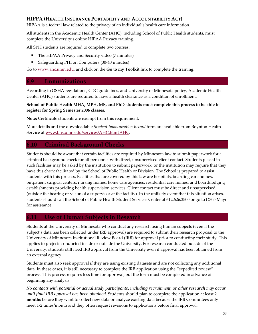### **HIPPA (HEALTH INSURANCE PORTABILITY AND ACCOUNTABILITY ACT)**

HIPAA is a federal law related to the privacy of an individual's health care information.

All students in the Academic Health Center (AHC), including School of Public Health students, must complete the University's online HIPAA Privacy training.

All SPH students are required to complete two courses:

- The HIPAA Privacy and Security video (7 minutes)
- Safeguarding PHI on Computers (30-40 minutes)

Go to www.ahc.umn.edu, and click on the **Go to my Toolkit** link to complete the training.

### **6.9 Immunizations**

According to OSHA regulations, CDC guidelines, and University of Minnesota policy, Academic Health Center (AHC) students are required to have a health clearance as a condition of enrollment.

### **School of Public Health MHA, MPH, MS, and PhD students must complete this process to be able to register for Spring Semester 2006 classes.**

**Note:** Certificate students are exempt from this requirement.

More details and the downloadable *Student Immunization Record* form are available from Boynton Health Service at www.bhs.umn.edu/services/AHC.htm#AHC.

### **6.10 Criminal Background Checks**

Students should be aware that certain facilities are required by Minnesota law to submit paperwork for a criminal background check for all personnel with direct, unsupervised client contact. Students placed in such facilities may be asked by the institution to submit paperwork, or the institution may require that they have this check facilitated by the School of Public Health or Division. The School is prepared to assist students with this process. Facilities that are covered by this law are hospitals, boarding care homes, outpatient surgical centers, nursing homes, home care agencies, residential care homes, and board/lodging establishments providing health supervision services. Client contact must be direct and unsupervised (outside the hearing or vision of a supervisor at the facility). In the unlikely event that this situation arises, students should call the School of Public Health Student Services Center at 612.626.3500 or go to D305 Mayo for assistance.

### **6.11 Use of Human Subjects in Research**

Students at the University of Minnesota who conduct any research using human subjects (even if the subject's data has been collected under IRB approval) are required to submit their research proposal to the University of Minnesota Institutional Review Board (IRB) for approval prior to conducting their study. This applies to projects conducted inside or outside the University. For research conducted outside of the University, students still need IRB approval from the University even if approval has been obtained from an external agency.

Students must also seek approval if they are using existing datasets and are not collecting any additional data. In these cases, it is still necessary to complete the IRB application using the "expedited review" process. This process requires less time for approval, but the form must be completed in advance of beginning any analysis.

*No contacts with potential or actual study participants, including recruitment, or other research may occur until final IRB approval has been obtained.* Students should plan to complete the application at least **2 months** before they want to collect new data or analyze existing data because the IRB Committees only meet 1-2 times/month and they often request revisions to applications before final approval.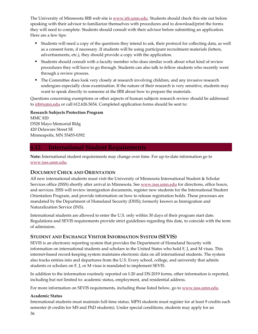The University of Minnesota IRB web site is www.irb.umn.edu. Students should check this site out before speaking with their advisor to familiarize themselves with procedures and to download/print the forms they will need to complete. Students should consult with their advisor before submitting an application. Here are a few tips:

- Students will need a copy of the questions they intend to ask, their protocol for collecting data, as well as a consent form, if necessary. If students will be using participant recruitment materials (letters, advertisements, etc.), they should provide a copy with the application.
- Students should consult with a faculty member who does similar work about what kind of review procedures they will have to go through. Students can also talk to fellow students who recently went through a review process.
- **The Committee does look very closely at research involving children, and any invasive research** undergoes especially close examination. If the nature of their research is very sensitive, students may want to speak directly to someone at the IRB about how to prepare the materials.

Questions concerning exemptions or other aspects of human subjects research review should be addressed to irb@umn.edu or call 612.626.5654. Completed application forms should be sent to:

### **Research Subjects Protection Program**

MMC 820 D528 Mayo Memorial Bldg 420 Delaware Street SE Minneapolis, MN 55455‐0392

### **6.12 International Student Requirements**

**Note:** International student requirements may change over time. For up‐to‐date information go to www.isss.umn.edu.

### **DOCUMENT CHECK AND ORIENTATION**

All new international students must visit the University of Minnesota International Student & Scholar Services office (ISSS) shortly after arrival in Minnesota. See www.isss.umn.edu for directions, office hours, and services. ISSS will review immigration documents, register new students for the International Student Orientation Program, and provide information on how to release registration holds. These processes are mandated by the Department of Homeland Security (DHS); formerly known as Immigration and Naturalization Service (INS).

International students are allowed to enter the U.S. only within 30 days of their program start date. Regulations and SEVIS requirements provide strict guidelines regarding this date, to coincide with the term of admission.

### **STUDENT AND EXCHANGE VISITOR INFORMATION SYSTEM (SEVIS)**

SEVIS is an electronic reporting system that provides the Department of Homeland Security with information on international students and scholars in the United States who hold F, J, and M visas. This internet‐based record‐keeping system maintains electronic data on all international students. The system also tracks entries into and departures from the U.S. Every school, college, and university that admits students or scholars on F, J, or M visas is mandated to implement SEVIS.

In addition to the information routinely reported on I-20 and DS-2019 forms, other information is reported, including but not limited to: academic status, employment, and residential address.

For more information on SEVIS requirements, including those listed below, go to www.isss.umn.edu.

### **Academic Status**

International students must maintain full‐time status. MPH students must register for at least 9 credits each semester (6 credits for MS and PhD students). Under special conditions, students may apply for an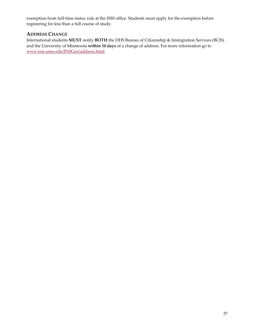exemption from full-time status rule at the ISSS office. Students must apply for the exemption before registering for less than a full course of study.

### **ADDRESS CHANGE**

International students **MUST** notify **BOTH** the DHS Bureau of Citizenship & Immigration Services (BCIS) and the University of Minnesota **within 10 days** of a change of address. For more information go to www.isss.umn.edu/INSGen/address.html.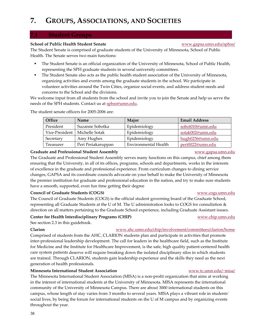# **7. GROUPS, ASSOCIATIONS, AND SOCIETIES**

# **7.1 Student Groups**

# **School of Public Health Student Senate** www.gapsa.umn.edu/sphss/

The Student Senate is comprised of graduate students of the University of Minnesota, School of Public Health. The Senate serves two main functions:

- The Student Senate is an official organization of the University of Minnesota, School of Public Health, representing the SPH graduate students in several university committees.
- The Student Senate also acts as the public health student association of the University of Minnesota, organizing activities and events among the graduate students in the school. We participate in volunteer activities around the Twin Cities, organize social events, and address student needs and concerns to the School and the divisions.

We welcome input from all students from the school and invite you to join the Senate and help us serve the needs of the SPH students. Contact us at sphss@umn.edu.

| <b>Office</b>  | Name               | Major                | <b>Email Address</b> |
|----------------|--------------------|----------------------|----------------------|
| President      | Suzanne Sobotka    | Epidemiology         | sobot010@umn.edu     |
| Vice-President | Michelle Sotak     | Epidemiology         | sotak002@umn.edu     |
| Secretary      | Amy Hughes         | Epidemiology         | hugh0256@umn.edu     |
| Treasurer      | Peri Periakaruppan | Environmental Health | peri0022@umn.edu     |

The student senate officers for 2005‐2006 are:

# **Graduate and Professional Student Assembly** www.gapsa.umn.edu

The Graduate and Professional Student Assembly serves many functions on this campus, chief among them ensuring that the University, in all of its offices, programs, schools and departments, works in the interests of excellence in the graduate and professional experience. From curriculum changes to dining service changes, GAPSA and its coordinate councils advocate on your behalf to make the University of Minnesota the premier institution for graduate and professional education in the nation, and try to make sure students have a smooth, supported, even fun time getting their degree

# **Council of Graduate Students (COGS)** www.cogs.umn.edu

The Council of Graduate Students (COGS) is the official student governing board of the Graduate School, representing all Graduate Students at the U of M. The U administration looks to COGS for consultation & direction on all matters pertaining to the Graduate School experience, including Graduate Assistant issues.

#### **Center for Health Interdisciplinary Programs (CHIP)** www.chip.umn.edu See section 2.3 in this guidebook.

# **Clarion** www.ahc.umn.edu/chip/involvement/committees/clarion/home

Comprised of students from the AHC, CLARION students plan and participate in activities that promote inter-professional leadership development. The call for leaders in the healthcare field, such as the Institute for Medicine and the Institute for Healthcare Improvement, is the safe, high quality patient-centered health care system patients deserve will require breaking down the isolated disciplinary silos in which students are trained. Through CLARION, students gain leadership experience and the skills they need as the next generation of health professionals.

# **Minnesota International Student Association** www.tc.umn.edu/~misa/

The Minnesota International Student Association (MISA) is a non‐profit organization that aims at working in the interest of international students at the University of Minnesota. MISA represents the international community of the University of Minnesota Campus. There are about 3000 international students on this campus, whose length of stay varies from 3 months to several years. MISA plays a vibrant role in studentsʹ social lives, by being the forum for international students on the U of M campus and by organizing events throughout the year.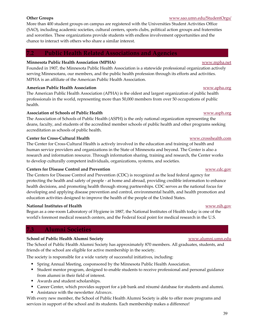More than 400 student groups on campus are registered with the Universities Student Activities Office (SAO), including academic societies, cultural centers, sports clubs, political action groups and fraternities and sororities. These organizations provide students with endless involvement opportunities and the chance to interact with others who share a similar interest.

# **7.2 Public Health Related Associations and Agencies**

#### **Minnesota Public Health Association (MPHA)** www.mpha.net

Founded in 1907, the Minnesota Public Health Association is a statewide professional organization actively serving Minnesotans, our members, and the public health profession through its efforts and activities. MPHA is an affiliate of the American Public Health Association.

### **American Public Health Association** www.apha.org

The American Public Health Association (APHA) is the oldest and largest organization of public health professionals in the world, representing more than 50,000 members from over 50 occupations of public health.

### **Association of Schools of Public Health** www.asph.org

The Association of Schools of Public Health (ASPH) is the only national organization representing the deans, faculty, and students of the accredited member schools of public health and other programs seeking accreditation as schools of public health.

# **Center for Cross‐Cultural Health** www.crosshealth.com

The Center for Cross‐Cultural Health is actively involved in the education and training of health and human service providers and organizations in the State of Minnesota and beyond. The Center is also a research and information resource. Through information sharing, training and research, the Center works to develop culturally competent individuals, organizations, systems, and societies.

## **Centers for Disease Control and Prevention** www.cdc.gov

The Centers for Disease Control and Prevention (CDC) is recognized as the lead federal agency for protecting the health and safety of people ‐ at home and abroad, providing credible information to enhance health decisions, and promoting health through strong partnerships. CDC serves as the national focus for developing and applying disease prevention and control, environmental health, and health promotion and education activities designed to improve the health of the people of the United States.

# **National Institutes of Health** www.nih.gov

Begun as a one‐room Laboratory of Hygiene in 1887, the National Institutes of Health today is one of the world's foremost medical research centers, and the Federal focal point for medical research in the U.S.

# **7.3 Alumni Societies**

# **School of Public Health Alumni Society** www.alumni.umn.edu

The School of Public Health Alumni Society has approximately 870 members. All graduates, students, and friends of the school are eligible for active membership in the society.

The society is responsible for a wide variety of successful initiatives, including:

- Spring Annual Meeting, cosponsored by the Minnesota Public Health Association.
- Student mentor program, designed to enable students to receive professional and personal guidance from alumni in their field of interest.
- Awards and student scholarships.
- Career Center, which provides support for a job bank and résumé database for students and alumni.
- Assistance with the newsletter *Advances*.

With every new member, the School of Public Health Alumni Society is able to offer more programs and services in support of the school and its students. Each membership makes a difference!

#### **Other Groups** www.sao.umn.edu/StudentOrgs/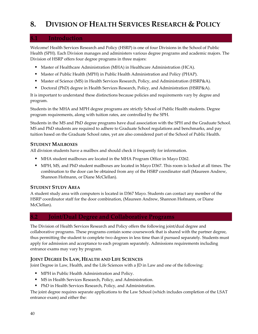# **8. DIVISION OF HEALTH SERVICES RESEARCH & POLICY**

# **8.1 Introduction**

Welcome! Health Services Research and Policy (HSRP) is one of four Divisions in the School of Public Health (SPH). Each Division manages and administers various degree programs and academic majors. The Division of HSRP offers four degree programs in three majors:

- **Master of Healthcare Administration (MHA) in Healthcare Administration (HCA).**
- **Master of Public Health (MPH) in Public Health Administration and Policy (PHAP).**
- **Master of Science (MS) in Health Services Research, Policy, and Administration (HSRP&A).**
- Doctoral (PhD) degree in Health Services Research, Policy, and Administration (HSRP&A).

It is important to understand these distinctions because policies and requirements vary by degree and program.

Students in the MHA and MPH degree programs are strictly School of Public Health students. Degree program requirements, along with tuition rates, are controlled by the SPH.

Students in the MS and PhD degree programs have dual association with the SPH and the Graduate School. MS and PhD students are required to adhere to Graduate School regulations and benchmarks, and pay tuition based on the Graduate School rates, yet are also considered part of the School of Public Health.

#### **STUDENT MAILBOXES**

All division students have a mailbox and should check it frequently for information.

- **MHA** student mailboxes are located in the MHA Program Office in Mayo D262.
- MPH, MS, and PhD student mailboxes are located in Mayo D367. This room is locked at all times. The combination to the door can be obtained from any of the HSRP coordinator staff (Maureen Andrew, Shannon Hofmann, or Diane McClellan).

#### **STUDENT STUDY AREA**

A student study area with computers is located in D367 Mayo. Students can contact any member of the HSRP coordinator staff for the door combination, (Maureen Andrew, Shannon Hofmann, or Diane McClellan).

# **8.2 Joint/Dual Degree and Collaborative Programs**

The Division of Health Services Research and Policy offers the following joint/dual degree and collaborative programs. These programs contain some coursework that is shared with the partner degree, thus permitting the student to complete two degrees in less time than if pursued separately. Students must apply for admission and acceptance to each program separately. Admissions requirements including entrance exams may vary by program.

#### **JOINT DEGREE IN LAW, HEALTH AND LIFE SCIENCES**

Joint Degree in Law, Health, and the Life Sciences with a JD in Law and one of the following:

- **MPH** in Public Health Administration and Policy.
- MS in Health Services Research, Policy, and Administration.
- **PhD in Health Services Research, Policy, and Administration.**

The joint degree requires separate applications to the Law School (which includes completion of the LSAT entrance exam) and either the: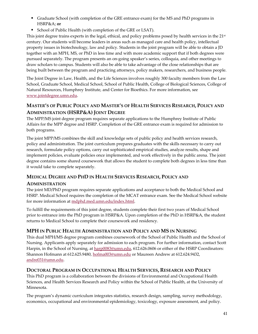- Graduate School (with completion of the GRE entrance exam) for the MS and PhD programs in HSRP&A; **or**
- School of Public Health (with completion of the GRE or LSAT).

This joint degree trains experts in the legal, ethical, and policy problems posed by health services in the  $21st$ century. Our students will become leaders in areas such as managed care and health policy, intellectual property issues in biotechnology, law and policy. Students in the joint program will be able to obtain a JD together with an MPH, MS, or PhD in less time and with more academic support that if both degrees were pursued separately. The program presents an on‐going speaker's series, colloquia, and other meetings to draw scholars to campus. Students will also be able to take advantage of the close relationships that are being built between the program and practicing attorneys, policy makers, researchers, and business people.

The Joint Degree in Law, Health, and the Life Sciences involves roughly 300 faculty members from the Law School, Graduate School, Medical School, School of Public Health, College of Biological Sciences, College of Natural Resources, Humphrey Institute, and Center for Bioethics. For more information, see www.jointdegree.umn.edu.

# **MASTER'S OF PUBLIC POLICY AND MASTER'S OF HEALTH SERVICES RESEARCH, POLICY AND ADMINISTRATION (HSRP&A) JOINT DEGREE**

The MPP/MS joint degree program requires separate applications to the Humphrey Institute of Public Affairs for the MPP degree and HSRP. Completion of the GRE entrance exam is required for admission to both programs.

The joint MPP/MS combines the skill and knowledge sets of public policy and health services research, policy and administration. The joint curriculum prepares graduates with the skills necessary to carry out research, formulate policy options, carry out sophisticated empirical studies, analyze results, shape and implement policies, evaluate policies once implemented, and work effectively in the public arena. The joint degree contains some shared coursework that allows the student to complete both degrees in less time than it would take to complete separately.

# **MEDICAL DEGREE AND PHD IN HEALTH SERVICES RESEARCH, POLICY AND**

# **ADMINISTRATION**

The joint MD/PhD program requires separate applications and acceptance to both the Medical School and HSRP. Medical School requires the completion of the MCAT entrance exam. See the Medical School website for more information at mdphd.med.umn.edu/index.html.

To fulfill the requirements of this joint degree, students complete their first two years of Medical School prior to entrance into the PhD program in HSRP&A. Upon completion of the PhD in HSRP&A, the student returns to Medical School to complete their coursework and residency.

# **MPH IN PUBLIC HEALTH ADMINISTRATION AND POLICY AND MS IN NURSING**

This dual MPH/MS degree program combines coursework of the School of Public Health and the School of Nursing. Applicants apply separately for admission to each program. For further information, contact Scott Harpin, in the School of Nursing, at harp0083@umn.edu, 612.626.0606 or either of the HSRP Coordinators: Shannon Hofmann at 612.625.9480, hofma003@umn.edu or Maureen Andrew at 612.624.9432, andre031@umn.edu.

# **DOCTORAL PROGRAM IN OCCUPATIONAL HEALTH SERVICES, RESEARCH AND POLICY**

This PhD program is a collaboration between the divisions of Environmental and Occupational Health Sciences, and Health Services Research and Policy within the School of Public Health, at the University of Minnesota.

The program's dynamic curriculum integrates statistics, research design, sampling, survey methodology, economics, occupational and environmental epidemiology, toxicology, exposure assessment, and policy.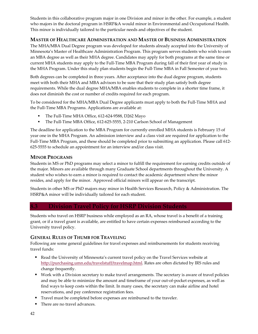Students in this collaborative program major in one Division and minor in the other. For example, a student who majors in the doctoral program in HSRP&A would minor in Environmental and Occupational Health. This minor is individually tailored to the particular needs and objectives of the student.

### **MASTER OF HEALTHCARE ADMINISTRATION AND MASTER OF BUSINESS ADMINISTRATION**

The MHA/MBA Dual Degree program was developed for students already accepted into the University of Minnesota's Master of Healthcare Administration Program. This program serves students who wish to earn an MBA degree as well as their MHA degree. Candidates may apply for both programs at the same time or current MHA students may apply to the Full-Time MBA Program during fall of their first year of study in the MHA Program. Under this study plan students begin the Full‐Time MBA in Fall Semester of year two.

Both degrees can be completed in three years. After acceptance into the dual degree program, students meet with both their MHA and MBA advisors to be sure that their study plan satisfy both degree requirements. While the dual degree MHA/MBA enables students to complete in a shorter time frame, it does not diminish the cost or number of credits required for each program.

To be considered for the MHA/MBA Dual Degree applicants must apply to both the Full‐Time MHA and the Full-Time MBA Programs. Applications are available at:

- The Full‐Time MHA Office, 612‐624‐9588, D262 Mayo
- The Full‐Time MBA Office, 612‐625‐5555, 2‐210 Carlson School of Management

The deadline for application to the MBA Program for currently enrolled MHA students is February 15 of year one in the MHA Program. An admission interview and a class visit are required for application to the Full-Time MBA Program, and these should be completed prior to submitting an application. Please call 612-625‐5555 to schedule an appointment for an interview and/or class visit.

#### **MINOR PROGRAMS**

Students in MS or PhD programs may select a minor to fulfill the requirement for earning credits outside of the major. Minors are available through many Graduate School departments throughout the University. A student who wishes to earn a minor is required to contact the academic department where the minor resides, and apply for the minor. Approved official minors will appear on the transcript.

Students in other MS or PhD majors may minor in Health Services Research, Policy & Administration. The HSRP&A minor will be individually tailored for each student.

# **8.3 Division Travel Policy for HSRP Division Students**

Students who travel on HSRP business while employed as an RA, whose travel is a benefit of a training grant, or if a travel grant is available, are entitled to have certain expenses reimbursed according to the University travel policy.

#### **GENERAL RULES OF THUMB FOR TRAVELING**

Following are some general guidelines for travel expenses and reimbursements for students receiving travel funds:

- Read the University of Minnesota's current travel policy on the Travel Services website at http://purchasing.umn.edu/travelstuff/travelmap.html. Rates are often dictated by IRS rules and change frequently.
- Work with a Division secretary to make travel arrangements. The secretary is aware of travel policies and may be able to minimize the amount and timeframe of your out-of-pocket expenses, as well as find ways to keep costs within the limit. In many cases, the secretary can make airline and hotel reservations, and pay conference registration fees.
- Travel must be completed before expenses are reimbursed to the traveler.
- There are no travel advances.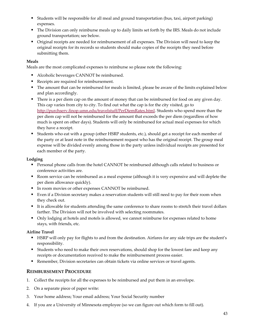- Students will be responsible for all meal and ground transportation (bus, taxi, airport parking) expenses.
- The Division can only reimburse meals up to daily limits set forth by the IRS. Meals do not include ground transportation; see below.
- Original receipts are needed for reimbursement of all expenses. The Division will need to keep the original receipts for its records so students should make copies of the receipts they need before submitting them.

#### **Meals**

Meals are the most complicated expenses to reimburse so please note the following:

- Alcoholic beverages CANNOT be reimbursed.
- Receipts are required for reimbursement.
- The amount that can be reimbursed for meals is limited, please be aware of the limits explained below and plan accordingly.
- There is a per diem cap on the amount of money that can be reimbursed for food on any given day. This cap varies from city to city. To find out what the cap is for the city visited, go to http://purchserv.finop.umn.edu/travelstuff/PerDiemRates.html. Students who spend more than the per diem cap will not be reimbursed for the amount that exceeds the per diem (regardless of how much is spent on other days). Students will only be reimbursed for actual meal expenses for which they have a receipt.
- Students who eat with a group (other HSRP students, etc.), should get a receipt for each member of the party or at least note in the reimbursement request who has the original receipt. The group meal expense will be divided evenly among those in the party unless individual receipts are presented for each member of the party.

#### **Lodging**

- **Personal phone calls from the hotel CANNOT be reimbursed although calls related to business or** conference activities are.
- Room service can be reimbursed as a meal expense (although it is very expensive and will deplete the per diem allowance quickly).
- In room movies or other expenses CANNOT be reimbursed.
- Even if a Division secretary makes a reservation students will still need to pay for their room when they check out.
- It is allowable for students attending the same conference to share rooms to stretch their travel dollars farther. The Division will not be involved with selecting roommates.
- Only lodging at hotels and motels is allowed, we cannot reimburse for expenses related to home stays, with friends, etc.

#### **Airline Travel**

- HSRP will only pay for flights to and from the destination. Airfares for any side trips are the student's responsibility.
- **Students who need to make their own reservations, should shop for the lowest fare and keep any** receipts or documentation received to make the reimbursement process easier.
- **Remember, Division secretaries can obtain tickets via online services or travel agents.**

#### **REIMBURSEMENT PROCEDURE**

- 1. Collect the receipts for all the expenses to be reimbursed and put them in an envelope.
- 2. On a separate piece of paper write:
- 3. Your home address; Your email address; Your Social Security number
- 4. If you are a University of Minnesota employee (so we can figure out which form to fill out).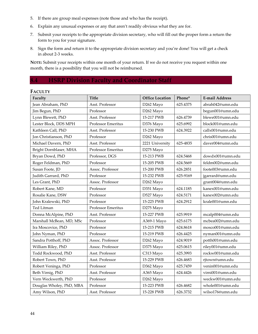- 5. If there are group meal expenses (note those and who has the receipt).
- 6. Explain any unusual expenses or any that aren't readily obvious what they are for.
- 7. Submit your receipts to the appropriate division secretary, who will fill out the proper form a return the form to you for your signature.
- 8. Sign the form and return it to the appropriate division secretary and you're done! You will get a check in about 2‐3 weeks.

**NOTE:** Submit your receipts within one month of your return. If we do not receive you request within one month, there is a possibility that you will not be reimbursed.

# **8.4 HSRP Division Faculty and Coordinator Staff**

#### **FACULTY**

| Faculty                  | <b>Title</b>              | <b>Office Location</b> | Phone*   | <b>E-mail Address</b> |
|--------------------------|---------------------------|------------------------|----------|-----------------------|
| Jean Abraham, PhD        | Asst. Professor           | D262 Mayo              | 625.4375 | abrah042@umn.edu      |
| Jim Begun, PhD           | Professor                 | D <sub>262</sub> Mayo  |          | begun001@umn.edu      |
| Lynn Blewett, PhD        | Asst. Professor           | 15-217 PWB             | 626.4739 | blewe001@umn.edu      |
| Lester Block, DDS MPH    | <b>Professor Emeritus</b> | D376 Mayo              | 625.6992 | block001@umn.edu      |
| Kathleen Call, PhD       | Asst. Professor           | 15-230 PWB             | 624.3922 | callx001@umn.edu      |
| Jon Christianson, PhD    | Professor                 | D262 Mayo              |          | chris001@umn.edu      |
| Michael Davern, PhD      | Asst. Professor           | 2221 University        | 625-4835 | daver004@umn.edu      |
| Bright Dornblaser, MHA   | Professor Emeritus        | D275 Mayo              |          |                       |
| Bryan Dowd, PhD          | Professor, DGS            | 15-213 PWB             | 624.5468 | dowdx001@umn.edu      |
| Roger Feldman, PhD       | Professor                 | 15-205 PWB             | 624.5669 | feldm002@umn.edu      |
| Susan Foote, JD          | Assoc. Professor          | 15-200 PWB             | 626.2851 | foote003@umn.edu      |
| Judith Garrard, PhD      | Professor                 | 15-232 PWB             | 625-9169 | jgarrard@umn.edu      |
| Les Grant, PhD           | Assoc. Professor          | D262 Mayo              |          | grant004@umn.edu      |
| Robert Kane, MD          | Professor                 | D351 Mayo              | 624.1185 | kanex001@umn.edu      |
| Rosalie Kane, DSW        | Professor                 | D527 Mayo              | 624.5171 | kanex002@umn.edu      |
| John Kralewski, PhD      | Professor                 | 15-225 PWB             | 624.2912 | krale001@umn.edu      |
| <b>Ted Litman</b>        | <b>Professor Emeritus</b> | D275 Mayo              |          |                       |
| Donna McAlpine, PhD      | Asst. Professor           | 15-227 PWB             | 625.9919 | mcalp004@umn.edu      |
| Marshall McBean, MD, MSc | Professor                 | A369-1 Mayo            | 625.6175 | mcbea002@umn.edu      |
| Ira Moscovice, PhD       | Professor                 | 15-215 PWB             | 624.8618 | mosco001@umn.edu      |
| John Nyman, PhD          | Professor                 | 15-219 PWB             | 626.4425 | nyman001@umn.edu      |
| Sandra Potthoff, PhD     | Assoc. Professor          | D262 Mayo              | 624.9019 | potth001@umn.edu      |
| William Riley, PhD       | Assoc. Professor          | D375 Mayo              | 625.0615 | riley001@umn.edu      |
| Todd Rockwood, PhD       | Asst. Professor           | C313 Mayo              | 625.3993 | rockw001@umn.edu      |
| Robert Town, PhD         | Asst. Professor           | 15-229 PWB             | 626.4683 | rjtown@umn.edu        |
| Robert Veninga, PhD      | Professor                 | D362 Mayo              | 625.7459 | venin001@umn.edu      |
| Beth Virnig, PhD         | Asst. Professor           | A365 Mayo              | 624.4426 | virni001@umn.edu      |
| Vern Weckwerth, PhD      | Professor                 | D <sub>262</sub> Mayo  |          | weckw001@umn.edu      |
| Douglas Wholey, PhD, MBA | Professor                 | 15-223 PWB             | 626.4682 | whole001@umn.edu      |
| Amy Wilson, PhD          | Asst. Professor           | 15-228 PWB             | 626.3732 | wilso176@umn.edu      |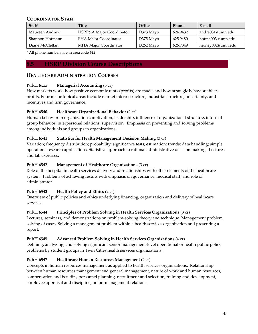### **COORDINATOR STAFF**

| <b>Staff</b>    | <b>Title</b>             | Office    | Phone    | E-mail            |
|-----------------|--------------------------|-----------|----------|-------------------|
| Maureen Andrew  | HSRP&A Major Coordinator | D373 Mayo | 624.9432 | andre031@umn.edu  |
| Shannon Hofmann | PHA Major Coordinator    | D375 Mayo | 625.9480 | hofma003@umn.edu  |
| Diane McClellan | MHA Maior Coordinator    | D262 Mayo | 626.7349 | nernev002@umn.edu |

\* All phone numbers are in area code *612*.

# **8.5 HSRP Division Course Descriptions**

#### **HEALTHCARE ADMINISTRATION COURSES**

#### **PubH 6xxx Managerial Accounting** (3 cr)

How markets work, how positive economic rents (profits) are made, and how strategic behavior affects profits. Four major topical areas include market micro‐structure, industrial structure, uncertainty, and incentives and firm governance.

#### **PubH 6540 Healthcare Organizational Behavior** (2 cr)

Human behavior in organizations; motivation, leadership, influence of organizational structure, informal group behavior, interpersonal relations, supervision. Emphasis on preventing and solving problems among individuals and groups in organizations.

#### **PubH 6541 Statistics for Health Management Decision Making** (3 cr)

Variation; frequency distribution; probability; significance tests; estimation; trends; data handling; simple operations research applications. Statistical approach to rational administrative decision making. Lectures and lab exercises.

#### **PubH 6542 Management of Healthcare Organizations** (3 cr)

Role of the hospital in health services delivery and relationships with other elements of the healthcare system. Problems of achieving results with emphasis on governance, medical staff, and role of administrator.

#### **PubH 6543 Health Policy and Ethics** (2 cr)

Overview of public policies and ethics underlying financing, organization and delivery of healthcare services.

#### **PubH 6544 Principles of Problem Solving in Health Services Organizations** (3 cr)

Lectures, seminars, and demonstrations on problem‐solving theory and technique. Management problem solving of cases. Solving a management problem within a health services organization and presenting a report.

#### **PubH 6545 Advanced Problem Solving in Health Services Organizations** (4 cr)

Defining, analyzing, and solving significant senior management-level operational or health public policy problems by student groups in Twin Cities health services organizations.

#### **PubH 6547 Healthcare Human Resources Management** (2 cr)

Concepts in human resources management as applied to health services organizations. Relationship between human resources management and general management, nature of work and human resources, compensation and benefits, personnel planning, recruitment and selection, training and development, employee appraisal and discipline, union‐management relations.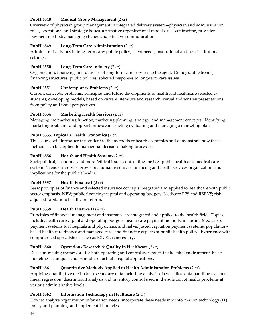### **PubH 6548 Medical Group Management** (2 cr)

Overview of physician group management in integrated delivery system‐‐physician and administration roles, operational and strategic issues, alternative organizational models, risk‐contracting, provider payment methods, managing change and effective communication.

### **PubH 6549 Long‐Term Care Administration** (2 cr)

Administrative issues in long‐term care; public policy, client needs, institutional and non‐institutional settings.

#### **PubH 6550 Long‐Term Care Industry** (2 cr)

Organization, financing, and delivery of long‐term care services to the aged. Demographic trends, financing structures, public policies, solicited responses to long-term care issues.

### **PubH 6551 Contemporary Problems** (2 cr)

Current concepts, problems, principles and future developments of health and healthcare selected by students; developing models, based on current literature and research; verbal and written presentations from policy and issue perspectives.

### **PubH 6554 Marketing Health Services** (2 cr)

Managing the marketing function; marketing planning, strategy, and management concepts. Identifying marketing problems and opportunities; constructing evaluating and managing a marketing plan.

### **PubH 6555. Topics in Health Economics** (2 cr)

This course will introduce the student to the methods of health economics and demonstrate how these methods can be applied to managerial decision‐making processes.

### **PubH 6556 Health and Health Systems** (2 cr)

Sociopolitical, economic, and moral/ethical issues confronting the U.S. public health and medical care system. Trends in service provision, human resources, financing and health services organization, and implications for the public's health.

#### **PubH 6557 Health Finance I** (2 cr)

Basic principles of finance and selected insurance concepts integrated and applied to healthcare with public sector emphasis. NPV; public financing; capital and operating budgets; Medicare PPS and RBRVS; riskadjusted capitation; healthcare reform.

#### **PubH 6558 Health Finance II** (4 cr)

Principles of financial management and insurance are integrated and applied to the health field. Topics include: health care capital and operating budgets; health care payment methods, including Medicareʹs payment systems for hospitals and physicians, and risk‐adjusted capitation payment systems; population‐ based health care finance and managed care; and financing aspects of public health policy. Experience with computerized spreadsheets such as EXCEL is necessary.

# **PubH 6560 Operations Research & Quality in Healthcare** (2 cr)

Decision‐making framework for both operating and control systems in the hospital environment. Basic modeling techniques and examples of actual hospital applications.

# **PubH 6561 Quantitative Methods Applied to Health Administration Problems** (2 cr)

Applying quantitative methods to secondary data including analysis of cyclicities, data handling systems, linear regression, discriminant analysis and inventory control used in the solution of health problems at various administrative levels.

#### **PubH 6562 Information Technology in Healthcare** (2 cr)

How to analyze organization information needs, incorporate these needs into information technology (IT) policy and planning, and implement IT policies.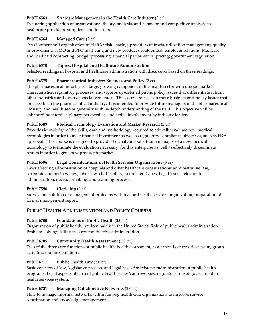### **PubH 6563 Strategic Management in the Health Care Industry** (2 cr)

Evaluating application of organizational theory, analysis, and behavior and competitive analysis to healthcare providers, suppliers, and insurers.

#### **PubH 6564 Managed Care** (2 cr)

Development and organization of HMOs: risk‐sharing, provider contracts, utilization management, quality improvement. HMO and PPO marketing and new product development; employer relations; Medicare and Medicaid contracting; budget processing; financial performance; pricing; government regulation.

#### **PubH 6570 Topics: Hospital and Healthcare Administration**

Selected readings in hospital and healthcare administration with discussion based on these readings.

## **PubH 6575 Pharmaceutical Industry: Business and Policy** (2 cr)

The pharmaceutical industry is a large, growing component of the health sector with unique market characteristics, regulatory processes, and vigorously‐debated public policy issues that differentiate it from other industries and deserve specialized study. This course focuses on those business and policy issues that are specific to the pharmaceutical industry. It is intended to provide future managers in the pharmaceutical industry and health sector generally with in‐depth understanding of the field. This objective will be enhanced by interdisciplinary perspectives and active involvement by industry leaders.

# **PubH 6589 Medical Technology Evaluation and Market Research** (2 cr)

Provides knowledge of the skills, data and methodology required to critically evaluate new medical technologies in order to meet financial investment as well as regulatory compliance objectives, such as FDA approval. This course is designed to provide the analytic tool kit for a manager of a new medical technology to formulate the evaluation necessary for this enterprise as well as effectively disseminate results in order to get a new product to market.

### **PubH 6596 Legal Considerations in Health Services Organizations** (3 cr)

Laws affecting administration of hospitals and other healthcare organizations; administrative law, corporate and business law, labor law, civil liability, tax-related issues. Legal issues relevant to administration, decision‐making, and planning process.

# **PubH 7596 Clerkship** (2 cr)

Survey and solution of management problems within a local health services organization, preparation of formal management report.

# **PUBLIC HEALTH ADMINISTRATION AND POLICY COURSES**

#### **PubH 6700 Foundations of Public Health** (3.0 cr)

Organization of public health, predominately in the United States. Role of public health administration. Problem‐solving skills necessary for effective administration.

#### **PubH 6705 Community Health Assessment** (3.0 cr;)

Two of the three core functions of public health: health assessment, assurance. Lectures, discussion, group activities, oral presentations.

# **PubH 6711 Public Health Law** (2.0 cr)

Basic concepts of law, legislative process, and legal bases for existence/administration of public health programs. Legal aspects of current public health issues/controversies, regulatory role of government in health services system.

#### **PubH 6721 Managing Collaborative Networks** (2.0 cr)

How to manage informal networks within/among health care organizations to improve service coordination and knowledge management.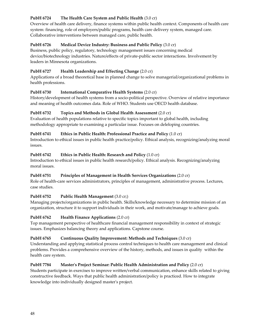#### **PubH 6724 The Health Care System and Public Health** (3.0 cr)

Overview of health care delivery, finance systems within public health context. Components of health care system: financing, role of employers/public programs, health care delivery system, managed care. Collaborative interventions between managed care, public health.

### **PubH 6726 Medical Device Industry: Business and Public Policy** (3.0 cr)

Business, public policy, regulatory, technology management issues concerning medical device/biotechnology industries. Nature/effects of private‐public sector interactions. Involvement by leaders in Minnesota organizations.

### **PubH 6727 Health Leadership and Effecting Change** (2.0 cr)

Applications of a broad theoretical base in planned change to solve managerial/organizational problems in health professions.

#### **PubH 6730 International Comparative Health Systems** (2.0 cr)

History/development of health systems from a socio-political perspective. Overview of relative importance and meaning of health outcomes data. Role of WHO. Students use OECD health database.

### **PubH 6732 Topics and Methods in Global Health Assessment** (2.0 cr)

Evaluation of health populations relative to specific topics important to global health, including methodology appropriate to examining a particular issue. Focuses on deleloping countries.

### **PubH 6741 Ethics in Public Health: Professional Practice and Policy** (1.0 cr)

Introduction to ethical issues in public health practice/policy. Ethical analysis, recognizing/analyzing moral issues.

### **PubH 6742 Ethics in Public Health: Research and Policy** (1.0 cr)

Introduction to ethical issues in public health research/policy. Ethical analysis. Recognizing/analyzing moral issues.

#### **PubH 6751 Principles of Management in Health Services Organizations** (2.0 cr)

Role of health-care services administrators, principles of management, administrative process. Lectures, case studies.

# **PubH 6752 Public Health Management** (3.0 cr;)

Managing projects/organizations in public health. Skills/knowledge necessary to determine mission of an organization, structure it to support individuals in their work, and motivate/manage to achieve goals.

#### **PubH 6762 Health Finance Applications** (2.0 cr)

Top management perspective of healthcare financial management responsibility in context of strategic issues. Emphasizes balancing theory and applications. Capstone course.

#### **PubH 6765 Continuous Quality Improvement: Methods and Techniques** (3.0 cr)

Understanding and applying statistical process control techniques to health care management and clinical problems. Provides a comprehensive overview of the history, methods, and issues in quality within the health care system.

#### **PubH 7784 Masterʹs Project Seminar: Public Health Administration and Policy** (2.0 cr)

Students participate in exercises to improve written/verbal communication, enhance skills related to giving constructive feedback. Ways that public health administration/policy is practiced. How to integrate knowledge into individually designed masterʹs project.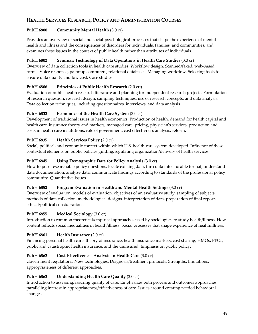# **HEALTH SERVICES RESEARCH, POLICY AND ADMINISTRATION COURSES**

#### **PubH 6800 Community Mental Health** (3.0 cr)

Provides an overview of social and social‐psychological processes that shape the experience of mental health and illness and the consequences of disorders for individuals, families, and communities, and examines these issues in the context of public health rather than attributes of individuals.

#### **PubH 6802 Seminar: Technology of Data Operations in Health Care Studies** (3.0 cr)

Overview of data collection tools in health care studies. Workflow design. Scanned/faxed, web‐based forms. Voice response, palmtop computers, relational databases. Managing workflow. Selecting tools to ensure data quality and low cost. Case studies.

### **PubH 6806 Principles of Public Health Research** (2.0 cr;)

Evaluation of public health research literature and planning for independent research projects. Formulation of research question, research design, sampling techniques, use of research concepts, and data analysis. Data collection techniques, including questionnaires, interviews, and data analysis.

### **PubH 6832 Economics of the Health Care System** (3.0 cr)

Development of traditional issues in health economics. Production of health, demand for health capital and health care, insurance theory and markets, managed care, pricing, physician's services, production and costs in health care institutions, role of government, cost effectivness analysis, reform.

### **PubH 6835 Health Services Policy** (2.0 cr)

Social, political, and economic context within which U.S. health-care system developed. Influence of these contextual elements on public policies guiding/regulating organization/delivery of health services.

### **PubH 6845 Using Demographic Data for Policy Analysis** (3.0 cr)

How to pose researchable policy questions, locate existing data, turn data into a usable format, understand data documentation, analyze data, communicate findings according to standards of the professional policy community. Quantitative issues.

#### **PubH 6852 Program Evaluation in Health and Mental Health Settings** (3.0 cr)

Overview of evaluation, models of evaluation, objectives of an evaluative study, sampling of subjects, methods of data collection, methodological designs, interpretation of data, preparation of final report, ethical/political considerations.

#### **PubH 6855 Medical Sociology** (3.0 cr)

Introduction to common theoretical/empirical approaches used by sociologists to study health/illness. How content reflects social inequalities in health/illness. Social processes that shape experience of health/illness.

#### **PubH 6861 Health Insurance** (2.0 cr)

Financing personal health care: theory of insurance, health insurance markets, cost sharing, HMOs, PPOs, public and catastrophic health insurance, and the uninsured. Emphasis on public policy.

#### **PubH 6862 Cost‐Effectiveness Analysis in Health Care** (3.0 cr)

Government regulations. New technologies. Diagnosis/treatment protocols. Strengths, limitations, appropriateness of different approaches.

#### **PubH 6863 Understanding Health Care Quality** (2.0 cr)

Introduction to assessing/assuring quality of care. Emphasizes both process and outcomes approaches, paralleling interest in appropriateness/effectiveness of care. Issues around creating needed behavioral changes.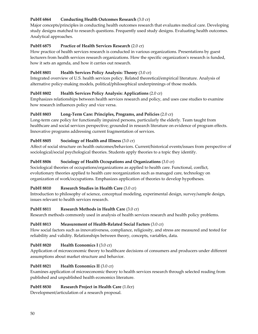#### **PubH 6864 Conducting Health Outcomes Research** (3.0 cr)

Major concepts/principles in conducting health outcomes research that evaluates medical care. Developing study designs matched to research questions. Frequently used study designs. Evaluating health outcomes. Analytical approaches.

#### **PubH 6875 Practice of Health Services Research** (2.0 cr)

How practice of health services research is conducted in various organizations. Presentations by guest lecturers from health services research organizations. How the specific organization's research is funded, how it sets an agenda, and how it carries out research.

#### **PubH 8801 Health Services Policy Analysis: Theory** (3.0 cr)

Integrated overview of U.S. health services policy. Related theoretical/empirical literature. Analysis of alternative policy‐making models, political/philosophical underpinnings of those models.

#### **PubH 8802 Health Services Policy Analysis: Applications** (2.0 cr)

Emphasizes relationships between health services research and policy, and uses case studies to examine how research influences policy and vice versa.

#### **PubH 8803 Long‐Term Care: Principles, Programs, and Policies** (2.0 cr)

Long-term care policy for functionally impaired persons, particularly the elderly. Team taught from healthcare and social services perspective; grounded in research literature on evidence of program effects. Innovative programs addressing current fragmentation of services.

#### **PubH 8805 Sociology of Health and Illness** (3.0 cr)

Affect of social structure on health outcomes/behaviors. Current/historical events/issues from perspective of sociological/social psychological theories. Students apply theories to a topic they identify.

#### **PubH 8806 Sociology of Health Occupations and Organizations** (3.0 cr)

Sociological theories of occupations/organizations as applied to health care. Functional, conflict, evolutionary theories applied to health care reorganization such as managed care, technology on organization of work/occupations. Emphasizes application of theories to develop hypotheses.

#### **PubH 8810 Research Studies in Health Care** (3.0 cr)

Introduction to philosophy of science, conceptual modeling, experimental design, survey/sample design, issues relevant to health services research.

#### **PubH 8811 Research Methods in Health Care** (3.0 cr)

Research methods commonly used in analysis of health services research and health policy problems.

#### **PubH 8813 Measurement of Health‐Related Social Factors** (3.0 cr)

How social factors such as innovativeness, compliance, religiosity, and stress are measured and tested for reliability and validity. Relationships between theory, concepts, variables, data.

#### **PubH 8820 Health Economics I** (3.0 cr)

Application of microeconomic theory to healthcare decisions of consumers and producers under different assumptions about market structure and behavior.

#### **PubH 8821 Health Economics II** (3.0 cr)

Examines application of microeconomic theory to health services research through selected reading from published and unpublished health economics literature.

#### **PubH 8830 Research Project in Health Care** (1.0cr)

Development/articulation of a research proposal.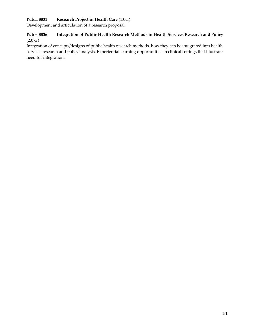#### **PubH 8831 Research Project in Health Care** (1.0cr)

Development and articulation of a research proposal.

#### **PubH 8836 Integration of Public Health Research Methods in Health Services Research and Policy** (2.0 cr)

Integration of concepts/designs of public health research methods, how they can be integrated into health services research and policy analysis. Experiential learning opportunities in clinical settings that illustrate need for integration.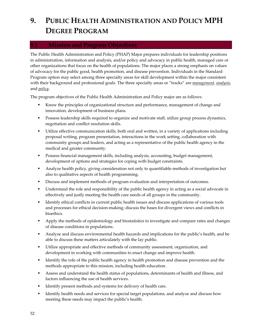# **9. PUBLIC HEALTH ADMINISTRATION AND POLICY MPH DEGREE PROGRAM**

# **9.1 Mission and Program Objectives**

The Public Health Administration and Policy (PHAP) Major prepares individuals for leadership positions in administration, information and analysis, and/or policy and advocacy in public health, managed care or other organizations that focus on the health of populations. The major places a strong emphasis on values of advocacy for the public good, health promotion, and disease prevention. Individuals in the Standard Program option may select among three specialty areas for skill development within the major consistent with their background and professional goals. The three specialty areas or "tracks" are *management, analysis,* and *policy.*

The program objectives of the Public Health Administration and Policy major are as follows:

- Know the principles of organizational structure and performance, management of change and innovation, development of business plans.
- **Possess leadership skills required to organize and motivate staff, utilize group process dynamics,** negotiation and conflict resolution skills.
- Utilize effective communication skills, both oral and written, in a variety of applications including proposal writing, program presentation, interactions in the work setting, collaboration with community groups and leaders, and acting as a representative of the public health agency in the medical and greater community.
- Possess financial management skills, including analysis, accounting, budget management, development of options and strategies for coping with budget constraints.
- Analyze health policy, giving consideration not only to quantifiable methods of investigation but also to qualitative aspects of health programming.
- **Discuss and implement methods of program evaluation and interpretation of outcomes.**
- Understand the role and responsibility of the public health agency in acting as a social advocate in effectively and justly meeting the health care needs of all groups in the community.
- Identify ethical conflicts in current public health issues and discuss applications of various tools and processes for ethical decision‐making; discuss the bases for divergent views and conflicts in bioethics.
- **•** Apply the methods of epidemiology and biostatistics to investigate and compare rates and changes of disease conditions in populations.
- Analyze and discuss environmental health hazards and implications for the public's health, and be able to discuss these matters articulately with the lay public.
- Utilize appropriate and effective methods of community assessment, organization, and development in working with communities to enact change and improve health.
- Identify the role of the public health agency in health promotion and disease prevention and the methods appropriate to this mission, including health education.
- Assess and understand the health status of populations, determinants of health and illness, and factors influencing the use of health services.
- Identify present methods and systems for delivery of health care.
- **IDENTIFY 11** Identify health needs and services for special target populations, and analyze and discuss how meeting these needs may impact the public's health.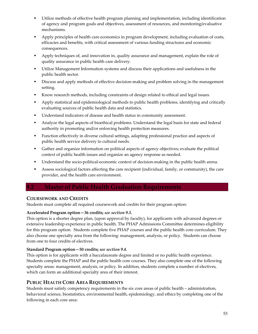- Utilize methods of effective health program planning and implementation, including identification of agency and program goals and objectives, assessment of resources, and monitoring/evaluative mechanisms.
- Apply principles of health care economics in program development, including evaluation of costs, efficacies and benefits, with critical assessment of various funding structures and economic consequences.
- **•** Apply techniques of, and innovation in, quality assurance and management, explain the role of quality assurance in public health care delivery.
- Utilize Management Information systems and discuss their applications and usefulness in the public health sector.
- Discuss and apply methods of effective decision‐making and problem solving in the management setting.
- Know research methods, including constraints of design related to ethical and legal issues.
- Apply statistical and epidemiological methods to public health problems, identifying and critically evaluating sources of public health data and statistics.
- Understand indicators of disease and health status in community assessment.
- Analyze the legal aspects of bioethical problems. Understand the legal basis for state and federal authority in promoting and/or enforcing health protection measures.
- Function effectively in diverse cultural settings, adapting professional practice and aspects of public health service delivery to cultural needs.
- Gather and organize information on political aspects of agency objectives; evaluate the political context of public health issues and organize an agency response as needed.
- Understand the socio‐political‐economic context of decision‐making in the public health arena.
- Assess sociological factors affecting the care recipient (individual, family, or community), the care provider, and the health care environment.

# **9.2 Master of Public Health Graduation Requirements**

#### **COURSEWORK AND CREDITS**

Students must complete all required coursework and credits for their program option:

#### **Accelerated Program option—36 credits;** *see section 9.3***.**

This option is a shorter degree plan, (upon approval by faculty), for applicants with advanced degrees or extensive leadership experience in public health. The PHAP Admissions Committee determines eligibility for this program option. Students complete five PHAP courses and the public health core curriculum. They also choose one specialty area from the following: management, analysis, or policy. Students can choose from one to four credits of electives.

#### **Standard Program option—50 credits;** *see section 9.4.*

This option is for applicants with a baccalaureate degree and limited or no public health experience. Students complete the PHAP and the public health core courses. They also complete one of the following specialty areas: management, analysis, or policy. In addition, students complete a number of electives, which can form an additional specialty area of their interest.

#### **PUBLIC HEALTH CORE AREA REQUIREMENTS**

Students must satisfy competency requirements in the six core areas of public health – administration, behavioral science, biostatistics, environmental health, epidemiology, and ethics by completing one of the following in each core area: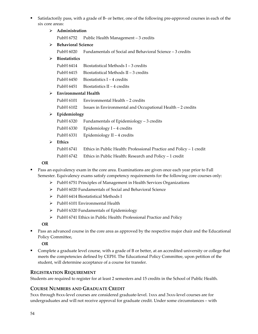- Satisfactorily pass, with a grade of B‐ or better, one of the following pre‐approved courses in each of the six core areas:
	- ¾ **Administration**
		- PubH 6752 Public Health Management 3 credits
	- ¾ **Behavioral Science**
		- PubH 6020 Fundamentals of Social and Behavioral Science 3 credits

#### ¾ **Biostatistics**

| PubH 6414 | Biostatistical Methods $I - 3$ credits |
|-----------|----------------------------------------|
| PubH 6415 | Biostatistical Methods II $-3$ credits |
| PubH 6450 | Biostatistics $I - 4$ credits          |
| PubH 6451 | Biostatistics $II - 4$ credits         |

#### ¾ **Environmental Health**

| PubH 6101 | Environmental Health – 2 credits                                      |
|-----------|-----------------------------------------------------------------------|
|           | PubH 6102 Issues in Environmental and Occupational Health – 2 credits |

#### ¾ **Epidemiology**

| PubH 6320 | Fundamentals of Epidemiology - 3 credits |
|-----------|------------------------------------------|
|-----------|------------------------------------------|

- PubH 6330 Epidemiology I 4 credits
- PubH 6331 Epidemiology II 4 credits

#### ¾ **Ethics**

| PubH 6741 | Ethics in Public Health: Professional Practice and Policy – 1 credit |
|-----------|----------------------------------------------------------------------|
| PubH 6742 | Ethics in Public Health: Research and Policy – 1 credit              |

#### **OR**

- Pass an equivalency exam in the core area. Examinations are given once each year prior to Fall Semester. Equivalency exams satisfy competency requirements for the following core courses only:
	- ¾ PubH 6751 Principles of Management in Health Services Organizations
	- ¾ PubH 6020 Fundamentals of Social and Behavioral Science
	- ¾ PubH 6414 Biostatistical Methods I
	- $\triangleright$  PubH 6101 Environmental Health
	- ¾ PubH 6320 Fundamentals of Epidemiology
	- ¾ PubH 6741 Ethics in Public Health: Professional Practice and Policy

**OR**

 Pass an advanced course in the core area as approved by the respective major chair and the Educational Policy Committee,

**OR**

**Complete a graduate level course, with a grade of B or better, at an accredited university or college that** meets the competencies defined by CEPH. The Educational Policy Committee, upon petition of the student, will determine acceptance of a course for transfer.

#### **REGISTRATION REQUIREMENT**

Students are required to register for at least 2 semesters and 15 credits in the School of Public Health.

#### **COURSE NUMBERS AND GRADUATE CREDIT**

5xxx through 8xxx‐level courses are considered graduate‐level. 1xxx and 3xxx‐level courses are for undergraduates and will not receive approval for graduate credit. Under some circumstances – with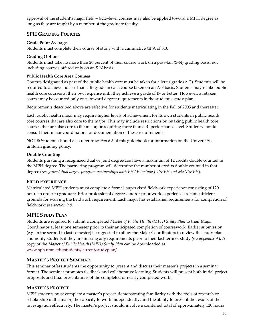approval of the student's major field - 4xxx-level courses may also be applied toward a MPH degree as long as they are taught by a member of the graduate faculty.

# **SPH GRADING POLICIES**

#### **Grade Point Average**

Students must complete their course of study with a cumulative GPA of 3.0.

#### **Grading Options**

Students must take no more than 20 percent of their course work on a pass‐fail (S‐N) grading basis; not including courses offered only on an S‐N basis.

#### **Public Health Core Area Courses**

Courses designated as part of the public health core must be taken for a letter grade (A‐F). Students will be required to achieve no less than a B‐ grade in each course taken on an A‐F basis. Students may retake public health core courses at their own expense until they achieve a grade of B- or better. However, a retaken course may be counted only once toward degree requirements in the student's study plan.

Requirements described above are effective for students matriculating in the Fall of 2005 and thereafter.

Each public health major may require higher levels of achievement for its own students in public health core courses that are also core to the major. This may include restrictions on retaking public health core courses that are also core to the major, or requiring more than a B‐ performance level. Students should consult their major coordinators for documentation of these requirements.

**NOTE:** Students should also refer to *section 6.5* of this guidebook for information on the University's uniform grading policy.

#### **Double Counting**

Students pursuing a recognized dual or Joint degree can have a maximum of 12 credits double counted in the MPH degree. The partnering program will determine the number of credits double counted in that degree (*recognized dual degree program partnerships with PHAP include JD/MPH and MSN/MPH*).

# **FIELD EXPERIENCE**

Matriculated MPH students must complete a formal, supervised fieldwork experience consisting of 120 hours in order to graduate. Prior professional degrees and/or prior work experience are not sufficient grounds for waiving the fieldwork requirement. Each major has established requirements for completion of fieldwork; see *section 9.8*.

# **MPH STUDY PLAN**

Students are required to submit a completed *Master of Public Health (MPH) Study Plan* to their Major Coordinator at least one semester prior to their anticipated completion of coursework. Earlier submission (e.g. in the second to last semester) is suggested to allow the Major Coordinators to review the study plan and notify students if they are missing any requirements prior to their last term of study (*see appendix A*). A copy of the *Master of Public Health (MPH) Study Plan* can be downloaded at www.sph.umn.edu/students/current/studyplan/.

# **MASTER'S PROJECT SEMINAR**

This seminar offers students the opportunity to present and discuss their master's projects in a seminar format. The seminar promotes feedback and collaborative learning. Students will present both initial project proposals and final presentations of the completed or nearly completed work.

# **MASTER'S PROJECT**

MPH students must complete a master's project, demonstrating familiarity with the tools of research or scholarship in the major, the capacity to work independently, and the ability to present the results of the investigation effectively. The master's project should involve a combined total of approximately 120 hours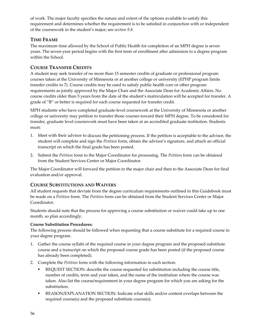of work. The major faculty specifies the nature and extent of the options available to satisfy this requirement and determines whether the requirement is to be satisfied in conjunction with or independent of the coursework in the student's major; see *section 9.8*.

# **TIME FRAME**

The maximum time allowed by the School of Public Health for completion of an MPH degree is seven years. The seven‐year period begins with the first term of enrollment after admission to a degree program within the School.

# **COURSE TRANSFER CREDITS**

A student may seek transfer of no more than 15 semester credits of graduate or professional program courses taken at the University of Minnesota or at another college or university (EPHP program limits transfer credits to 7). Course credits may be used to satisfy public health core or other program requirements as jointly approved by the Major Chair and the Associate Dean for Academic Affairs. No course credits older than 5 years from the date of the student's matriculation will be accepted for transfer. A grade of "B" or better is required for each course requested for transfer credit.

MPH students who have completed graduate‐level coursework at the University of Minnesota or another college or university may petition to transfer those courses toward their MPH degree. To be considered for transfer, graduate level coursework must have been taken at an accredited graduate institution. Students must:

- 1. Meet with their advisor to discuss the petitioning process. If the petition is acceptable to the advisor, the student will complete and sign the *Petition* form, obtain the advisor's signature, and attach an official transcript on which the final grade has been posted.
- 2. Submit the *Petition* form to the Major Coordinator for processing. The *Petition* form can be obtained from the Student Services Center or Major Coordinator.

The Major Coordinator will forward the petition to the major chair and then to the Associate Dean for final evaluation and/or approval.

# **COURSE SUBSTITUTIONS AND WAIVERS**

All student requests that deviate from the degree curriculum requirements outlined in this Guidebook must be made on a *Petition* form. The *Petition* form can be obtained from the Student Services Center or Major Coordinator.

Students should note that the process for approving a course substitution or waiver could take up to one month, so plan accordingly.

#### **Course Substitution Procedures:**

The following process should be followed when requesting that a course substitute for a required course in your degree program.

- 1. Gather the course syllabi of the required course in your degree program and the proposed substitute course and a transcript on which the proposed course grade has been posted (if the proposed course has already been completed).
- 2. Complete the *Petition* form with the following information in each section:
	- REQUEST SECTION: describe the course requested for substitution including the course title, number of credits, term and year taken, and the name of the institution where the course was taken. Also list the course/requirement in your degree program for which you are asking for the substitution.
	- REASON/EXPLANATION SECTION: Indicate what skills and/or content overlaps between the required course(s) and the proposed substitute course(s).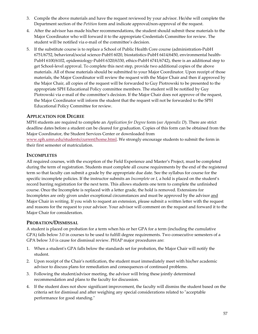- 3. Compile the above materials and have the request reviewed by your advisor. He/she will complete the Department section of the *Petition* form and indicate approval/non‐approval of the request.
- 4. After the advisor has made his/her recommendations, the student should submit these materials to the Major Coordinator who will forward it to the appropriate Credentials Committee for review. The student will be notified via e‐mail of the committee's decision.
- 5. If the substitute course is to replace a School of Public Health Core course (administration‐PubH 6751/6752, behavioral/social science‐PubH 6020, biostatistics‐PubH 6414/6450, environmental health‐ PubH 6100/6102, epidemiology‐PubH 6320/6330, ethics‐PubH 6741/6742), there is an additional step to get School‐level approval. To complete this next step, provide two additional copies of the above materials. All of those materials should be submitted to your Major Coordinator. Upon receipt of those materials, the Major Coordinator will review the request with the Major Chair and then if approved by the Major Chair, all copies of the request will be forwarded to Guy Piotrowski to be presented to the appropriate SPH Educational Policy committee members. The student will be notified by Guy Piotrowski via e-mail of the committee's decision. If the Major Chair does not approve of the request, the Major Coordinator will inform the student that the request will not be forwarded to the SPH Educational Policy Committee for review.

#### **APPLICATION FOR DEGREE**

MPH students are required to complete an *Application for Degree* form (*see Appendix D*). There are strict deadline dates before a student can be cleared for graduation. Copies of this form can be obtained from the Major Coordinator, the Student Services Center or downloaded from www.sph.umn.edu/students/current/home.html. We strongly encourage students to submit the form in their first semester of matriculation.

### **INCOMPLETES**

All required courses, with the exception of the Field Experience and Master's Project, must be completed during the term of registration. Students must complete all course requirements by the end of the registered term so that faculty can submit a grade by the appropriate due date. See the syllabus for course for the specific incomplete policies. If the instructor submits an *Incomplete* or *I*, a hold is placed on the student's record barring registration for the next term. This allows students one term to complete the unfinished course. Once the Incomplete is replaced with a letter grade, the hold is removed. Extensions for Incompletes are only given under exceptional circumstances and must be approved by the advisor and Major Chair in writing. If you wish to request an extension, please submit a written letter with the request and reasons for the request to your advisor. Your advisor will comment on the request and forward it to the Major Chair for consideration.

#### **PROBATION/DISMISSAL**

A student is placed on probation for a term when his or her GPA for a term (including the cumulative GPA) falls below 3.0 in courses to be used to fulfill degree requirements. Two consecutive semesters of a GPA below 3.0 is cause for dismissal review. PHAP major procedures are:

- 1. When a studentʹs GPA falls below the standards set for probation, the Major Chair will notify the student.
- 2. Upon receipt of the Chairʹs notification, the student must immediately meet with his/her academic advisor to discuss plans for remediation and consequences of continued problems.
- 3. Following the student/advisor meeting, the advisor will bring these jointly determined recommendation and plans to the faculty for discussion.
- 4. If the student does not show significant improvement, the faculty will dismiss the student based on the criteria set for dismissal and after weighing any special considerations related to "acceptable performance for good standing."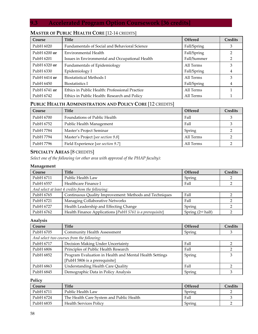# **9.3 Accelerated Program Option Coursework [36 credits]**

# **MASTER OF PUBLIC HEALTH CORE** [12‐14 CREDITS]

| Course                     | <b>Title</b>                                    | Offered     | Credits |
|----------------------------|-------------------------------------------------|-------------|---------|
| PubH 6020                  | Fundamentals of Social and Behavioral Science   | Fall/Spring | 3       |
| PubH $6200$ or             | Environmental Health                            | Fall/Spring | 2       |
| PubH 6201                  | Issues in Environmental and Occupational Health | Fall/Summer | 2       |
| PubH $6320$ or             | Fundamentals of Epidemiology                    | All Terms   | 3       |
| PubH 6330                  | Epidemiology I                                  | Fall/Spring | 4       |
| Pub <sub>H</sub> $6414$ or | <b>Biostatistical Methods I</b>                 | All Terms   | 3       |
| PubH 6450                  | <b>Biostatistics I</b>                          | Fall/Spring | 4       |
| PubH $6741$ or             | Ethics in Public Health: Professional Practice  | All Terms   |         |
| PubH 6742                  | Ethics in Public Health: Research and Policy    | All Terms   |         |

# **PUBLIC HEALTH ADMINISTRATION AND POLICY CORE** [12 CREDITS]

| Course    | <b>Title</b>                       | Offered   | Credits |
|-----------|------------------------------------|-----------|---------|
| PubH 6700 | Foundations of Public Health       | Fall      |         |
| PubH 6752 | Public Health Management           | Fall      |         |
| PubH 7784 | Master's Project Seminar           | Spring    |         |
| PubH 7794 | Master's Project [see section 9.8] | All Terms |         |
| PubH 7796 | Field Experience [see section 9.7] | All Terms |         |

# **SPECIALTY AREAS** [8 CREDITS]

*Select one of the following (or other area with approval of the PHAP faculty):*

#### **Management**

| Course                                            | <b>Title</b>                                              | Offered                | Credits |
|---------------------------------------------------|-----------------------------------------------------------|------------------------|---------|
| PubH 6711                                         | Public Health Law                                         | Spring                 |         |
| PubH 6557                                         | Healthcare Finance I                                      | Fall                   |         |
| And select at least 4 credits from the following: |                                                           |                        |         |
| PubH 6765                                         | Continuous Quality Improvement: Methods and Techniques    | Fall                   |         |
| PubH 6721                                         | Managing Collaborative Networks                           | Fall                   |         |
| PubH 6727                                         | Health Leadership and Effecting Change                    | Spring                 |         |
| PubH 6762                                         | Health Finance Applications [PubH 5761 is a prerequisite] | Spring $(2^{nd}$ half) |         |

#### **Analysis**

| Course    | <b>Title</b>                                            | <b>Offered</b> | Credits |
|-----------|---------------------------------------------------------|----------------|---------|
| PubH 6705 | <b>Community Health Assessment</b>                      | Spring         |         |
|           | And select two courses from the following:              |                |         |
| PubH 6717 | Decision Making Under Uncertainty                       | Fall           |         |
| PubH 6806 | Principles of Public Health Research                    | Fall           |         |
| PubH 6852 | Program Evaluation in Health and Mental Health Settings | Spring         | 3       |
|           | [PubH 5806 is a prerequisite]                           |                |         |
| PubH 6863 | Understanding Health Care Quality                       | Fall           |         |
| PubH 6845 | Demographic Data in Policy Analysis                     | Spring         |         |

### **Policy**

| Course    | Title                                    | <b>Offered</b> | Credits |
|-----------|------------------------------------------|----------------|---------|
| PubH 6711 | Public Health Law                        | Spring         |         |
| PubH 6724 | The Health Care System and Public Health | Fall           |         |
| PubH 6835 | Health Services Policy                   | Spring         |         |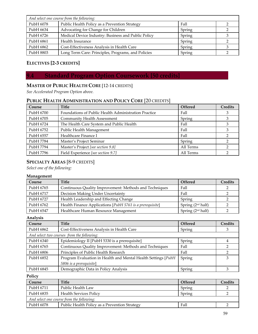| And select one course from the following: |                                                     |        |  |
|-------------------------------------------|-----------------------------------------------------|--------|--|
| PubH 6078                                 | Public Health Policy as a Prevention Strategy       | Fall   |  |
| PubH 6634                                 | Advocating for Change for Children                  | Spring |  |
| PubH 6726                                 | Medical Device Industry: Business and Public Policy | Spring |  |
| PubH 6861                                 | Health Insurance                                    | Spring |  |
| PubH 6862                                 | Cost-Effectiveness Analysis in Health Care          | Spring |  |
| PubH 8803                                 | Long Term Care: Principles, Programs, and Policies  | Spring |  |

# **ELECTIVES [2‐3 CREDITS]**

# **9.4 Standard Program Option Coursework [50 credits]**

# **MASTER OF PUBLIC HEALTH CORE** [12‐14 CREDITS]

*See Accelerated Program Option above.*

# **PUBLIC HEALTH ADMINISTRATION AND POLICY CORE** [20 CREDITS]

| Course    | <b>Title</b>                                         | Offered   | Credits |
|-----------|------------------------------------------------------|-----------|---------|
| PubH 6700 | Foundations of Public Health Administration Practice | Fall      | 3       |
| PubH 6705 | <b>Community Health Assessment</b>                   | Spring    |         |
| PubH 6724 | The Health Care System and Public Health             | Fall      |         |
| PubH 6752 | Public Health Management                             | Fall      |         |
| PubH 6557 | Healthcare Finance I                                 | Fall      |         |
| PubH 7784 | Master's Project Seminar                             | Spring    |         |
| PubH 7794 | Master's Project [see section 9.8]                   | All Terms |         |
| PubH 7796 | Field Experience [see section 9.7]                   | All Terms |         |

# **SPECIALTY AREAS** [8‐9 CREDITS]

*Select one of the following:*

#### **Management**

| Course    | <b>Title</b>                                              | <b>Offered</b>         | <b>Credits</b> |
|-----------|-----------------------------------------------------------|------------------------|----------------|
| PubH 6765 | Continuous Quality Improvement: Methods and Techniques    | Fall                   |                |
| PubH 6717 | Decision Making Under Uncertainty                         | Fall                   |                |
| PubH 6727 | Health Leadership and Effecting Change                    | Spring                 |                |
| PubH 6762 | Health Finance Applications [PubH 5761 is a prerequisite] | Spring $(2^{nd}$ half) |                |
| PubH 6547 | Healthcare Human Resource Management                      | Spring $(2^{nd}$ half) |                |

**Analysis**

| Course    | <b>Title</b>                                                   | Offered | Credits |
|-----------|----------------------------------------------------------------|---------|---------|
| PubH 6862 | Cost-Effectiveness Analysis in Health Care                     | Spring  |         |
|           | And select two courses from the following:                     |         |         |
| PubH 6340 | Epidemiology II [PubH 5330 is a prerequisite]                  | Spring  |         |
| PubH 6765 | Continuous Quality Improvement: Methods and Techniques         | Fall    |         |
| PubH 6806 | Principles of Public Health Research                           | Fall    |         |
| PubH 6852 | Program Evaluation in Health and Mental Health Settings [PubH] | Spring  | 3       |
|           | 5806 is a prerequisite]                                        |         |         |
| PubH 6845 | Demographic Data in Policy Analysis                            | Spring  |         |

#### **Policy**

| Course                                    | Title                                         | <b>Offered</b> | <b>Credits</b> |
|-------------------------------------------|-----------------------------------------------|----------------|----------------|
| PubH 6711                                 | Public Health Law                             | Spring         |                |
| PubH 6835                                 | <b>Health Services Policy</b>                 | Spring         |                |
| And select one course from the following: |                                               |                |                |
| PubH 6078                                 | Public Health Policy as a Prevention Strategy | Fall           |                |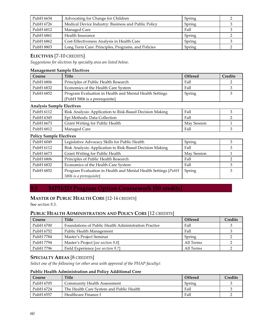| PubH 6634 | Advocating for Change for Children                  | Spring |  |
|-----------|-----------------------------------------------------|--------|--|
| PubH 6726 | Medical Device Industry: Business and Public Policy | Spring |  |
| PubH 6812 | Managed Care                                        | Fall   |  |
| PubH 6861 | Health Insurance                                    | Spring |  |
| PubH 6862 | Cost-Effectiveness Analysis in Health Care          | Spring |  |
| PubH 8803 | Long Term Care: Principles, Programs, and Policies  | Spring |  |

# **ELECTIVES** [7‐10 CREDITS]

*Suggestions for electives by specialty area are listed below.*

#### **Management Sample Electives**

| Course    | <b>Title</b>                                            | Offered | Credits |
|-----------|---------------------------------------------------------|---------|---------|
| PubH 6806 | Principles of Public Health Research                    | Fall    |         |
| PubH 6832 | Economics of the Health Care System                     | Fall    |         |
| PubH 6852 | Program Evaluation in Health and Mental Health Settings | Spring  |         |
|           | [PubH 5806 is a prerequisite]                           |         |         |

#### **Analysis Sample Electives**

| PubH 6112 | Risk Analysis: Application to Risk-Based Decision Making | Fall        |  |
|-----------|----------------------------------------------------------|-------------|--|
| PubH 6345 | Epi Methods: Data Collection                             | Fall        |  |
| PubH 6673 | Grant Writing for Public Health                          | May Session |  |
| PubH 6812 | Managed Care                                             | Fall        |  |

#### **Policy Sample Electives**

| PubH 6049 | Legislative Advocacy Skills for Public Health                  | Spring      |  |
|-----------|----------------------------------------------------------------|-------------|--|
| PubH 6112 | Risk Analysis: Application to Risk-Based Decision Making       | Fall        |  |
| PubH 6673 | Grant Writing for Public Health                                | May Session |  |
| PubH 6806 | Principles of Public Health Research                           | Fall        |  |
| PubH 6832 | Economics of the Health Care System                            | Fall        |  |
| PubH 6852 | Program Evaluation in Health and Mental Health Settings [PubH] | Spring      |  |
|           | 5806 is a prerequisite]                                        |             |  |

# **9.5 MPH/JD Program Option Coursework [50 credits]**

# **MASTER OF PUBLIC HEALTH CORE** [12‐14 CREDITS]

See *section 9.3*.

#### **PUBLIC HEALTH ADMINISTRATION AND POLICY CORE** [12 CREDITS]

| Course    | <b>Title</b>                                         | <b>Offered</b> | Credits |
|-----------|------------------------------------------------------|----------------|---------|
| PubH 6700 | Foundations of Public Health Administration Practice | Fall           |         |
| PubH 6752 | Public Health Management                             | Fall           |         |
| PubH 7784 | Master's Project Seminar                             | Spring         |         |
| PubH 7794 | Master's Project [see section 9.8]                   | All Terms      |         |
| PubH 7796 | Field Experience [see section 9.7]                   | All Terms      |         |

#### **SPECIALTY AREAS** [8 CREDITS]

*Select one of the following (or other area with approval of the PHAP faculty):*

#### **Public Health Administration and Policy Additional Core**

| <b>Course</b> | <b>Title</b>                             | Offered | Credits |
|---------------|------------------------------------------|---------|---------|
| PubH 6705     | <b>Community Health Assessment</b>       | Spring  |         |
| PubH 6724     | The Health Care System and Public Health | Fall    |         |
| PubH 6557     | Healthcare Finance I                     | Fall    |         |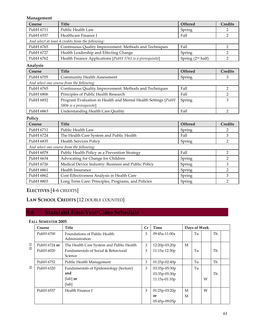#### **Management**

| Course    | <b>Title</b>                                              | <b>Offered</b>      | Credits |
|-----------|-----------------------------------------------------------|---------------------|---------|
| PubH 6711 | Public Health Law                                         | Spring              |         |
| PubH 6557 | Healthcare Finance I                                      | Fall                |         |
|           | And select at least 4 credits from the following:         |                     |         |
| PubH 6765 | Continuous Quality Improvement: Methods and Techniques    | Fall                |         |
| PubH 6727 | Health Leadership and Effecting Change                    | Spring              |         |
| PubH 6762 | Health Finance Applications [PubH 5761 is a prerequisite] | Spring $(2nd half)$ |         |

#### **Analysis**

| Course    | <b>Title</b>                                                   | Offered | Credits |
|-----------|----------------------------------------------------------------|---------|---------|
| PubH 6705 | <b>Community Health Assessment</b>                             | Spring  |         |
|           | And select one course from the following:                      |         |         |
| PubH 6765 | Continuous Quality Improvement: Methods and Techniques         | Fall    |         |
| PubH 6806 | Principles of Public Health Research                           | Fall    |         |
| PubH 6852 | Program Evaluation in Health and Mental Health Settings [PubH] | Spring  |         |
|           | 5806 is a prerequisite]                                        |         |         |
| PubH 6863 | Understanding Health Care Quality                              | Fall    |         |

### **Policy**

| Course                | Title                                               | <b>Offered</b> | <b>Credits</b> |
|-----------------------|-----------------------------------------------------|----------------|----------------|
| PubH 6711             | Public Health Law                                   | Spring         |                |
| PubH 6724             | The Health Care System and Public Health            | Fall           | 3              |
| PubH 6835             | <b>Health Services Policy</b>                       | Spring         |                |
|                       | And select one course from the following:           |                |                |
| PubH 6078             | Public Health Policy as a Prevention Strategy       | Fall           |                |
| PubH 6634             | Advocating for Change for Children                  | Spring         |                |
| PubH 6726             | Medical Device Industry: Business and Public Policy | Spring         | 3              |
| PubH 6861             | Health Insurance                                    | Spring         | っ              |
| Pub <sub>H</sub> 6862 | Cost-Effectiveness Analysis in Health Care          | Spring         | 3              |
| PubH 8803             | Long Term Care: Principles, Programs, and Policies  | Spring         |                |

# **ELECTIVES** [4‐6 CREDITS]

# **LAW SCHOOL CREDITS** [12 DOUBLE COUNTED]

# **9.6 Standard First‐Year Class Schedule**

### **FALL SEMESTER 2005**

|               | Course                   | <b>Title</b>                             | Cr | Time            |   | Days of Week |   |    |  |
|---------------|--------------------------|------------------------------------------|----|-----------------|---|--------------|---|----|--|
|               | PubH 6700                | Foundations of Public Health             | 3  | 09:45a-11:00a   |   | Tu           |   | Th |  |
|               |                          | Administration                           |    |                 |   |              |   |    |  |
| $^\circledR$  | Pub <sub>H</sub> 6724 or | The Health Care System and Public Health | 3  | 12:20p-03:20p   | M |              |   |    |  |
| $\circled{2}$ | PubH 6020                | Fundamentals of Social & Behavioral      | 3  | 11:15a-12:30p   |   | Tu           |   | Th |  |
|               |                          | Science                                  |    |                 |   |              |   |    |  |
|               | PubH 6752                | Public Health Management                 | 3  | $01:25p-02:40p$ |   | Tu           |   | Th |  |
| $\circled{3}$ | PubH 6320                | Fundamentals of Epidemiology [lecture]   | 3  | 03:35p-05:30p   |   | Tu           |   |    |  |
|               |                          | and                                      |    | 03:35p-05:30p   |   |              |   | Th |  |
|               |                          | $[lab]$ or                               |    | 11:15a-01:10p   |   |              | W |    |  |
|               |                          | [lab]                                    |    |                 |   |              |   |    |  |
|               | PubH 6557                | Health Finance I                         | 3  | 01:25p-03:20p   | M |              | W |    |  |
|               |                          |                                          |    | or              | M |              |   |    |  |
|               |                          |                                          |    | $05:45p-09:05p$ |   |              |   |    |  |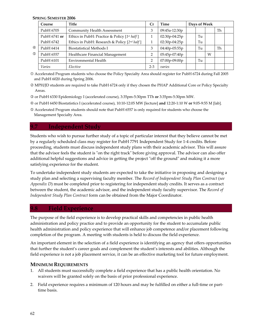#### **SPRING SEMESTER 2006**

|             | Course         | Title                                                                                                            | Cr      | Time          | Days of Week |    |   |    |  |
|-------------|----------------|------------------------------------------------------------------------------------------------------------------|---------|---------------|--------------|----|---|----|--|
|             | PubH 6705      | Community Health Assessment                                                                                      |         | 09:45a-12:30p |              |    |   | Th |  |
|             | PubH $6741$ or | Ethics in PubH: Practice & Policy $[1^{st} \; half]$<br>Ethics in PubH: Research & Policy [2 <sup>nd</sup> half] |         | 02:30p-04:25p |              | Tu |   |    |  |
|             | PubH 6742      |                                                                                                                  |         | 02:30p-04:25p |              | Tu |   |    |  |
| $\circledA$ | PubH 6414      | <b>Biostatistical Methods I</b>                                                                                  | 3       | 04:40p-05:55p |              | Tu |   | Th |  |
| $\circledS$ | PubH 6557      | Healthcare Financial Management                                                                                  |         | 05:45p-07:40p |              |    | W |    |  |
|             | PubH 6101      | <b>Environmental Health</b>                                                                                      | 2       | 07:00p-09:00p |              | Tu |   |    |  |
|             | <b>Varies</b>  | Elective                                                                                                         | $2 - 3$ | varies        |              |    |   |    |  |

c Accelerated Program students who choose the Policy Specialty Area should register for PubH 6724 during Fall 2005 and PubH 6020 during Spring 2006.

- d MPH/JD students are required to take PubH 6724 only if they chosen the PHAP Additional Core or Policy Specialty Areas.
- e or PubH 6330 Epidemiology I (accelerated course), 3:35pm‐5:30pm TTh **or** 3:35pm‐5:30pm MW.
- f or PubH 6450 Biostatistics I (accelerated course), 10:10‐12:05 MW [lecture] **and** 12:20‐1:10 W **or** 9:05‐9:55 M [lab].
- g Accelerated Program students should note that PubH 6557 is only required for students who choose the Management Specialty Area.

# **9.7 Independent Study**

Students who wish to pursue further study of a topic of particular interest that they believe cannot be met by a regularly scheduled class may register for PubH 7791 Independent Study for 1‐4 credits*.* Before proceeding, students must discuss independent study plans with their academic advisor. This will assure that the advisor feels the student is "on the right track" before giving approval. The advisor can also offer additional helpful suggestions and advice in getting the project "off the ground" and making it a more satisfying experience for the student.

To undertake independent study students are expected to take the initiative in proposing and designing a study plan and selecting a supervising faculty member. The *Record of Independent Study Plan Contract* (*see Appendix D*) must be completed prior to registering for independent study credits. It serves as a contract between the student, the academic advisor, and the independent study faculty supervisor. The *Record of Independent Study Plan Contract* form can be obtained from the Major Coordinator.

# **9.8 Field Experience**

The purpose of the field experience is to develop practical skills and competencies in public health administration and policy practice and to provide an opportunity for the student to accumulate public health administration and policy experience that will enhance job competence and/or placement following completion of the program. A meeting with students is held to discuss the field experience.

An important element in the selection of a field experience is identifying an agency that offers opportunities that further the student's career goals and complement the student's interests and abilities. Although the field experience is not a job placement service, it can be an effective marketing tool for future employment.

#### **MINIMUM REQUIREMENTS**

- 1. All students must successfully complete a field experience that has a public health orientation. No waivers will be granted solely on the basis of prior professional experience.
- 2. Field experience requires a minimum of 120 hours and may be fulfilled on either a full‐time or part‐ time basis.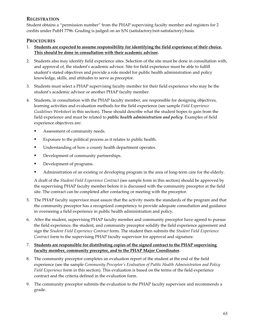### **REGISTRATION**

Student obtains a "permission number" from the PHAP supervising faculty member and registers for 2 credits under PubH 7796. Grading is judged on an S/N (satisfactory/not‐satisfactory) basis.

#### **PROCEDURES**

- 1. **Students are expected to assume responsibility for identifying the field experience of their choice. This should be done in consultation with their academic advisor.**
- 2. Students also may identify field experience sites. Selection of the site must be done in consultation with, and approval of, the student's academic advisor. Site for field experience must be able to fulfill student's stated objectives and provide a role model for public health administration and policy knowledge, skills, and attitudes to serve as preceptor.
- 3. Students must select a PHAP supervising faculty member for their field experience who may be the student's academic advisor or another PHAP faculty member.
- 4. Students, in consultation with the PHAP faculty member, are responsible for designing objectives, learning activities and evaluation methods for the field experience (see sample *Field Experience Guidelines Worksheet* in this section). These should describe what the student hopes to gain from the field experience and must be related to *public health administration and policy*. Examples of field experience objectives are:
	- Assessment of community needs.
	- Exposure to the political process as it relates to public health.
	- **IDED** Understanding of how a county health department operates.
	- Development of community partnerships.
	- Development of programs.
	- Administration of an existing or developing program in the area of long-term care for the elderly.

A draft of the *Student Field Experience Contract* (see sample form in this section) should be approved by the supervising PHAP faculty member before it is discussed with the community preceptor at the field site. The contract can be completed after contacting or meeting with the preceptor.

- 5. The PHAP faculty supervisor must assure that the activity meets the standards of the program and that the community preceptor has a recognized competency to provide adequate consultation and guidance in overseeing a field experience in public health administration and policy.
- 6. After the student, supervising PHAP faculty member and community preceptor have agreed to pursue the field experience, the student, and community preceptor solidify the field experience agreement and sign the *Student Field Experience Contract* form. The student then submits the *Student Field Experience Contract* form to the supervising PHAP faculty supervisor for approval and signature.

#### 7. **Students are responsible for distributing copies of the signed contract to the PHAP supervising faculty member, community preceptor, and to the PHAP Major Coordinator.**

- 8. The community preceptor completes an evaluation report of the student at the end of the field experience (see the sample *Community Preceptor's Evaluation of Public Health Administration and Policy Field Experience* form in this section). This evaluation is based on the terms of the field experience contract and the criteria defined in the evaluation form.
- 9. The community preceptor submits the evaluation to the PHAP faculty supervisor and recommends a grade.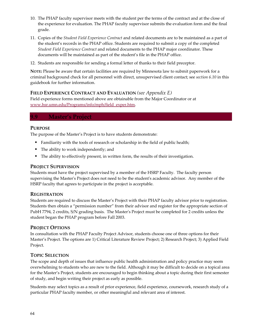- 10. The PHAP faculty supervisor meets with the student per the terms of the contract and at the close of the experience for evaluation. The PHAP faculty supervisor submits the evaluation form and the final grade.
- 11. Copies of the *Student Field Experience Contract* and related documents are to be maintained as a part of the student's records in the PHAP office. Students are required to submit a copy of the completed *Student Field Experience Contract* and related documents to the PHAP major coordinator. These documents will be maintained as part of the student's file in the PHAP office.
- 12. Students are responsible for sending a formal letter of thanks to their field preceptor.

**NOTE:** Please be aware that certain facilities are required by Minnesota law to submit paperwork for a criminal background check for all personnel with direct, unsupervised client contact; see *section 6.10* in this guidebook for further information.

#### **FIELD EXPERIENCE CONTRACT AND EVALUATION** *(see Appendix E)*

Field experience forms mentioned above are obtainable from the Major Coordinator or at www.hsr.umn.edu/Programs/info/mph/field\_exper.htm.

# **9.9 Master's Project**

#### **PURPOSE**

The purpose of the Master's Project is to have students demonstrate:

- **Familiarity with the tools of research or scholarship in the field of public health;**
- The ability to work independently; and
- The ability to effectively present, in written form, the results of their investigation.

#### **PROJECT SUPERVISION**

Students must have the project supervised by a member of the HSRP Faculty. The faculty person supervising the Master's Project does not need to be the student's academic advisor. Any member of the HSRP faculty that agrees to participate in the project is acceptable.

#### **REGISTRATION**

Students are required to discuss the Master's Project with their PHAP faculty advisor prior to registration. Students then obtain a "permission number" from their advisor and register for the appropriate section of PubH 7794, 2 credits, S/N grading basis. The Masterʹs Project must be completed for 2 credits unless the student began the PHAP program before Fall 2003.

#### **PROJECT OPTIONS**

In consultation with the PHAP Faculty Project Advisor, students choose one of three options for their Master's Project. The options are 1) Critical Literature Review Project; 2) Research Project; 3) Applied Field Project.

#### **TOPIC SELECTION**

The scope and depth of issues that influence public health administration and policy practice may seem overwhelming to students who are new to the field. Although it may be difficult to decide on a topical area for the Master's Project, students are encouraged to begin thinking about a topic during their first semester of study, and begin writing their project as early as possible.

Students may select topics as a result of prior experience, field experience, coursework, research study of a particular PHAP faculty member, or other meaningful and relevant area of interest.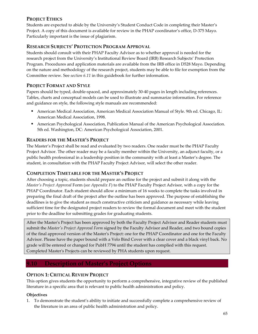# **PROJECT ETHICS**

Students are expected to abide by the University's Student Conduct Code in completing their Master's Project. A copy of this document is available for review in the PHAP coordinator's office, D‐375 Mayo. Particularly important is the issue of plagiarism.

# **RESEARCH SUBJECTS' PROTECTION PROGRAM APPROVAL**

Students should consult with their PHAP Faculty Advisor as to whether approval is needed for the research project from the University's Institutional Review Board (IRB) Research Subjects' Protection Program. Procedures and application materials are available from the IRB office in D528 Mayo. Depending on the nature and methodology of the research project, students may be able to file for exemption from the Committee review. See *section 6.11* in this guidebook for further information.

# **PROJECT FORMAT AND STYLE**

Papers should be typed, double‐spaced, and approximately 30‐40 pages in length including references. Tables, charts and conceptual models can be used to illustrate and summarize information. For reference and guidance on style, the following style manuals are recommended:

- American Medical Association, American Medical Association Manual of Style. 9th ed. Chicago, IL: American Medical Association, 1998.
- American Psychological Association, Publication Manual of the American Psychological Association. 5th ed. Washington, DC: American Psychological Association, 2001.

# **READERS FOR THE MASTER'S PROJECT**

The Master's Project shall be read and evaluated by two readers. One reader must be the PHAP Faculty Project Advisor. The other reader may be a faculty member within the University, an adjunct faculty, or a public health professional in a leadership position in the community with at least a Master's degree. The student, in consultation with the PHAP Faculty Project Advisor, will select the other reader.

# **COMPLETION TIMETABLE FOR THE MASTER'S PROJECT**

After choosing a topic, students should prepare an outline for the project and submit it along with the *Master's Project Approval* Form (*see Appendix F*) to the PHAP Faculty Project Advisor, with a copy for the PHAP Coordinator. Each student should allow a minimum of 16 weeks to complete the tasks involved in preparing the final draft of the project after the outline has been approved. The purpose of establishing the deadlines is to give the student as much constructive criticism and guidance as necessary while leaving sufficient time for the designated project readers to review the formal document and meet with the student prior to the deadline for submitting grades for graduating students.

After the Masterʹs Project has been approved by both the Faculty Project Advisor and Reader students must submit the *Masterʹs Project Approval Form* signed by the Faculty Advisor and Reader, and two bound copies of the final approved version of the Masterʹs Project: one for the PHAP Coordinator and one for the Faculty Advisor. Please have the paper bound with a Velo Bind Cover with a clear cover and a black vinyl back. No grade will be entered or changed for PubH 7794 until the student has complied with this request. Completed Masterʹs Projects can be reviewed by PHA students upon request.

# **9.10 Description of Master's Project Options**

# **OPTION 1: CRITICAL REVIEW PROJECT**

This option gives students the opportunity to perform a comprehensive, integrative review of the published literature in a specific area that is relevant to public health administration and policy.

# **Objectives**

1. To demonstrate the student's ability to initiate and successfully complete a comprehensive review of the literature in an area of public health administration and policy.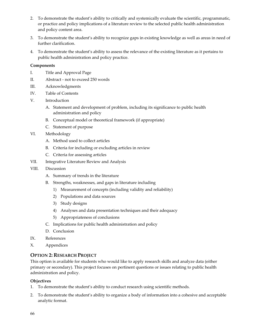- 2. To demonstrate the student's ability to critically and systemically evaluate the scientific, programmatic, or practice and policy implications of a literature review to the selected public health administration and policy content area.
- 3. To demonstrate the student's ability to recognize gaps in existing knowledge as well as areas in need of further clarification.
- 4. To demonstrate the student's ability to assess the relevance of the existing literature as it pertains to public health administration and policy practice.

#### **Components**

- I. Title and Approval Page
- II. Abstract ‐ not to exceed 250 words
- III. Acknowledgments
- IV. Table of Contents
- V. Introduction
	- A. Statement and development of problem, including its significance to public health administration and policy
	- B. Conceptual model or theoretical framework (if appropriate)
	- C. Statement of purpose
- VI. Methodology
	- A. Method used to collect articles
	- B. Criteria for including or excluding articles in review
	- C. Criteria for assessing articles
- VII. Integrative Literature Review and Analysis
- VIII. Discussion
	- A. Summary of trends in the literature
	- B. Strengths, weaknesses, and gaps in literature including
		- 1) Measurement of concepts (including validity and reliability)
		- 2) Populations and data sources
		- 3) Study designs
		- 4) Analyses and data presentation techniques and their adequacy
		- 5) Appropriateness of conclusions
	- C. Implications for public health administration and policy
	- D. Conclusion
- IX. References
- X. Appendices

#### **OPTION 2: RESEARCH PROJECT**

This option is available for students who would like to apply research skills and analyze data (either primary or secondary). This project focuses on pertinent questions or issues relating to public health administration and policy.

#### **Objectives**

- 1. To demonstrate the student's ability to conduct research using scientific methods.
- 2. To demonstrate the student's ability to organize a body of information into a cohesive and acceptable analytic format.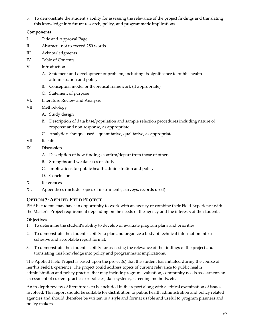3. To demonstrate the student's ability for assessing the relevance of the project findings and translating this knowledge into future research, policy, and programmatic implications.

#### **Components**

- I. Title and Approval Page
- II. Abstract ‐ not to exceed 250 words
- III. Acknowledgments
- IV. Table of Contents
- V. Introduction
	- A. Statement and development of problem, including its significance to public health administration and policy
	- B. Conceptual model or theoretical framework (if appropriate)
	- C. Statement of purpose
- VI. Literature Review and Analysis
- VII. Methodology
	- A. Study design
	- B. Description of data base/population and sample selection procedures including nature of response and non‐response, as appropriate
	- C. Analytic technique used quantitative, qualitative, as appropriate
- VIII. Results
- IX. Discussion
	- A. Description of how findings confirm/depart from those of others
	- B. Strengths and weaknesses of study
	- C. Implications for public health administration and policy
	- D. Conclusion
- X. References
- XI. Appendices (include copies of instruments, surveys, records used)

# **OPTION 3: APPLIED FIELD PROJECT**

PHAP students may have an opportunity to work with an agency or combine their Field Experience with the Master's Project requirement depending on the needs of the agency and the interests of the students.

#### **Objectives**

- 1. To determine the student's ability to develop or evaluate program plans and priorities.
- 2. To demonstrate the student's ability to plan and organize a body of technical information into a cohesive and acceptable report format.
- 3. To demonstrate the student's ability for assessing the relevance of the findings of the project and translating this knowledge into policy and programmatic implications.

The Applied Field Project is based upon the project(s) that the student has initiated during the course of her/his Field Experience. The project could address topics of current relevance to public health administration and policy practice that may include program evaluation, community needs assessment, an assessment of current practices or policies, data systems, screening methods, etc.

An in‐depth review of literature is to be included in the report along with a critical examination of issues involved. This report should be suitable for distribution to public health administration and policy related agencies and should therefore be written in a style and format usable and useful to program planners and policy makers.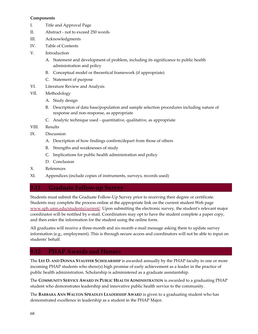#### **Components**

- I. Title and Approval Page
- II. Abstract ‐ not to exceed 250 words
- III. Acknowledgments
- IV. Table of Contents
- V. Introduction
	- A. Statement and development of problem, including its significance to public health administration and policy
	- B. Conceptual model or theoretical framework (if appropriate)
	- C. Statement of purpose
- VI. Literature Review and Analysis
- VII. Methodology
	- A. Study design
	- B. Description of data base/population and sample selection procedures including nature of response and non‐response, as appropriate
	- C. Analytic technique used ‐ quantitative, qualitative, as appropriate
- VIII. Results
- IX. Discussion
	- A. Description of how findings confirm/depart from those of others
	- B. Strengths and weaknesses of study
	- C. Implications for public health administration and policy
	- D. Conclusion
- X. References
- XI. Appendices (include copies of instruments, surveys, records used)

# **9.11 Graduate Follow‐up Survey**

Students must submit the Graduate Follow‐Up Survey prior to receiving their degree or certificate. Students may complete the process online at the appropriate link on the current student Web page www.sph.umn.edu/students/current/. Upon submitting the electronic survey, the student's relevant major coordinator will be notified by e-mail. Coordinators may opt to have the student complete a paper copy, and then enter the information for the student using the online form.

All graduates will receive a three-month and six-month e-mail message asking them to update survey information (e.g., employment). This is through secure access and coordinators will not be able to input on studentsʹ behalf.

# **9.12 PHAP Awards and Honors**

The **LEE D. AND DONNA STAUFFER SCHOLARSHIP** is awarded annually by the PHAP faculty to one or more incoming PHAP students who show(s) high promise of early achievement as a leader in the practice of public health administration. Scholarship is administered as a graduate assistantship.

The **COMMUNITY SERVICE AWARD IN PUBLIC HEALTH ADMINISTRATION** is awarded to a graduating PHAP student who demonstrates leadership and innovative public health service to the community.

The **BARBARA ANN WALTON SPRADLEY LEADERSHIP AWARD** is given to a graduating student who has demonstrated excellence in leadership as a student in the PHAP Major.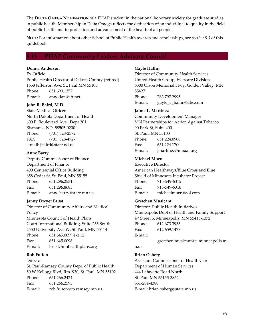The **DELTA OMEGA NOMINATION** of a PHAP student in the national honorary society for graduate studies in public health. Membership in Delta Omega reflects the dedication of an individual to quality in the field of public health and to protection and advancement of the health of all people.

**NOTE:** For information about other School of Public Health awards and scholarships, see *section 5.3* of this guidebook.

# **9.13 PHAP Community Leaders Advisory Council**

#### **Donna Anderson**

Ex‐Officio

Public Health Director of Dakota County (retired) 1658 Jefferson Ave, St. Paul MN 55105 Phone: 651.690.1357 E‐mail: annodan@att.net

#### **John R. Baird, M.D.**

State Medical Officer North Dakota Department of Health 600 E. Boulevard Ave., Dept 301 Bismarck, ND 58505‐0200 Phone: (701) 328‐2372 FAX (701) 328‐4727 e‐mail: jbaird@state.nd.us

#### **Anne Barry**

Deputy Commissioner of Finance Department of Finance 400 Centennial Office Building 658 Cedar St, St. Paul, MN 55155 Phone: 651.296.2531 Fax: 651.296.8685 E‐mail: anne.barry@state.mn.us

#### **Janny Dwyer Brust**

Director of Community Affairs and Medical Policy Minnesota Council of Health Plans Court International Building, Suite 255 South 2550 University Ave W, St. Paul, MN 55114 Phone: 651.645.0099 ext 12 Fax: 651.645.0098 E‐mail: brust@mnhealthplans.org

#### **Rob Fulton**

Director St. Paul‐Ramsey County Dept. of Public Health 50 W Kellogg Blvd, Rm. 930, St. Paul, MN 55102 Phone: 651.266.2424 Fax: 651.266.2593 E‐mail: rob.fulton@co.ramsey.mn.us

#### **Gayle Hallin**

Director of Community Health Services United Health Group, Evercare Division 6300 Olson Memorial Hwy, Golden Valley, MN 55427 Phone: 763.797.2995 E-mail: gayle a hallin@uhc.com

#### **Jaime L. Martinez**

Community Development Manager MN Partnerships for Action Against Tobacco 90 Park St, Suite 400 St. Paul, MN 55103 Phone: 651.224.0900 Fax: 651.224.1700 E‐mail: jmartinez@mpaat.org

#### **Michael Moen**

Executive Director American Healthways/Blue Cross and Blue Shield of Minnesota Incubator Project Phone: 715‐549‐6315 Fax: 715‐549‐6316 E‐mail: michaelmoen@aol.com

#### **Gretchen Musicant**

Director, Public Health Initiatives Minneapolis Dept of Health and Family Support 4th Street S, Minneapolis, MN 55415‐1372 Phone: 612.673.3955 Fax: 612.659.1477 E‐mail: gretchen.musicant@ci.minneapolis.m

#### n.us

#### **Brian Osberg**

Assistant Commissioner of Health Care Department of Human Services 444 Lafayette Road North St. Paul MN 55155‐3852 651‐284‐4388 E‐mail: brian.osberg@state.mn.us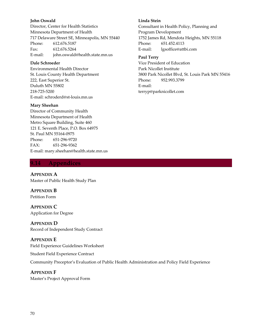#### **John Oswald**

Director, Center for Health Statistics Minnesota Department of Health 717 Delaware Street SE, Minneapolis, MN 55440 Phone: 612.676.5187 Fax: 612.676.5264 E‐mail: john.oswald@health.state.mn.us

#### **Dale Schroeder**

Environmental Health Director St. Louis County Health Department 222, East Superior St. Duluth MN 55802 218‐725‐5200 E‐mail: schroderd@st‐louis.mn.us

#### **Mary Sheehan**

Director of Community Health Minnesota Department of Health Metro Square Building, Suite 460 121 E. Seventh Place, P.O. Box 64975 St. Paul MN 55164‐0975 Phone: 651‐296‐9720 FAX: 651‐296‐9362 E‐mail: mary.sheehan@health.state.mn.us

#### **Linda Stein**

Consultant in Health Policy, Planning and Program Development 1752 James Rd, Mendota Heights, MN 55118 Phone: 651.452.4113 E‐mail: lgsoffice@attbi.com

#### **Paul Terry**

Vice President of Education Park Nicollet Institute 3800 Park Nicollet Blvd, St. Louis Park MN 55416 Phone: 952.993.3799 E‐mail: terryp@parknicollet.com

# **9.14 Appendices**

**APPENDIX A** Master of Public Health Study Plan

**APPENDIX B** Petition Form

**APPENDIX C** Application for Degree

**APPENDIX D** Record of Independent Study Contract

**APPENDIX E** Field Experience Guidelines Worksheet

Student Field Experience Contract

Community Preceptor's Evaluation of Public Health Administration and Policy Field Experience

#### **APPENDIX F** Master's Project Approval Form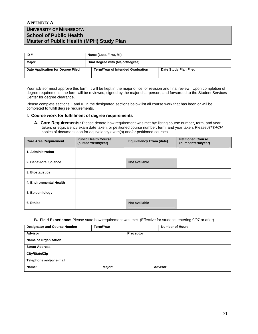#### **APPENDIX A**

#### **UNIVERSITY OF MINNESOTA School of Public Health Master of Public Health (MPH) Study Plan**

| ID#                               | Name (Last, First, MI)                  |                       |
|-----------------------------------|-----------------------------------------|-----------------------|
| <b>Major</b>                      | Dual Degree with (Major/Degree)         |                       |
| Date Application for Degree Filed | <b>Term/Year of Intended Graduation</b> | Date Study Plan Filed |

Your advisor must approve this form. It will be kept in the major office for revision and final review. Upon completion of degree requirements the form will be reviewed, signed by the major chairperson, and forwarded to the Student Services Center for degree clearance.

Please complete sections I. and II. In the designated sections below list all course work that has been or will be completed to fulfill degree requirements.

#### **I. Course work for fulfillment of degree requirements**

**A. Core Requirements:** Please denote how requirement was met by: listing course number, term, and year taken; or equivalency exam date taken; or petitioned course number, term, and year taken. Please *ATTACH* copies of documentation for equivalency exam(s) and/or petitioned courses.

| <b>Core Area Requirement</b> | <b>Public Health Course</b><br>(number/term/year) | <b>Equivalency Exam (date)</b> | <b>Petitioned Course</b><br>(number/term/year) |
|------------------------------|---------------------------------------------------|--------------------------------|------------------------------------------------|
| 1. Administration            |                                                   |                                |                                                |
| 2. Behavioral Science        |                                                   | Not available                  |                                                |
| 3. Biostatistics             |                                                   |                                |                                                |
| 4. Environmental Health      |                                                   |                                |                                                |
| 5. Epidemiology              |                                                   |                                |                                                |
| 6. Ethics                    |                                                   | Not available                  |                                                |

#### **B. Field Experience:** Please state how requirement was met. (Effective for students entering 9/97 or after).

| <b>Designator and Course Number</b> | Term/Year |           | <b>Number of Hours</b> |
|-------------------------------------|-----------|-----------|------------------------|
| <b>Advisor</b>                      |           | Preceptor |                        |
| <b>Name of Organization</b>         |           |           |                        |
| <b>Street Address</b>               |           |           |                        |
| City/State/Zip                      |           |           |                        |
| Telephone and/or e-mail             |           |           |                        |
| Name:                               | Major:    |           | Advisor:               |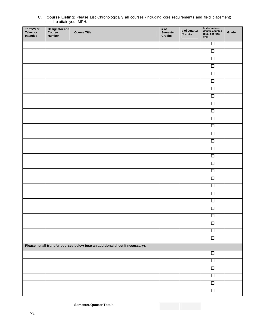| Term/Year<br>Taken or<br>Intended | Designator and<br>Course<br>Number | <b>Course Title</b>                                                            | # of<br>Semester<br>Credits | # of Quarter<br><b>Credits</b> | ⊠ if course is<br>double counted<br>(dual degrees<br>only) | Grade |
|-----------------------------------|------------------------------------|--------------------------------------------------------------------------------|-----------------------------|--------------------------------|------------------------------------------------------------|-------|
|                                   |                                    |                                                                                |                             |                                | $\Box$                                                     |       |
|                                   |                                    |                                                                                |                             |                                | $\Box$                                                     |       |
|                                   |                                    |                                                                                |                             |                                | $\Box$                                                     |       |
|                                   |                                    |                                                                                |                             |                                | $\Box$                                                     |       |
|                                   |                                    |                                                                                |                             |                                | $\Box$                                                     |       |
|                                   |                                    |                                                                                |                             |                                | $\overline{\Box}$                                          |       |
|                                   |                                    |                                                                                |                             |                                | $\Box$                                                     |       |
|                                   |                                    |                                                                                |                             |                                | Ω                                                          |       |
|                                   |                                    |                                                                                |                             |                                | $\Box$                                                     |       |
|                                   |                                    |                                                                                |                             |                                | $\Box$                                                     |       |
|                                   |                                    |                                                                                |                             |                                | Ω                                                          |       |
|                                   |                                    |                                                                                |                             |                                | Ω                                                          |       |
|                                   |                                    |                                                                                |                             |                                | $\overline{\Box}$                                          |       |
|                                   |                                    |                                                                                |                             |                                | Ω                                                          |       |
|                                   |                                    |                                                                                |                             |                                | $\Box$                                                     |       |
|                                   |                                    |                                                                                |                             |                                | $\Box$                                                     |       |
|                                   |                                    |                                                                                |                             |                                | Ω                                                          |       |
|                                   |                                    |                                                                                |                             |                                | $\Box$                                                     |       |
|                                   |                                    |                                                                                |                             |                                | $\Box$                                                     |       |
|                                   |                                    |                                                                                |                             |                                | Ω                                                          |       |
|                                   |                                    |                                                                                |                             |                                | Π                                                          |       |
|                                   |                                    |                                                                                |                             |                                | Π                                                          |       |
|                                   |                                    |                                                                                |                             |                                | $\Box$                                                     |       |
|                                   |                                    |                                                                                |                             |                                | $\Box$                                                     |       |
|                                   |                                    |                                                                                |                             |                                | $\overline{\Box}$                                          |       |
|                                   |                                    |                                                                                |                             |                                | $\Box$                                                     |       |
|                                   |                                    |                                                                                |                             |                                | $\overline{\Box}$                                          |       |
|                                   |                                    | Please list all transfer courses below (use an additional sheet if necessary). |                             |                                |                                                            |       |
|                                   |                                    |                                                                                |                             |                                | $\Box$                                                     |       |
|                                   |                                    |                                                                                |                             |                                | $\overline{\Box}$                                          |       |
|                                   |                                    |                                                                                |                             |                                | $\overline{\Box}$                                          |       |
|                                   |                                    |                                                                                |                             |                                | $\Box$                                                     |       |
|                                   |                                    |                                                                                |                             |                                | $\overline{\square}$                                       |       |
|                                   |                                    |                                                                                |                             |                                | $\Box$                                                     |       |

**C. Course Listing:** Please List Chronologically all courses (including core requirements and field placement) used to attain your MPH.

 **Semester/Quarter Totals**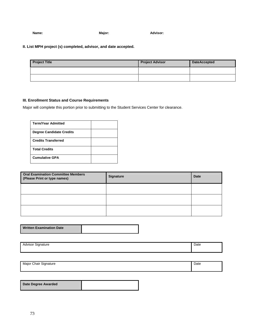Name: **Name: Major: Major: Advisor:** 

#### **II. List MPH project (s) completed, advisor, and date accepted.**

| <b>Project Title</b> | <b>Project Advisor</b> | <b>DateAccepted</b> |
|----------------------|------------------------|---------------------|
|                      |                        |                     |
|                      |                        |                     |

#### **III. Enrollment Status and Course Requirements**

Major will complete this portion prior to submitting to the Student Services Center for clearance.

| <b>Term/Year Admitted</b>       |  |
|---------------------------------|--|
| <b>Degree Candidate Credits</b> |  |
| <b>Credits Transferred</b>      |  |
| <b>Total Credits</b>            |  |
| <b>Cumulative GPA</b>           |  |

| <b>Oral Examination Committee Members</b><br>(Please Print or type names) | <b>Signature</b> | <b>Date</b> |
|---------------------------------------------------------------------------|------------------|-------------|
|                                                                           |                  |             |
|                                                                           |                  |             |
|                                                                           |                  |             |

| <b>Written Examination Date</b> |  |
|---------------------------------|--|
|                                 |  |

| $\sim$<br>Advisor Signature | Date |
|-----------------------------|------|
|                             |      |

| Major Chair Signature | Date |
|-----------------------|------|
|                       |      |

| Date Degree Awarded |  |
|---------------------|--|
|                     |  |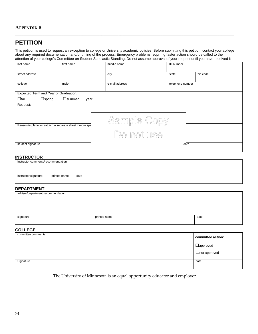## **APPENDIX B**

## **PETITION**

This petition is used to request an exception to college or University academic policies. Before submitting this petition, contact your college about any required documentation and/or timing of the process. Emergency problems requiring faster action should be called to the attention of your college's Committee on Student Scholastic Standing. Do not assume approval of your request until you have received it

\_\_\_\_\_\_\_\_\_\_\_\_\_\_\_\_\_\_\_\_\_\_\_\_\_\_\_\_\_\_\_\_\_\_\_\_\_\_\_\_\_\_\_\_\_\_\_\_\_\_\_\_\_\_\_\_\_\_\_\_\_\_\_\_\_\_\_\_\_\_\_\_\_\_\_\_\_\_\_\_\_\_\_\_\_\_\_\_\_\_\_\_\_\_\_\_\_\_\_\_\_\_\_\_

| last name                                               | first name                | middle name    | ID number        |          |
|---------------------------------------------------------|---------------------------|----------------|------------------|----------|
| street address                                          |                           | city           | state            | zip code |
| college                                                 | major                     | e-mail address | telephone number |          |
| Expected Term and Year of Graduation:                   |                           |                |                  |          |
| $\Box$ fall<br>$\Box$ spring                            | $\square$ summer<br>year_ |                |                  |          |
| Request:                                                |                           |                |                  |          |
|                                                         |                           |                |                  |          |
|                                                         |                           | Sample Copy    |                  |          |
| Reason/explanation (attach a separate sheet if more spa |                           |                |                  |          |
|                                                         |                           | Do not use     |                  |          |
| student signature                                       |                           |                | date             |          |
|                                                         |                           |                |                  |          |

#### **INSTRUCTOR**

| instructor comments/recommendation |              |      |
|------------------------------------|--------------|------|
|                                    |              |      |
|                                    |              |      |
| instructor signature               | printed name | date |
|                                    |              |      |

#### **DEPARTMENT**

| <b>PLI ARTIVILITI</b>             |              |      |
|-----------------------------------|--------------|------|
| adviser/department recommendation |              |      |
|                                   |              |      |
|                                   |              |      |
|                                   |              |      |
|                                   |              |      |
|                                   |              |      |
|                                   |              |      |
|                                   |              |      |
| signature                         | printed name | date |
|                                   |              |      |
|                                   |              |      |
|                                   |              |      |

#### **COLLEGE**

| committee comments | committee action:   |
|--------------------|---------------------|
|                    | $\Box$ approved     |
|                    | $\Box$ not approved |
| Signature          | date                |

The University of Minnesota is an equal opportunity educator and employer.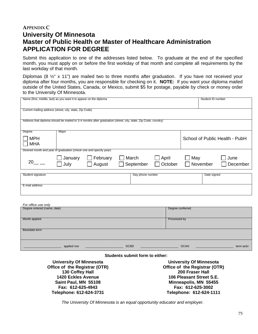## **APPENDIX C University Of Minnesota Master of Public Health or Master of Healthcare Administration APPLICATION FOR DEGREE**

Submit this application to one of the addresses listed below. To graduate at the end of the specified month, you must apply on or before the first workday of that month and complete all requirements by the last workday of that month.

Diplomas (8  $\frac{1}{2}$ " x 11") are mailed two to three months after graduation. If you have not received your diploma after four months, you are responsible for checking on it. **NOTE:** If you want your diploma mailed outside of the United States, Canada, or Mexico, submit \$5 for postage, payable by check or money order to the University Of Minnesota.

| Name (first, middle, last) as you want it to appear on the diploma |                                                                    |                    |                                                                                                               |                         | Student ID number              |                  |
|--------------------------------------------------------------------|--------------------------------------------------------------------|--------------------|---------------------------------------------------------------------------------------------------------------|-------------------------|--------------------------------|------------------|
|                                                                    | Current mailing address (street, city, state, Zip Code)            |                    |                                                                                                               |                         |                                |                  |
|                                                                    |                                                                    |                    | Address that diploma should be mailed to 3-4 months after graduation (street, city, state, Zip Code, country) |                         |                                |                  |
| Degree<br><b>MPH</b><br><b>MHA</b>                                 | Major                                                              |                    |                                                                                                               |                         | School of Public Health - PubH |                  |
|                                                                    | Desired month and year of graduation (check one and specify year): |                    |                                                                                                               |                         |                                |                  |
| 20                                                                 | January<br>July                                                    | February<br>August | March<br>September                                                                                            | $\Box$ April<br>October | $\Box$ May<br>November         | June<br>December |
| Student signature                                                  |                                                                    |                    | Day phone number                                                                                              |                         | Date signed                    |                  |
|                                                                    |                                                                    |                    |                                                                                                               |                         |                                |                  |
| E-mail address                                                     |                                                                    |                    |                                                                                                               |                         |                                |                  |
| For office use only                                                |                                                                    |                    |                                                                                                               |                         |                                |                  |
| Degree entered (name, date)                                        |                                                                    |                    |                                                                                                               | Degree conferred        |                                |                  |
| Month applied                                                      |                                                                    |                    |                                                                                                               | Processed by            |                                |                  |
| Backdate term                                                      |                                                                    |                    |                                                                                                               |                         |                                |                  |
|                                                                    | applied row                                                        |                    | <b>DCBD</b>                                                                                                   |                         | <b>DCAN</b>                    | term activ       |

#### **Students submit form to either:**

**University Of Minnesota Office of the Registrar (OTR) 130 Coffey Hall 1420 Eckles Avenue Saint Paul, MN 55108 Fax: 612-625-4943 Telephone: 612-624-3731** 

**University Of Minnesota Office of the Registrar (OTR) 200 Fraser Hall 106 Pleasant Street S.E. Minneapolis, MN 55455 Fax: 612-625-3002 Telephone: 612-624-1111** 

*The University Of Minnesota is an equal opportunity educator and employer.*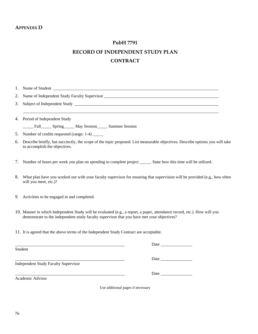## **PubH 7791**

## **RECORD OF INDEPENDENT STUDY PLAN CONTRACT**

| 2.                                                                                                                                                                                                                     |                                                                                                                                                                |  |  |  |  |  |
|------------------------------------------------------------------------------------------------------------------------------------------------------------------------------------------------------------------------|----------------------------------------------------------------------------------------------------------------------------------------------------------------|--|--|--|--|--|
| 3.                                                                                                                                                                                                                     |                                                                                                                                                                |  |  |  |  |  |
| 4.                                                                                                                                                                                                                     | Period of Independent Study                                                                                                                                    |  |  |  |  |  |
|                                                                                                                                                                                                                        | Fall_______ Spring_______ May Session_______ Summer Session                                                                                                    |  |  |  |  |  |
|                                                                                                                                                                                                                        | 5. Number of credits requested (range: 1-4) _____                                                                                                              |  |  |  |  |  |
| 6.                                                                                                                                                                                                                     | Describe briefly, but succinctly, the scope of the topic proposed. List measurable objectives. Describe options you will take<br>to accomplish the objectives. |  |  |  |  |  |
| 7.                                                                                                                                                                                                                     | Number of hours per week you plan on spending to complete project ______. State how this time will be utilized.                                                |  |  |  |  |  |
| 8.                                                                                                                                                                                                                     | What plan have you worked out with your faculty supervisor for ensuring that supervision will be provided (e.g., how often<br>will you meet, etc.)?            |  |  |  |  |  |
| 9.                                                                                                                                                                                                                     | Activities to be engaged in and completed.                                                                                                                     |  |  |  |  |  |
| 10. Manner in which Independent Study will be evaluated (e.g., a report, a paper, attendance record, etc.). How will you<br>demonstrate to the independent study faculty supervisor that you have met your objectives? |                                                                                                                                                                |  |  |  |  |  |
|                                                                                                                                                                                                                        | 11. It is agreed that the above terms of the Independent Study Contract are acceptable.                                                                        |  |  |  |  |  |
|                                                                                                                                                                                                                        | Date                                                                                                                                                           |  |  |  |  |  |
|                                                                                                                                                                                                                        | Student                                                                                                                                                        |  |  |  |  |  |
|                                                                                                                                                                                                                        | Date<br>Independent Study Faculty Supervisor                                                                                                                   |  |  |  |  |  |
|                                                                                                                                                                                                                        | Date<br>Academic Advisor                                                                                                                                       |  |  |  |  |  |
|                                                                                                                                                                                                                        | Use additional pages if necessary                                                                                                                              |  |  |  |  |  |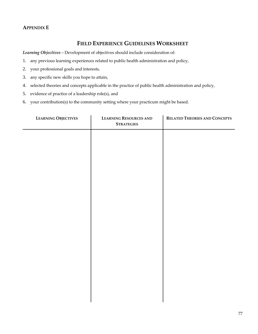### **APPENDIX E**

## **FIELD EXPERIENCE GUIDELINES WORKSHEET**

*Learning Objectives* – Development of objectives should include consideration of:

- 1. any previous learning experiences related to public health administration and policy,
- 2. your professional goals and interests,
- 3. any specific new skills you hope to attain,
- 4. selected theories and concepts applicable in the practice of public health administration and policy,
- 5. evidence of practice of a leadership role(s), and
- 6. your contribution(s) to the community setting where your practicum might be based.

| <b>LEARNING OBJECTIVES</b> | <b>LEARNING RESOURCES AND</b><br><b>STRATEGIES</b> | <b>RELATED THEORIES AND CONCEPTS</b> |
|----------------------------|----------------------------------------------------|--------------------------------------|
|                            |                                                    |                                      |
|                            |                                                    |                                      |
|                            |                                                    |                                      |
|                            |                                                    |                                      |
|                            |                                                    |                                      |
|                            |                                                    |                                      |
|                            |                                                    |                                      |
|                            |                                                    |                                      |
|                            |                                                    |                                      |
|                            |                                                    |                                      |
|                            |                                                    |                                      |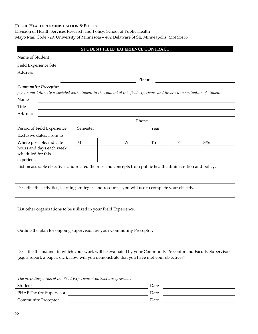#### **PUBLIC HEALTH ADMINISTRATION & POLICY**

Division of Health Services Research and Policy, School of Public Health Mayo Mail Code 729, University of Minnesota – 402 Delaware St SE, Minneapolis, MN 55455

| Name of Student                                                                                                                                                                                                                                                                                                                                                                                                                                                                                                                                                               |          |   |   |       |              |      |
|-------------------------------------------------------------------------------------------------------------------------------------------------------------------------------------------------------------------------------------------------------------------------------------------------------------------------------------------------------------------------------------------------------------------------------------------------------------------------------------------------------------------------------------------------------------------------------|----------|---|---|-------|--------------|------|
|                                                                                                                                                                                                                                                                                                                                                                                                                                                                                                                                                                               |          |   |   |       |              |      |
| Field Experience Site                                                                                                                                                                                                                                                                                                                                                                                                                                                                                                                                                         |          |   |   |       |              |      |
| Address                                                                                                                                                                                                                                                                                                                                                                                                                                                                                                                                                                       |          |   |   |       |              |      |
|                                                                                                                                                                                                                                                                                                                                                                                                                                                                                                                                                                               |          |   |   | Phone |              |      |
| <b>Community Preceptor</b><br>person most directly associated with student in the conduct of this field experience and involved in evaluation of student                                                                                                                                                                                                                                                                                                                                                                                                                      |          |   |   |       |              |      |
| Name                                                                                                                                                                                                                                                                                                                                                                                                                                                                                                                                                                          |          |   |   |       |              |      |
| Title                                                                                                                                                                                                                                                                                                                                                                                                                                                                                                                                                                         |          |   |   |       |              |      |
| Address                                                                                                                                                                                                                                                                                                                                                                                                                                                                                                                                                                       |          |   |   |       |              |      |
|                                                                                                                                                                                                                                                                                                                                                                                                                                                                                                                                                                               |          |   |   | Phone |              |      |
| Period of Field Experience                                                                                                                                                                                                                                                                                                                                                                                                                                                                                                                                                    | Semester |   |   | Year  |              |      |
| Exclusive dates: From to                                                                                                                                                                                                                                                                                                                                                                                                                                                                                                                                                      |          |   |   |       |              |      |
| Where possible, indicate                                                                                                                                                                                                                                                                                                                                                                                                                                                                                                                                                      | М        | T | W | Th    | $\mathbf{F}$ | S/Su |
| hours and days each week<br>scheduled for this                                                                                                                                                                                                                                                                                                                                                                                                                                                                                                                                |          |   |   |       |              |      |
| experience.                                                                                                                                                                                                                                                                                                                                                                                                                                                                                                                                                                   |          |   |   |       |              |      |
| List measurable objectives and related theories and concepts from public health administration and policy.                                                                                                                                                                                                                                                                                                                                                                                                                                                                    |          |   |   |       |              |      |
|                                                                                                                                                                                                                                                                                                                                                                                                                                                                                                                                                                               |          |   |   |       |              |      |
|                                                                                                                                                                                                                                                                                                                                                                                                                                                                                                                                                                               |          |   |   |       |              |      |
|                                                                                                                                                                                                                                                                                                                                                                                                                                                                                                                                                                               |          |   |   |       |              |      |
|                                                                                                                                                                                                                                                                                                                                                                                                                                                                                                                                                                               |          |   |   |       |              |      |
|                                                                                                                                                                                                                                                                                                                                                                                                                                                                                                                                                                               |          |   |   |       |              |      |
|                                                                                                                                                                                                                                                                                                                                                                                                                                                                                                                                                                               |          |   |   |       |              |      |
|                                                                                                                                                                                                                                                                                                                                                                                                                                                                                                                                                                               |          |   |   | Date  |              |      |
| Describe the activities, learning strategies and resources you will use to complete your objectives.<br>List other organizations to be utilized in your Field Experience.<br>Outline the plan for ongoing supervision by your Community Preceptor.<br>Describe the manner in which your work will be evaluated by your Community Preceptor and Faculty Supervisor<br>(e.g. a report, a paper, etc.). How will you demonstrate that you have met your objectives?<br>The preceding terms of the Field Experience Contract are agreeable.<br>Student<br>PHAP Faculty Supervisor |          |   |   | Date  |              |      |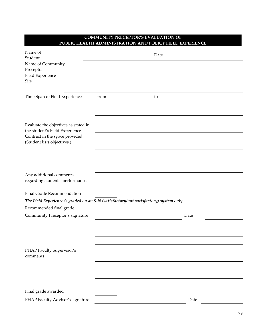#### **COMMUNITY PRECEPTOR'S EVALUATION OF PUBLIC HEALTH ADMINISTRATION AND POLICY FIELD EXPERIENCE**

| Name of<br>Student                                                     | Date                                                                                  |
|------------------------------------------------------------------------|---------------------------------------------------------------------------------------|
| Name of Community<br>Preceptor                                         |                                                                                       |
| Field Experience<br>Site                                               |                                                                                       |
|                                                                        |                                                                                       |
| Time Span of Field Experience                                          | from<br>to                                                                            |
|                                                                        |                                                                                       |
|                                                                        |                                                                                       |
|                                                                        |                                                                                       |
| Evaluate the objectives as stated in<br>the student's Field Experience |                                                                                       |
| Contract in the space provided.                                        |                                                                                       |
| (Student lists objectives.)                                            |                                                                                       |
|                                                                        |                                                                                       |
|                                                                        |                                                                                       |
|                                                                        |                                                                                       |
| Any additional comments                                                |                                                                                       |
| regarding student's performance.                                       |                                                                                       |
| Final Grade Recommendation                                             |                                                                                       |
|                                                                        | The Field Experience is graded on an S-N (satisfactory/not satisfactory) system only. |
| Recommended final grade                                                |                                                                                       |
| Community Preceptor's signature                                        | Date                                                                                  |
|                                                                        |                                                                                       |
|                                                                        |                                                                                       |
|                                                                        |                                                                                       |
| PHAP Faculty Supervisor's                                              |                                                                                       |
| comments                                                               |                                                                                       |
|                                                                        |                                                                                       |
|                                                                        |                                                                                       |
|                                                                        |                                                                                       |
| Final grade awarded                                                    |                                                                                       |
| PHAP Faculty Advisor's signature                                       | Date                                                                                  |